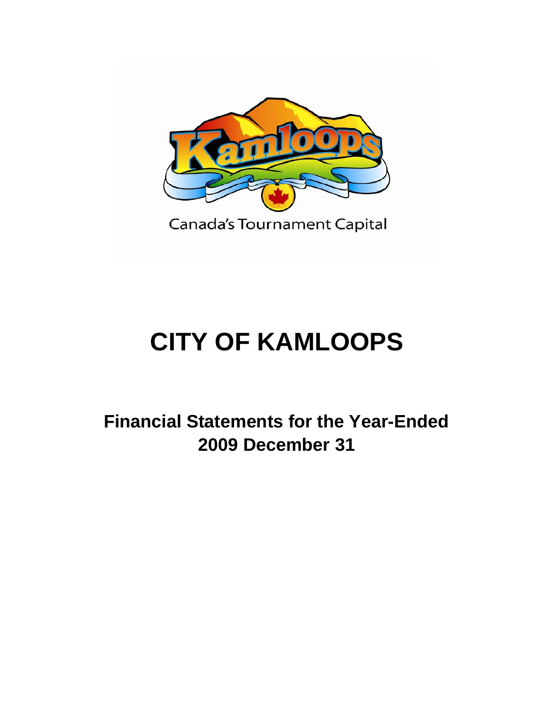

# **CITY OF KAMLOOPS**

**Financial Statements for the Year-Ended 2009 December 31**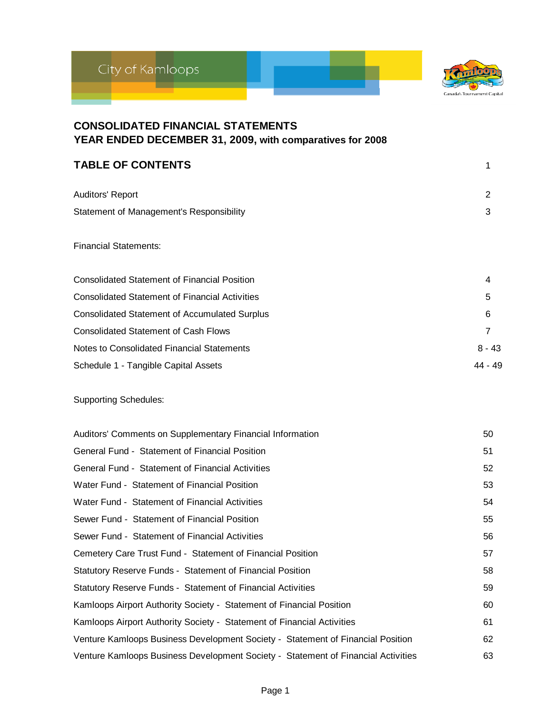



| <b>CONSOLIDATED FINANCIAL STATEMENTS</b><br>YEAR ENDED DECEMBER 31, 2009, with comparatives for 2008 |          |
|------------------------------------------------------------------------------------------------------|----------|
| <b>TABLE OF CONTENTS</b>                                                                             | 1        |
| Auditors' Report                                                                                     | 2        |
| <b>Statement of Management's Responsibility</b>                                                      | 3        |
| <b>Financial Statements:</b>                                                                         |          |
| <b>Consolidated Statement of Financial Position</b>                                                  | 4        |
| <b>Consolidated Statement of Financial Activities</b>                                                | 5        |
| <b>Consolidated Statement of Accumulated Surplus</b>                                                 | 6        |
| <b>Consolidated Statement of Cash Flows</b>                                                          | 7        |
| Notes to Consolidated Financial Statements                                                           | $8 - 43$ |
| Schedule 1 - Tangible Capital Assets                                                                 | 44 - 49  |
| <b>Supporting Schedules:</b>                                                                         |          |
| Auditors' Comments on Supplementary Financial Information                                            | 50       |
| General Fund - Statement of Financial Position                                                       | 51       |
| General Fund - Statement of Financial Activities                                                     | 52       |
| Water Fund - Statement of Financial Position                                                         | 53       |
| Water Fund - Statement of Financial Activities                                                       | 54       |
| Sewer Fund - Statement of Financial Position                                                         | 55       |
| Sewer Fund - Statement of Financial Activities                                                       | 56       |
| Cemetery Care Trust Fund - Statement of Financial Position                                           | 57       |
| Statutory Reserve Funds - Statement of Financial Position                                            | 58       |
| Statutory Reserve Funds - Statement of Financial Activities                                          | 59       |
| Kamloops Airport Authority Society - Statement of Financial Position                                 | 60       |
| Kamloops Airport Authority Society - Statement of Financial Activities                               | 61       |
| Venture Kamloops Business Development Society - Statement of Financial Position                      | 62       |
| Venture Kamloops Business Development Society - Statement of Financial Activities                    | 63       |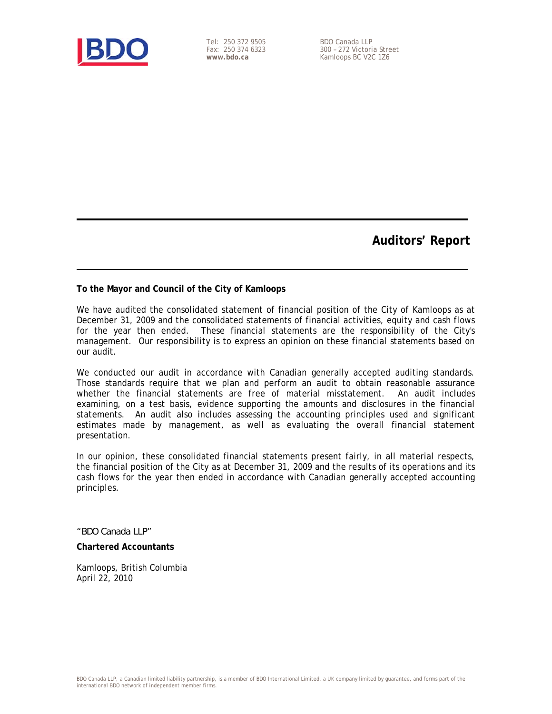

Tel: 250 372 9505 Fax: 250 374 6323 **www.bdo.ca** 

BDO Canada LLP 300 – 272 Victoria Street Kamloops BC V2C 1Z6

**Auditors' Report** 

#### **To the Mayor and Council of the City of Kamloops**

We have audited the consolidated statement of financial position of the City of Kamloops as at December 31, 2009 and the consolidated statements of financial activities, equity and cash flows for the year then ended. These financial statements are the responsibility of the City's management. Our responsibility is to express an opinion on these financial statements based on our audit.

We conducted our audit in accordance with Canadian generally accepted auditing standards. Those standards require that we plan and perform an audit to obtain reasonable assurance whether the financial statements are free of material misstatement. An audit includes examining, on a test basis, evidence supporting the amounts and disclosures in the financial statements. An audit also includes assessing the accounting principles used and significant estimates made by management, as well as evaluating the overall financial statement presentation.

In our opinion, these consolidated financial statements present fairly, in all material respects, the financial position of the City as at December 31, 2009 and the results of its operations and its cash flows for the year then ended in accordance with Canadian generally accepted accounting principles.

*"BDO Canada LLP"* 

**Chartered Accountants** 

Kamloops, British Columbia April 22, 2010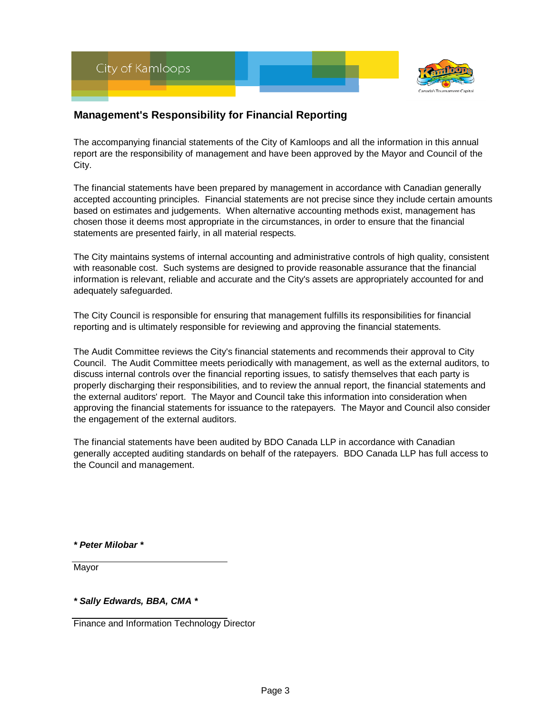

## **Management's Responsibility for Financial Reporting**

The accompanying financial statements of the City of Kamloops and all the information in this annual report are the responsibility of management and have been approved by the Mayor and Council of the City.

The financial statements have been prepared by management in accordance with Canadian generally accepted accounting principles. Financial statements are not precise since they include certain amounts based on estimates and judgements. When alternative accounting methods exist, management has chosen those it deems most appropriate in the circumstances, in order to ensure that the financial statements are presented fairly, in all material respects.

The City maintains systems of internal accounting and administrative controls of high quality, consistent with reasonable cost. Such systems are designed to provide reasonable assurance that the financial information is relevant, reliable and accurate and the City's assets are appropriately accounted for and adequately safeguarded.

The City Council is responsible for ensuring that management fulfills its responsibilities for financial reporting and is ultimately responsible for reviewing and approving the financial statements.

The Audit Committee reviews the City's financial statements and recommends their approval to City Council. The Audit Committee meets periodically with management, as well as the external auditors, to discuss internal controls over the financial reporting issues, to satisfy themselves that each party is properly discharging their responsibilities, and to review the annual report, the financial statements and the external auditors' report. The Mayor and Council take this information into consideration when approving the financial statements for issuance to the ratepayers. The Mayor and Council also consider the engagement of the external auditors.

The financial statements have been audited by BDO Canada LLP in accordance with Canadian generally accepted auditing standards on behalf of the ratepayers. BDO Canada LLP has full access to the Council and management.

*\* Peter Milobar \**

Mayor

*\* Sally Edwards, BBA, CMA \**

Finance and Information Technology Director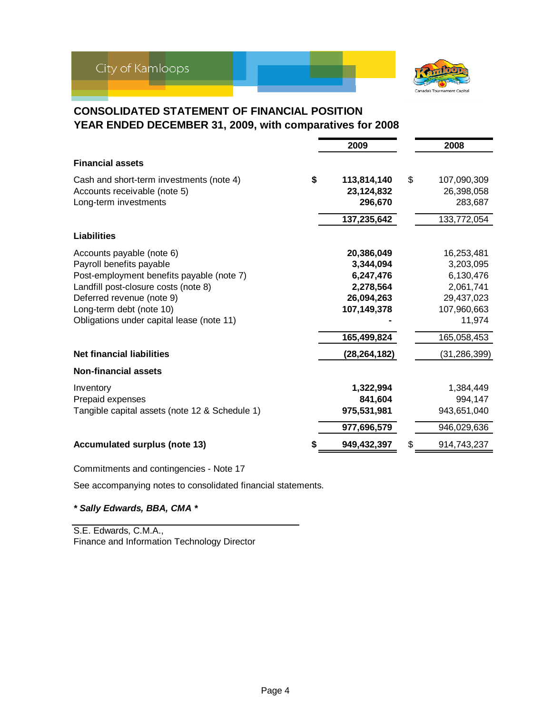

## **CONSOLIDATED STATEMENT OF FINANCIAL POSITION YEAR ENDED DECEMBER 31, 2009, with comparatives for 2008**

|                                                |   | 2009         | 2008              |
|------------------------------------------------|---|--------------|-------------------|
| <b>Financial assets</b>                        |   |              |                   |
| Cash and short-term investments (note 4)       | S | 113,814,140  | \$<br>107,090,309 |
| Accounts receivable (note 5)                   |   | 23,124,832   | 26,398,058        |
| Long-term investments                          |   | 296,670      | 283,687           |
|                                                |   | 137,235,642  | 133,772,054       |
| Liabilities                                    |   |              |                   |
| Accounts payable (note 6)                      |   | 20,386,049   | 16,253,481        |
| Payroll benefits payable                       |   | 3,344,094    | 3,203,095         |
| Post-employment benefits payable (note 7)      |   | 6,247,476    | 6,130,476         |
| Landfill post-closure costs (note 8)           |   | 2,278,564    | 2,061,741         |
| Deferred revenue (note 9)                      |   | 26,094,263   | 29,437,023        |
| Long-term debt (note 10)                       |   | 107,149,378  | 107,960,663       |
| Obligations under capital lease (note 11)      |   |              | 11,974            |
|                                                |   | 165,499,824  | 165,058,453       |
| <b>Net financial liabilities</b>               |   | (28,264,182) | (31,286,399)      |
| <b>Non-financial assets</b>                    |   |              |                   |
| Inventory                                      |   | 1,322,994    | 1,384,449         |
| Prepaid expenses                               |   | 841,604      | 994,147           |
| Tangible capital assets (note 12 & Schedule 1) |   | 975,531,981  | 943,651,040       |
|                                                |   | 977,696,579  | 946,029,636       |
| <b>Accumulated surplus (note 13)</b>           |   | 949,432,397  | \$<br>914,743,237 |

Commitments and contingencies - Note 17

See accompanying notes to consolidated financial statements.

## *\* Sally Edwards, BBA, CMA \**

S.E. Edwards, C.M.A., Finance and Information Technology Director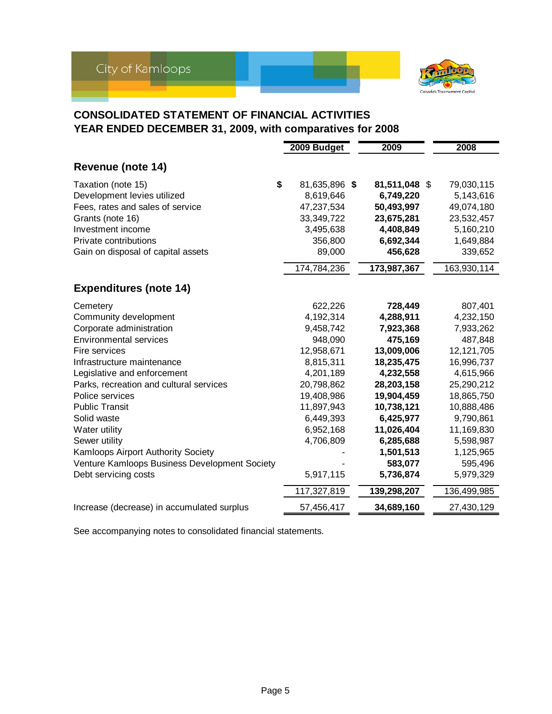

## **CONSOLIDATED STATEMENT OF FINANCIAL ACTIVITIES YEAR ENDED DECEMBER 31, 2009, with comparatives for 2008**

|                                               | 2009 Budget   | 2009          | 2008        |
|-----------------------------------------------|---------------|---------------|-------------|
| Revenue (note 14)                             |               |               |             |
| \$<br>Taxation (note 15)                      | 81,635,896 \$ | 81,511,048 \$ | 79,030,115  |
| Development levies utilized                   | 8,619,646     | 6,749,220     | 5,143,616   |
| Fees, rates and sales of service              | 47,237,534    | 50,493,997    | 49,074,180  |
| Grants (note 16)                              | 33,349,722    | 23,675,281    | 23,532,457  |
| Investment income                             | 3,495,638     | 4,408,849     | 5,160,210   |
| Private contributions                         | 356,800       | 6,692,344     | 1,649,884   |
| Gain on disposal of capital assets            | 89,000        | 456,628       | 339,652     |
|                                               | 174,784,236   | 173,987,367   | 163,930,114 |
| <b>Expenditures (note 14)</b>                 |               |               |             |
| Cemetery                                      | 622,226       | 728,449       | 807,401     |
| Community development                         | 4,192,314     | 4,288,911     | 4,232,150   |
| Corporate administration                      | 9,458,742     | 7,923,368     | 7,933,262   |
| <b>Environmental services</b>                 | 948,090       | 475,169       | 487,848     |
| Fire services                                 | 12,958,671    | 13,009,006    | 12,121,705  |
| Infrastructure maintenance                    | 8,815,311     | 18,235,475    | 16,996,737  |
| Legislative and enforcement                   | 4,201,189     | 4,232,558     | 4,615,966   |
| Parks, recreation and cultural services       | 20,798,862    | 28,203,158    | 25,290,212  |
| Police services                               | 19,408,986    | 19,904,459    | 18,865,750  |
| <b>Public Transit</b>                         | 11,897,943    | 10,738,121    | 10,888,486  |
| Solid waste                                   | 6,449,393     | 6,425,977     | 9,790,861   |
| Water utility                                 | 6,952,168     | 11,026,404    | 11,169,830  |
| Sewer utility                                 | 4,706,809     | 6,285,688     | 5,598,987   |
| Kamloops Airport Authority Society            |               | 1,501,513     | 1,125,965   |
| Venture Kamloops Business Development Society |               | 583,077       | 595,496     |
| Debt servicing costs                          | 5,917,115     | 5,736,874     | 5,979,329   |
|                                               | 117,327,819   | 139,298,207   | 136,499,985 |
| Increase (decrease) in accumulated surplus    | 57,456,417    | 34,689,160    | 27,430,129  |

See accompanying notes to consolidated financial statements.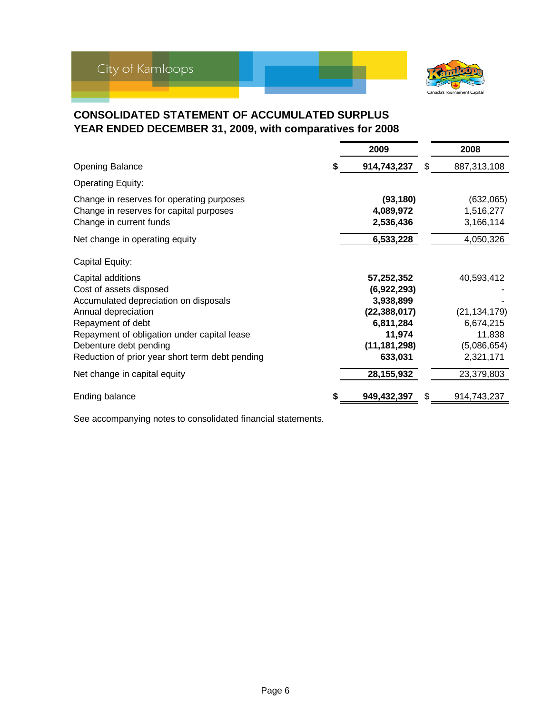

## **CONSOLIDATED STATEMENT OF ACCUMULATED SURPLUS YEAR ENDED DECEMBER 31, 2009, with comparatives for 2008**

|                                                 | 2009           |     | 2008           |
|-------------------------------------------------|----------------|-----|----------------|
| <b>Opening Balance</b>                          | 914,743,237    | \$. | 887,313,108    |
| <b>Operating Equity:</b>                        |                |     |                |
| Change in reserves for operating purposes       | (93, 180)      |     | (632,065)      |
| Change in reserves for capital purposes         | 4,089,972      |     | 1,516,277      |
| Change in current funds                         | 2,536,436      |     | 3,166,114      |
| Net change in operating equity                  | 6,533,228      |     | 4,050,326      |
| Capital Equity:                                 |                |     |                |
| Capital additions                               | 57,252,352     |     | 40,593,412     |
| Cost of assets disposed                         | (6,922,293)    |     |                |
| Accumulated depreciation on disposals           | 3,938,899      |     |                |
| Annual depreciation                             | (22, 388, 017) |     | (21, 134, 179) |
| Repayment of debt                               | 6,811,284      |     | 6,674,215      |
| Repayment of obligation under capital lease     | 11,974         |     | 11,838         |
| Debenture debt pending                          | (11, 181, 298) |     | (5,086,654)    |
| Reduction of prior year short term debt pending | 633,031        |     | 2,321,171      |
| Net change in capital equity                    | 28, 155, 932   |     | 23,379,803     |
| Ending balance                                  | 949,432,397    | \$  | 914,743,237    |

See accompanying notes to consolidated financial statements.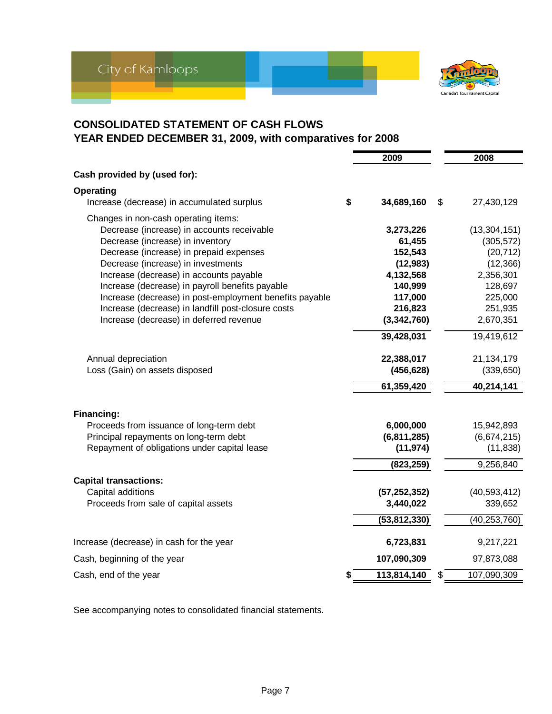

## **CONSOLIDATED STATEMENT OF CASH FLOWS YEAR ENDED DECEMBER 31, 2009, with comparatives for 2008**

|                                                         | 2009              | 2008              |
|---------------------------------------------------------|-------------------|-------------------|
| Cash provided by (used for):                            |                   |                   |
| Operating                                               |                   |                   |
| Increase (decrease) in accumulated surplus              | \$<br>34,689,160  | \$<br>27,430,129  |
| Changes in non-cash operating items:                    |                   |                   |
| Decrease (increase) in accounts receivable              | 3,273,226         | (13, 304, 151)    |
| Decrease (increase) in inventory                        | 61,455            | (305, 572)        |
| Decrease (increase) in prepaid expenses                 | 152,543           | (20, 712)         |
| Decrease (increase) in investments                      | (12, 983)         | (12, 366)         |
| Increase (decrease) in accounts payable                 | 4,132,568         | 2,356,301         |
| Increase (decrease) in payroll benefits payable         | 140,999           | 128,697           |
| Increase (decrease) in post-employment benefits payable | 117,000           | 225,000           |
| Increase (decrease) in landfill post-closure costs      | 216,823           | 251,935           |
| Increase (decrease) in deferred revenue                 | (3,342,760)       | 2,670,351         |
|                                                         | 39,428,031        | 19,419,612        |
| Annual depreciation                                     | 22,388,017        | 21,134,179        |
| Loss (Gain) on assets disposed                          | (456, 628)        | (339, 650)        |
|                                                         | 61,359,420        | 40,214,141        |
| Financing:                                              |                   |                   |
| Proceeds from issuance of long-term debt                | 6,000,000         | 15,942,893        |
| Principal repayments on long-term debt                  | (6,811,285)       | (6,674,215)       |
| Repayment of obligations under capital lease            | (11, 974)         | (11, 838)         |
|                                                         | (823, 259)        | 9,256,840         |
| <b>Capital transactions:</b>                            |                   |                   |
| Capital additions                                       | (57, 252, 352)    | (40, 593, 412)    |
| Proceeds from sale of capital assets                    | 3,440,022         | 339,652           |
|                                                         | (53, 812, 330)    | (40, 253, 760)    |
| Increase (decrease) in cash for the year                | 6,723,831         | 9,217,221         |
| Cash, beginning of the year                             | 107,090,309       | 97,873,088        |
| Cash, end of the year                                   | \$<br>113,814,140 | \$<br>107,090,309 |

See accompanying notes to consolidated financial statements.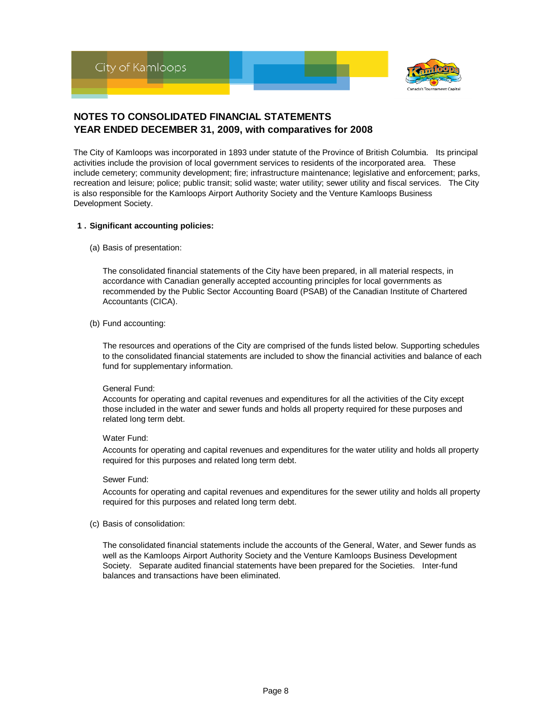

The City of Kamloops was incorporated in 1893 under statute of the Province of British Columbia. Its principal activities include the provision of local government services to residents of the incorporated area. These include cemetery; community development; fire; infrastructure maintenance; legislative and enforcement; parks, recreation and leisure; police; public transit; solid waste; water utility; sewer utility and fiscal services. The City is also responsible for the Kamloops Airport Authority Society and the Venture Kamloops Business Development Society.

#### **1 . Significant accounting policies:**

(a) Basis of presentation:

The consolidated financial statements of the City have been prepared, in all material respects, in accordance with Canadian generally accepted accounting principles for local governments as recommended by the Public Sector Accounting Board (PSAB) of the Canadian Institute of Chartered Accountants (CICA).

(b) Fund accounting:

The resources and operations of the City are comprised of the funds listed below. Supporting schedules to the consolidated financial statements are included to show the financial activities and balance of each fund for supplementary information.

#### General Fund:

Accounts for operating and capital revenues and expenditures for all the activities of the City except those included in the water and sewer funds and holds all property required for these purposes and related long term debt.

#### Water Fund:

Accounts for operating and capital revenues and expenditures for the water utility and holds all property required for this purposes and related long term debt.

#### Sewer Fund:

Accounts for operating and capital revenues and expenditures for the sewer utility and holds all property required for this purposes and related long term debt.

(c) Basis of consolidation:

The consolidated financial statements include the accounts of the General, Water, and Sewer funds as well as the Kamloops Airport Authority Society and the Venture Kamloops Business Development Society. Separate audited financial statements have been prepared for the Societies. Inter-fund balances and transactions have been eliminated.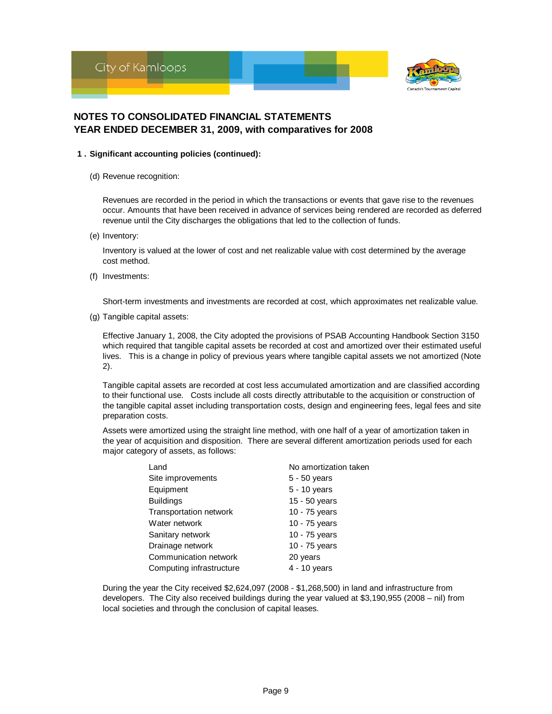

#### **1 . Significant accounting policies (continued):**

(d) Revenue recognition:

Revenues are recorded in the period in which the transactions or events that gave rise to the revenues occur. Amounts that have been received in advance of services being rendered are recorded as deferred revenue until the City discharges the obligations that led to the collection of funds.

(e) Inventory:

Inventory is valued at the lower of cost and net realizable value with cost determined by the average cost method.

(f) Investments:

Short-term investments and investments are recorded at cost, which approximates net realizable value.

(g) Tangible capital assets:

Effective January 1, 2008, the City adopted the provisions of PSAB Accounting Handbook Section 3150 which required that tangible capital assets be recorded at cost and amortized over their estimated useful lives. This is a change in policy of previous years where tangible capital assets we not amortized (Note 2).

Tangible capital assets are recorded at cost less accumulated amortization and are classified according to their functional use. Costs include all costs directly attributable to the acquisition or construction of the tangible capital asset including transportation costs, design and engineering fees, legal fees and site preparation costs.

Assets were amortized using the straight line method, with one half of a year of amortization taken in the year of acquisition and disposition. There are several different amortization periods used for each major category of assets, as follows:

| Land                     | No amortization taken |
|--------------------------|-----------------------|
| Site improvements        | $5 - 50$ years        |
| Equipment                | 5 - 10 years          |
| <b>Buildings</b>         | 15 - 50 years         |
| Transportation network   | 10 - 75 years         |
| Water network            | 10 - 75 years         |
| Sanitary network         | 10 - 75 years         |
| Drainage network         | 10 - 75 years         |
| Communication network    | 20 years              |
| Computing infrastructure | 4 - 10 years          |

During the year the City received \$2,624,097 (2008 - \$1,268,500) in land and infrastructure from developers. The City also received buildings during the year valued at \$3,190,955 (2008 – nil) from local societies and through the conclusion of capital leases.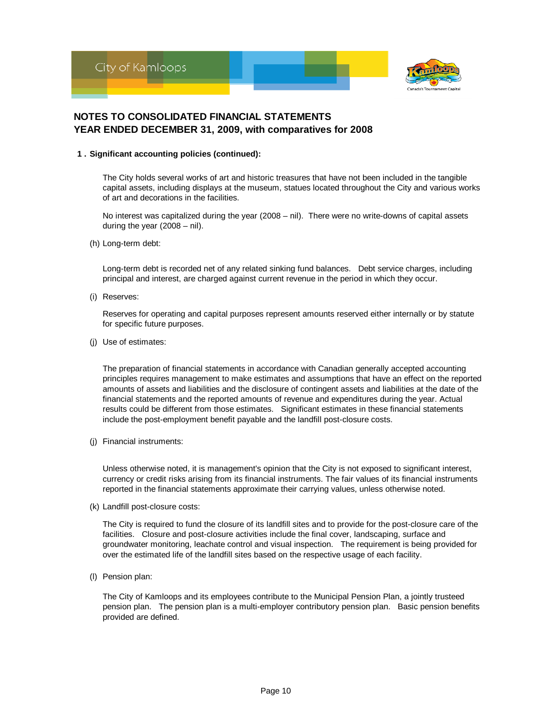

#### **1 . Significant accounting policies (continued):**

The City holds several works of art and historic treasures that have not been included in the tangible capital assets, including displays at the museum, statues located throughout the City and various works of art and decorations in the facilities.

No interest was capitalized during the year (2008 – nil). There were no write-downs of capital assets during the year  $(2008 - \text{nil})$ .

(h) Long-term debt:

Long-term debt is recorded net of any related sinking fund balances. Debt service charges, including principal and interest, are charged against current revenue in the period in which they occur.

(i) Reserves:

Reserves for operating and capital purposes represent amounts reserved either internally or by statute for specific future purposes.

(j) Use of estimates:

The preparation of financial statements in accordance with Canadian generally accepted accounting principles requires management to make estimates and assumptions that have an effect on the reported amounts of assets and liabilities and the disclosure of contingent assets and liabilities at the date of the financial statements and the reported amounts of revenue and expenditures during the year. Actual results could be different from those estimates. Significant estimates in these financial statements include the post-employment benefit payable and the landfill post-closure costs.

(j) Financial instruments:

Unless otherwise noted, it is management's opinion that the City is not exposed to significant interest, currency or credit risks arising from its financial instruments. The fair values of its financial instruments reported in the financial statements approximate their carrying values, unless otherwise noted.

(k) Landfill post-closure costs:

The City is required to fund the closure of its landfill sites and to provide for the post-closure care of the facilities. Closure and post-closure activities include the final cover, landscaping, surface and groundwater monitoring, leachate control and visual inspection. The requirement is being provided for over the estimated life of the landfill sites based on the respective usage of each facility.

(l) Pension plan:

The City of Kamloops and its employees contribute to the Municipal Pension Plan, a jointly trusteed pension plan. The pension plan is a multi-employer contributory pension plan. Basic pension benefits provided are defined.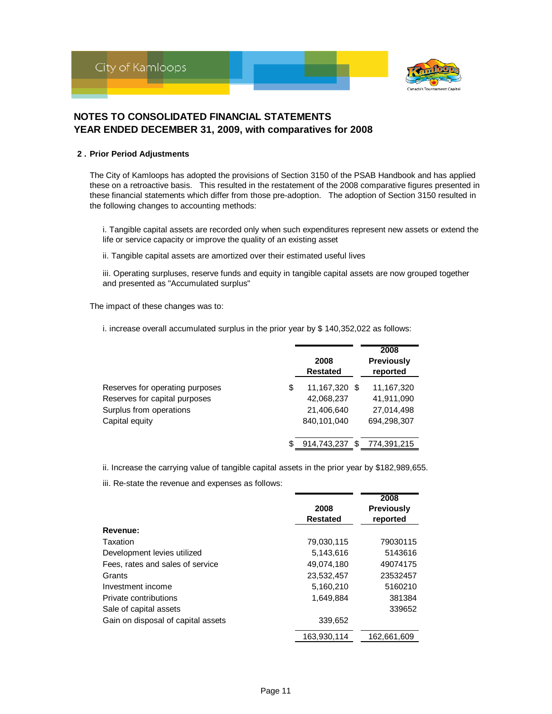

#### **2 . Prior Period Adjustments**

The City of Kamloops has adopted the provisions of Section 3150 of the PSAB Handbook and has applied these on a retroactive basis. This resulted in the restatement of the 2008 comparative figures presented in these financial statements which differ from those pre-adoption. The adoption of Section 3150 resulted in the following changes to accounting methods:

i. Tangible capital assets are recorded only when such expenditures represent new assets or extend the life or service capacity or improve the quality of an existing asset

ii. Tangible capital assets are amortized over their estimated useful lives

iii. Operating surpluses, reserve funds and equity in tangible capital assets are now grouped together and presented as "Accumulated surplus"

The impact of these changes was to:

i. increase overall accumulated surplus in the prior year by \$ 140,352,022 as follows:

|                                 |    | 2008<br><b>Restated</b> | 2008<br><b>Previously</b><br>reported |
|---------------------------------|----|-------------------------|---------------------------------------|
| Reserves for operating purposes | \$ | 11,167,320 \$           | 11,167,320                            |
| Reserves for capital purposes   |    | 42,068,237              | 41,911,090                            |
| Surplus from operations         |    | 21,406,640              | 27,014,498                            |
| Capital equity                  |    | 840,101,040             | 694,298,307                           |
|                                 | S  | 914.743.237             | \$<br>774.391.215                     |
|                                 |    |                         |                                       |

ii. Increase the carrying value of tangible capital assets in the prior year by \$182,989,655.

iii. Re-state the revenue and expenses as follows:

|                                    | 2008<br><b>Restated</b> | 2008<br><b>Previously</b><br>reported |
|------------------------------------|-------------------------|---------------------------------------|
| Revenue:                           |                         |                                       |
| Taxation                           | 79,030,115              | 79030115                              |
| Development levies utilized        | 5,143,616               | 5143616                               |
| Fees, rates and sales of service   | 49.074.180              | 49074175                              |
| Grants                             | 23,532,457              | 23532457                              |
| Investment income                  | 5,160,210               | 5160210                               |
| Private contributions              | 1,649,884               | 381384                                |
| Sale of capital assets             |                         | 339652                                |
| Gain on disposal of capital assets | 339,652                 |                                       |
|                                    | 163,930,114             | 162,661,609                           |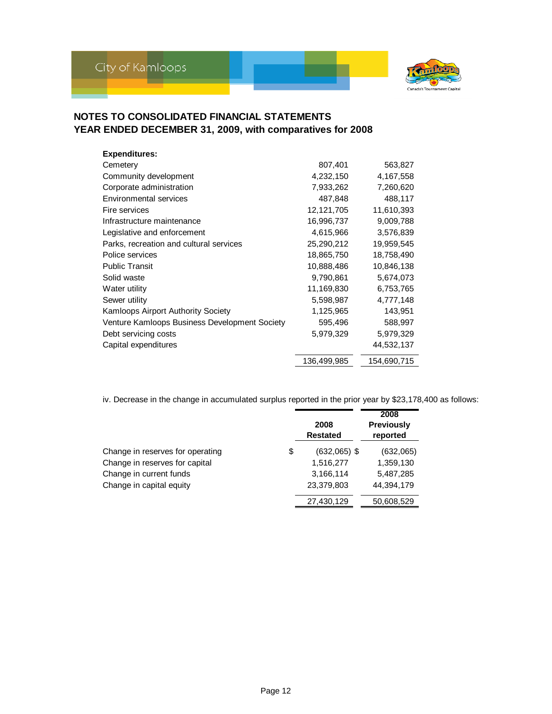

| <b>Expenditures:</b>                          |             |             |
|-----------------------------------------------|-------------|-------------|
| Cemetery                                      | 807,401     | 563,827     |
| Community development                         | 4,232,150   | 4,167,558   |
| Corporate administration                      | 7,933,262   | 7,260,620   |
| <b>Environmental services</b>                 | 487,848     | 488,117     |
| Fire services                                 | 12,121,705  | 11,610,393  |
| Infrastructure maintenance                    | 16,996,737  | 9,009,788   |
| Legislative and enforcement                   | 4,615,966   | 3,576,839   |
| Parks, recreation and cultural services       | 25,290,212  | 19,959,545  |
| Police services                               | 18,865,750  | 18,758,490  |
| <b>Public Transit</b>                         | 10,888,486  | 10,846,138  |
| Solid waste                                   | 9,790,861   | 5,674,073   |
| Water utility                                 | 11,169,830  | 6,753,765   |
| Sewer utility                                 | 5,598,987   | 4,777,148   |
| Kamloops Airport Authority Society            | 1,125,965   | 143,951     |
| Venture Kamloops Business Development Society | 595,496     | 588,997     |
| Debt servicing costs                          | 5,979,329   | 5,979,329   |
| Capital expenditures                          |             | 44,532,137  |
|                                               | 136,499,985 | 154,690,715 |
|                                               |             |             |

iv. Decrease in the change in accumulated surplus reported in the prior year by \$23,178,400 as follows:

|                                  | 2008<br><b>Restated</b> | 2008<br><b>Previously</b><br>reported |
|----------------------------------|-------------------------|---------------------------------------|
| Change in reserves for operating | \$<br>$(632,065)$ \$    | (632,065)                             |
| Change in reserves for capital   | 1,516,277               | 1,359,130                             |
| Change in current funds          | 3,166,114               | 5,487,285                             |
| Change in capital equity         | 23,379,803              | 44,394,179                            |
|                                  | 27,430,129              | 50,608,529                            |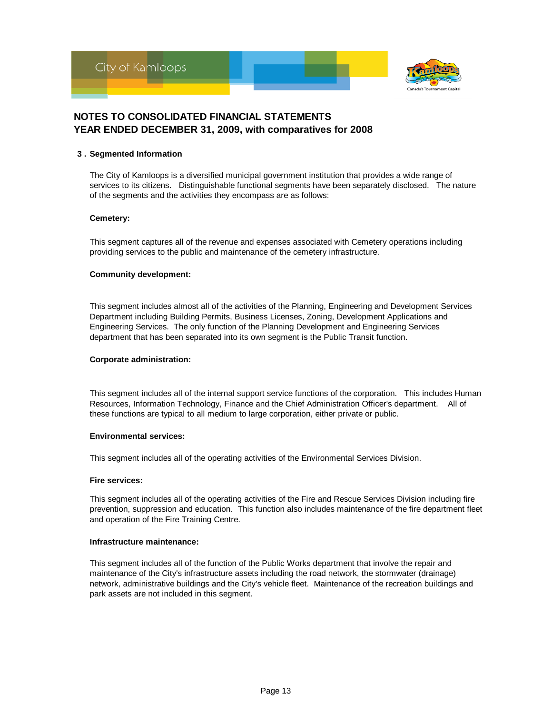

#### **3 . Segmented Information**

The City of Kamloops is a diversified municipal government institution that provides a wide range of services to its citizens. Distinguishable functional segments have been separately disclosed. The nature of the segments and the activities they encompass are as follows:

#### **Cemetery:**

This segment captures all of the revenue and expenses associated with Cemetery operations including providing services to the public and maintenance of the cemetery infrastructure.

#### **Community development:**

This segment includes almost all of the activities of the Planning, Engineering and Development Services Department including Building Permits, Business Licenses, Zoning, Development Applications and Engineering Services. The only function of the Planning Development and Engineering Services department that has been separated into its own segment is the Public Transit function.

#### **Corporate administration:**

This segment includes all of the internal support service functions of the corporation. This includes Human Resources, Information Technology, Finance and the Chief Administration Officer's department. All of these functions are typical to all medium to large corporation, either private or public.

#### **Environmental services:**

This segment includes all of the operating activities of the Environmental Services Division.

#### **Fire services:**

This segment includes all of the operating activities of the Fire and Rescue Services Division including fire prevention, suppression and education. This function also includes maintenance of the fire department fleet and operation of the Fire Training Centre.

#### **Infrastructure maintenance:**

This segment includes all of the function of the Public Works department that involve the repair and maintenance of the City's infrastructure assets including the road network, the stormwater (drainage) network, administrative buildings and the City's vehicle fleet. Maintenance of the recreation buildings and park assets are not included in this segment.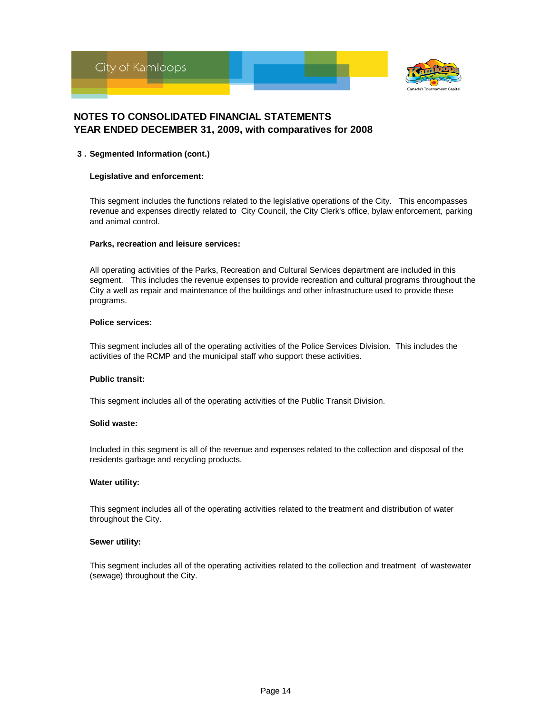

#### **3 . Segmented Information (cont.)**

#### **Legislative and enforcement:**

This segment includes the functions related to the legislative operations of the City. This encompasses revenue and expenses directly related to City Council, the City Clerk's office, bylaw enforcement, parking and animal control.

#### **Parks, recreation and leisure services:**

All operating activities of the Parks, Recreation and Cultural Services department are included in this segment. This includes the revenue expenses to provide recreation and cultural programs throughout the City a well as repair and maintenance of the buildings and other infrastructure used to provide these programs.

#### **Police services:**

This segment includes all of the operating activities of the Police Services Division. This includes the activities of the RCMP and the municipal staff who support these activities.

#### **Public transit:**

This segment includes all of the operating activities of the Public Transit Division.

#### **Solid waste:**

Included in this segment is all of the revenue and expenses related to the collection and disposal of the residents garbage and recycling products.

#### **Water utility:**

This segment includes all of the operating activities related to the treatment and distribution of water throughout the City.

#### **Sewer utility:**

This segment includes all of the operating activities related to the collection and treatment of wastewater (sewage) throughout the City.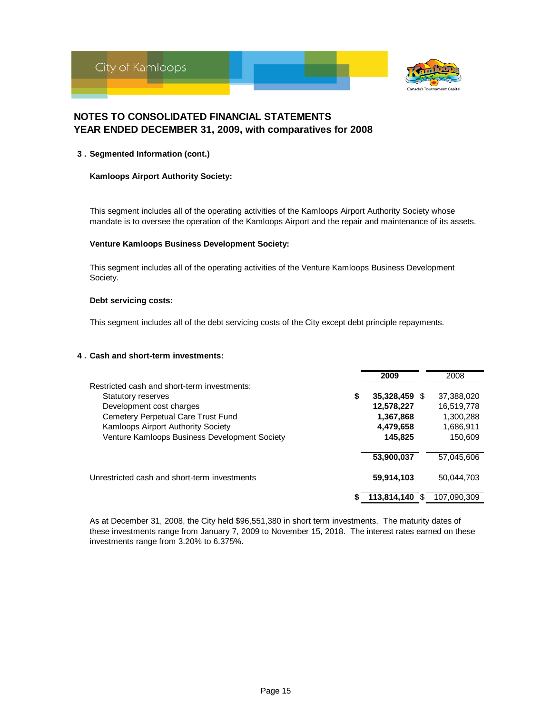

#### **3 . Segmented Information (cont.)**

#### **Kamloops Airport Authority Society:**

This segment includes all of the operating activities of the Kamloops Airport Authority Society whose mandate is to oversee the operation of the Kamloops Airport and the repair and maintenance of its assets.

#### **Venture Kamloops Business Development Society:**

This segment includes all of the operating activities of the Venture Kamloops Business Development Society.

#### **Debt servicing costs:**

This segment includes all of the debt servicing costs of the City except debt principle repayments.

#### **4 . Cash and short-term investments:**

|                                               | 2009          | 2008        |
|-----------------------------------------------|---------------|-------------|
| Restricted cash and short-term investments:   |               |             |
| \$<br>Statutory reserves                      | 35,328,459 \$ | 37,388,020  |
| Development cost charges                      | 12,578,227    | 16,519,778  |
| Cemetery Perpetual Care Trust Fund            | 1,367,868     | 1,300,288   |
| Kamloops Airport Authority Society            | 4,479,658     | 1,686,911   |
| Venture Kamloops Business Development Society | 145,825       | 150,609     |
|                                               | 53,900,037    | 57,045,606  |
| Unrestricted cash and short-term investments  | 59,914,103    | 50,044,703  |
|                                               | 113,814,140   | 107.090.309 |

As at December 31, 2008, the City held \$96,551,380 in short term investments. The maturity dates of these investments range from January 7, 2009 to November 15, 2018. The interest rates earned on these investments range from 3.20% to 6.375%.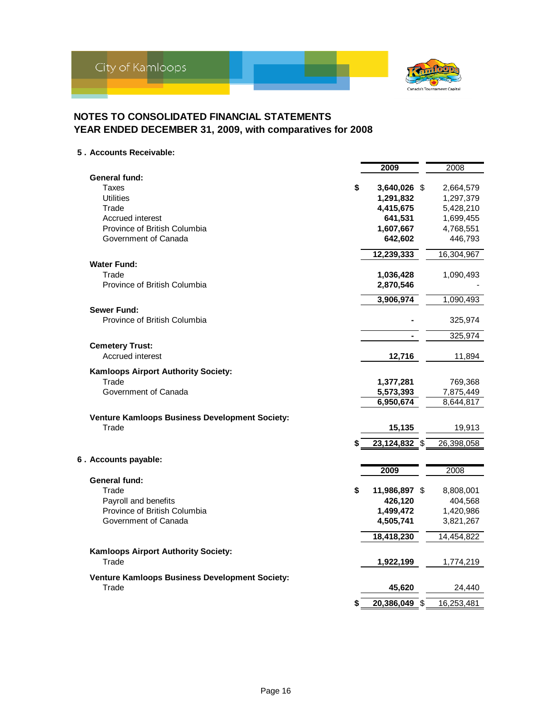

**5 . Accounts Receivable:**

|                                                | 2009                | 2008       |
|------------------------------------------------|---------------------|------------|
| <b>General fund:</b>                           |                     |            |
| Taxes                                          | \$<br>3,640,026 \$  | 2,664,579  |
| <b>Utilities</b>                               | 1,291,832           | 1,297,379  |
| Trade                                          | 4,415,675           | 5,428,210  |
| Accrued interest                               | 641,531             | 1,699,455  |
| Province of British Columbia                   | 1,607,667           | 4,768,551  |
| Government of Canada                           | 642,602             | 446,793    |
|                                                | 12,239,333          | 16,304,967 |
| <b>Water Fund:</b>                             |                     |            |
| Trade                                          | 1,036,428           | 1,090,493  |
| Province of British Columbia                   | 2,870,546           |            |
|                                                | 3,906,974           | 1,090,493  |
| <b>Sewer Fund:</b>                             |                     |            |
| Province of British Columbia                   |                     | 325,974    |
|                                                |                     | 325,974    |
| <b>Cemetery Trust:</b>                         |                     |            |
| Accrued interest                               | 12,716              | 11,894     |
| Kamloops Airport Authority Society:            |                     |            |
| Trade                                          | 1,377,281           | 769,368    |
| Government of Canada                           | 5,573,393           | 7,875,449  |
|                                                | 6,950,674           | 8,644,817  |
| Venture Kamloops Business Development Society: |                     |            |
| Trade                                          | 15,135              | 19,913     |
|                                                |                     |            |
|                                                | 23,124,832 \$       | 26,398,058 |
| 6. Accounts payable:                           |                     |            |
|                                                | 2009                | 2008       |
| <b>General fund:</b>                           |                     |            |
| Trade                                          | \$<br>11,986,897 \$ | 8,808,001  |
| Payroll and benefits                           | 426,120             | 404,568    |
| Province of British Columbia                   | 1,499,472           | 1,420,986  |
| Government of Canada                           | 4,505,741           | 3,821,267  |
|                                                | 18,418,230          | 14,454,822 |
| Kamloops Airport Authority Society:            |                     |            |
| Trade                                          | 1,922,199           | 1,774,219  |
| Venture Kamloops Business Development Society: |                     |            |
| Trade                                          | 45,620              | 24,440     |
|                                                | \$<br>20,386,049 \$ | 16,253,481 |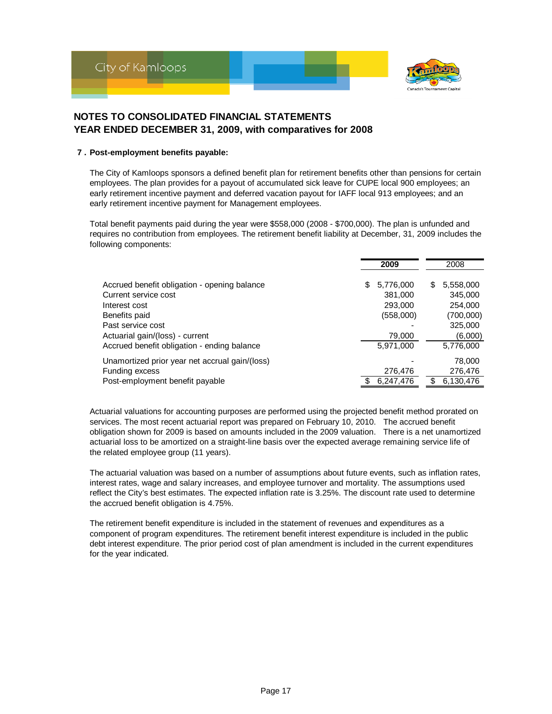

#### **7 . Post-employment benefits payable:**

The City of Kamloops sponsors a defined benefit plan for retirement benefits other than pensions for certain employees. The plan provides for a payout of accumulated sick leave for CUPE local 900 employees; an early retirement incentive payment and deferred vacation payout for IAFF local 913 employees; and an early retirement incentive payment for Management employees.

Total benefit payments paid during the year were \$558,000 (2008 - \$700,000). The plan is unfunded and requires no contribution from employees. The retirement benefit liability at December, 31, 2009 includes the following components:

|                                                | 2009           | 2008            |
|------------------------------------------------|----------------|-----------------|
| Accrued benefit obligation - opening balance   | 5,776,000<br>S | \$<br>5,558,000 |
| Current service cost                           | 381,000        | 345,000         |
| Interest cost                                  | 293,000        | 254,000         |
| Benefits paid                                  | (558,000)      | (700,000)       |
| Past service cost                              |                | 325,000         |
| Actuarial gain/(loss) - current                | 79,000         | (6,000)         |
| Accrued benefit obligation - ending balance    | 5,971,000      | 5,776,000       |
| Unamortized prior year net accrual gain/(loss) |                | 78,000          |
| Funding excess                                 | 276,476        | 276,476         |
| Post-employment benefit payable                | 6,247,476      | 6,130,476       |

Actuarial valuations for accounting purposes are performed using the projected benefit method prorated on services. The most recent actuarial report was prepared on February 10, 2010. The accrued benefit obligation shown for 2009 is based on amounts included in the 2009 valuation. There is a net unamortized actuarial loss to be amortized on a straight-line basis over the expected average remaining service life of the related employee group (11 years).

The actuarial valuation was based on a number of assumptions about future events, such as inflation rates, interest rates, wage and salary increases, and employee turnover and mortality. The assumptions used reflect the City's best estimates. The expected inflation rate is 3.25%. The discount rate used to determine the accrued benefit obligation is 4.75%.

The retirement benefit expenditure is included in the statement of revenues and expenditures as a component of program expenditures. The retirement benefit interest expenditure is included in the public debt interest expenditure. The prior period cost of plan amendment is included in the current expenditures for the year indicated.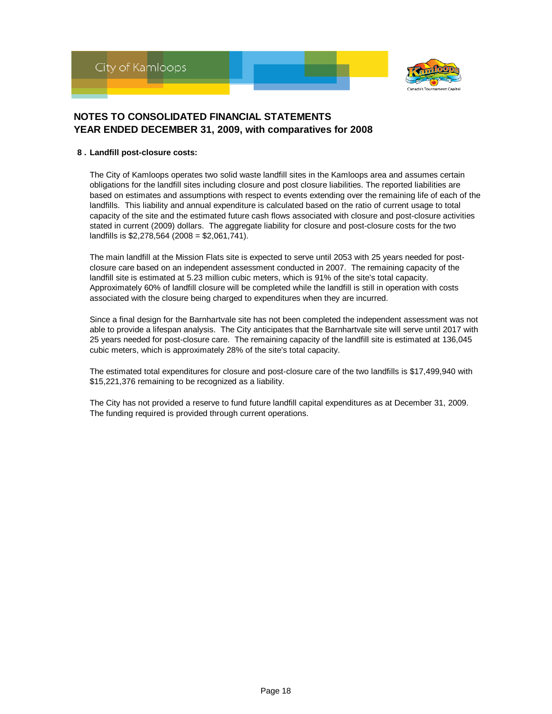

#### **8 . Landfill post-closure costs:**

The City of Kamloops operates two solid waste landfill sites in the Kamloops area and assumes certain obligations for the landfill sites including closure and post closure liabilities. The reported liabilities are based on estimates and assumptions with respect to events extending over the remaining life of each of the landfills. This liability and annual expenditure is calculated based on the ratio of current usage to total capacity of the site and the estimated future cash flows associated with closure and post-closure activities stated in current (2009) dollars. The aggregate liability for closure and post-closure costs for the two landfills is \$2,278,564 (2008 = \$2,061,741).

The main landfill at the Mission Flats site is expected to serve until 2053 with 25 years needed for postclosure care based on an independent assessment conducted in 2007. The remaining capacity of the landfill site is estimated at 5.23 million cubic meters, which is 91% of the site's total capacity. Approximately 60% of landfill closure will be completed while the landfill is still in operation with costs associated with the closure being charged to expenditures when they are incurred.

Since a final design for the Barnhartvale site has not been completed the independent assessment was not able to provide a lifespan analysis. The City anticipates that the Barnhartvale site will serve until 2017 with 25 years needed for post-closure care. The remaining capacity of the landfill site is estimated at 136,045 cubic meters, which is approximately 28% of the site's total capacity.

The estimated total expenditures for closure and post-closure care of the two landfills is \$17,499,940 with \$15,221,376 remaining to be recognized as a liability.

The City has not provided a reserve to fund future landfill capital expenditures as at December 31, 2009. The funding required is provided through current operations.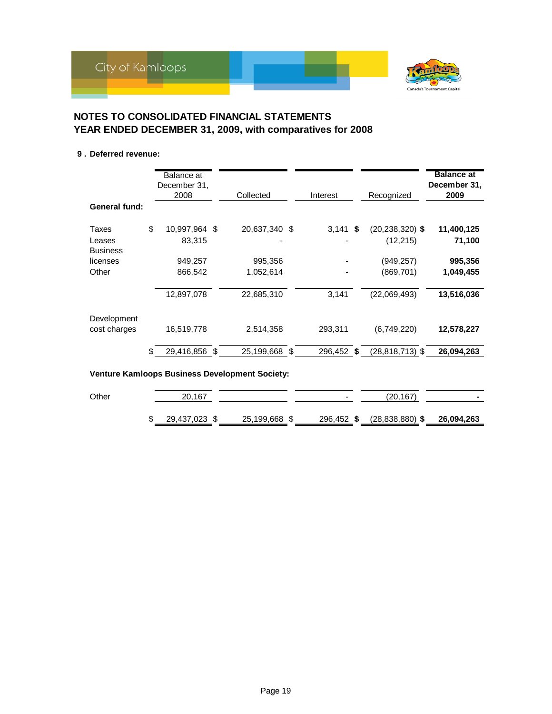## **9 . Deferred revenue:**

| <b>General fund:</b>        | Balance at<br>December 31,<br>2008 | Collected        | Interest         | Recognized          | <b>Balance at</b><br>December 31,<br>2009 |
|-----------------------------|------------------------------------|------------------|------------------|---------------------|-------------------------------------------|
| Taxes                       | \$<br>10,997,964 \$                | 20,637,340 \$    | $3,141$ \$       | $(20, 238, 320)$ \$ | 11,400,125                                |
| Leases<br><b>Business</b>   | 83,315                             |                  |                  | (12, 215)           | 71,100                                    |
| licenses                    | 949,257                            | 995,356          |                  | (949,257)           | 995,356                                   |
| Other                       | 866,542                            | 1,052,614        |                  | (869, 701)          | 1,049,455                                 |
|                             | 12,897,078                         | 22,685,310       | 3.141            | (22,069,493)        | 13,516,036                                |
| Development<br>cost charges | 16,519,778                         | 2,514,358        | 293,311          | (6,749,220)         | 12,578,227                                |
|                             | \$<br>29,416,856                   | \$<br>25,199,668 | \$<br>296,452 \$ | $(28, 818, 713)$ \$ | 26,094,263                                |

### **Venture Kamloops Business Development Society:**

| Other | 20.167        |               | $\overline{\phantom{a}}$ | (20, 167)       |            |
|-------|---------------|---------------|--------------------------|-----------------|------------|
|       | 29,437,023 \$ | 25,199,668 \$ | 296,452 \$               | (28,838,880) \$ | 26,094,263 |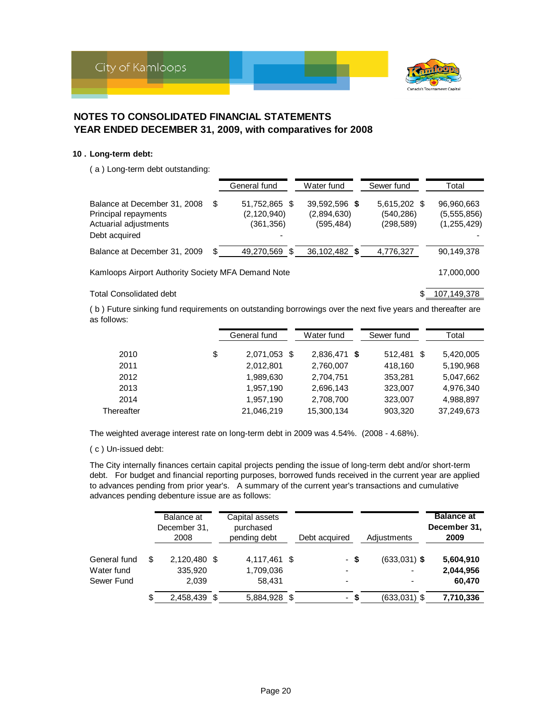

#### **10 . Long-term debt:**

( a ) Long-term debt outstanding:

|                                                                                                |    | General fund                               | Water fund                                 |  | Sewer fund                               |  | Total                                    |  |  |
|------------------------------------------------------------------------------------------------|----|--------------------------------------------|--------------------------------------------|--|------------------------------------------|--|------------------------------------------|--|--|
| Balance at December 31, 2008<br>Principal repayments<br>Actuarial adjustments<br>Debt acquired | \$ | 51,752,865 \$<br>(2,120,940)<br>(361, 356) | 39,592,596 \$<br>(2,894,630)<br>(595, 484) |  | 5,615,202 \$<br>(540, 286)<br>(298, 589) |  | 96,960,663<br>(5,555,856)<br>(1,255,429) |  |  |
| Balance at December 31, 2009                                                                   | \$ | 49,270,569<br>- \$                         | 36,102,482 \$                              |  | 4,776,327                                |  | 90,149,378                               |  |  |
| Kamloops Airport Authority Society MFA Demand Note<br>17,000,000                               |    |                                            |                                            |  |                                          |  |                                          |  |  |

## Total Consolidated debt  $\sqrt{3}$  107,149,378

( b ) Future sinking fund requirements on outstanding borrowings over the next five years and thereafter are as follows:

|            | General fund       | Water fund   | Sewer fund | Total      |
|------------|--------------------|--------------|------------|------------|
| 2010       | \$<br>2,071,053 \$ | 2,836,471 \$ | 512.481 \$ | 5,420,005  |
| 2011       | 2,012,801          | 2,760,007    | 418,160    | 5,190,968  |
| 2012       | 1,989,630          | 2,704,751    | 353,281    | 5,047,662  |
| 2013       | 1,957,190          | 2,696,143    | 323,007    | 4,976,340  |
| 2014       | 1,957,190          | 2,708,700    | 323,007    | 4,988,897  |
| Thereafter | 21,046,219         | 15,300,134   | 903,320    | 37,249,673 |
|            |                    |              |            |            |

The weighted average interest rate on long-term debt in 2009 was 4.54%. (2008 - 4.68%).

( c ) Un-issued debt:

The City internally finances certain capital projects pending the issue of long-term debt and/or short-term debt. For budget and financial reporting purposes, borrowed funds received in the current year are applied to advances pending from prior year's. A summary of the current year's transactions and cumulative advances pending debenture issue are as follows:

|              | Balance at<br>December 31,<br>2008 | Capital assets<br>purchased<br>pending debt | Debt acquired            |      | Adiustments              | <b>Balance at</b><br>December 31.<br>2009 |
|--------------|------------------------------------|---------------------------------------------|--------------------------|------|--------------------------|-------------------------------------------|
| General fund | \$<br>2,120,480 \$                 | 4,117,461 \$                                |                          | - \$ | $(633,031)$ \$           | 5,604,910                                 |
| Water fund   | 335,920                            | 1,709,036                                   |                          |      |                          | 2,044,956                                 |
| Sewer Fund   | 2,039                              | 58,431                                      | $\overline{\phantom{0}}$ |      | $\overline{\phantom{0}}$ | 60,470                                    |
|              | 2,458,439 \$                       | 5,884,928 \$                                |                          | - \$ | (633,031) \$             | 7,710,336                                 |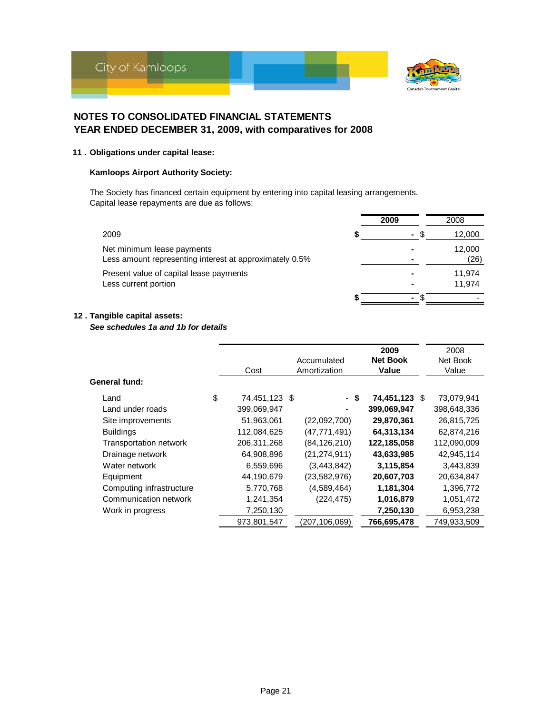

#### **11 . Obligations under capital lease:**

#### **Kamloops Airport Authority Society:**

Capital lease repayments are due as follows: The Society has financed certain equipment by entering into capital leasing arrangements.

|                                                                                       | 2009        | 2008             |
|---------------------------------------------------------------------------------------|-------------|------------------|
| 2009                                                                                  | $\sim$<br>ъ | 12,000           |
| Net minimum lease payments<br>Less amount representing interest at approximately 0.5% | -           | 12,000<br>(26)   |
| Present value of capital lease payments<br>Less current portion                       |             | 11.974<br>11.974 |
|                                                                                       | $\sim$      |                  |

#### **12 . Tangible capital assets:**

#### *See schedules 1a and 1b for details*

|                               |                     |                 | 2009            | 2008        |
|-------------------------------|---------------------|-----------------|-----------------|-------------|
|                               |                     | Accumulated     | <b>Net Book</b> | Net Book    |
|                               | Cost                | Amortization    | Value           | Value       |
| General fund:                 |                     |                 |                 |             |
| Land                          | \$<br>74,451,123 \$ | - \$            | 74,451,123 \$   | 73,079,941  |
| Land under roads              | 399,069,947         |                 | 399,069,947     | 398,648,336 |
| Site improvements             | 51,963,061          | (22,092,700)    | 29,870,361      | 26,815,725  |
| <b>Buildings</b>              | 112,084,625         | (47, 771, 491)  | 64,313,134      | 62,874,216  |
| <b>Transportation network</b> | 206,311,268         | (84, 126, 210)  | 122,185,058     | 112,090,009 |
| Drainage network              | 64,908,896          | (21, 274, 911)  | 43,633,985      | 42,945,114  |
| Water network                 | 6,559,696           | (3,443,842)     | 3,115,854       | 3,443,839   |
| Equipment                     | 44,190,679          | (23, 582, 976)  | 20,607,703      | 20,634,847  |
| Computing infrastructure      | 5,770,768           | (4,589,464)     | 1,181,304       | 1,396,772   |
| Communication network         | 1,241,354           | (224, 475)      | 1,016,879       | 1,051,472   |
| Work in progress              | 7,250,130           |                 | 7,250,130       | 6,953,238   |
|                               | 973,801,547         | (207, 106, 069) | 766,695,478     | 749,933,509 |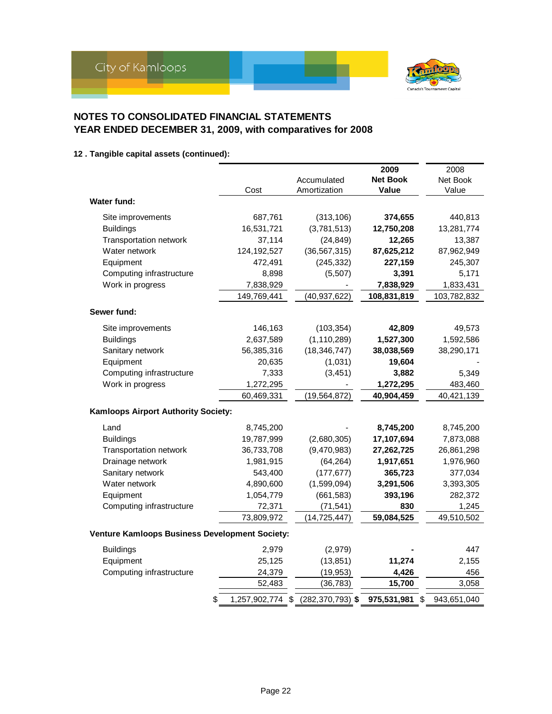

## **12 . Tangible capital assets (continued):**

|                                                |               |                                   | 2009              | 2008        |
|------------------------------------------------|---------------|-----------------------------------|-------------------|-------------|
|                                                |               | Accumulated                       | <b>Net Book</b>   | Net Book    |
|                                                | Cost          | Amortization                      | Value             | Value       |
| Water fund:                                    |               |                                   |                   |             |
| Site improvements                              | 687,761       | (313, 106)                        | 374,655           | 440,813     |
| <b>Buildings</b>                               | 16,531,721    | (3,781,513)                       | 12,750,208        | 13,281,774  |
| Transportation network                         | 37,114        | (24, 849)                         | 12,265            | 13,387      |
| Water network                                  | 124, 192, 527 | (36, 567, 315)                    | 87,625,212        | 87,962,949  |
| Equipment                                      | 472,491       | (245, 332)                        | 227,159           | 245,307     |
| Computing infrastructure                       | 8,898         | (5,507)                           | 3,391             | 5,171       |
| Work in progress                               | 7,838,929     |                                   | 7,838,929         | 1,833,431   |
|                                                | 149,769,441   | (40, 937, 622)                    | 108,831,819       | 103,782,832 |
| Sewer fund:                                    |               |                                   |                   |             |
| Site improvements                              | 146,163       | (103, 354)                        | 42,809            | 49,573      |
| <b>Buildings</b>                               | 2,637,589     | (1, 110, 289)                     | 1,527,300         | 1,592,586   |
| Sanitary network                               | 56,385,316    | (18, 346, 747)                    | 38,038,569        | 38,290,171  |
| Equipment                                      | 20,635        | (1,031)                           | 19,604            |             |
| Computing infrastructure                       | 7,333         | (3, 451)                          | 3,882             | 5,349       |
| Work in progress                               | 1,272,295     |                                   | 1,272,295         | 483,460     |
|                                                | 60,469,331    | (19, 564, 872)                    | 40,904,459        | 40,421,139  |
| Kamloops Airport Authority Society:            |               |                                   |                   |             |
| Land                                           | 8,745,200     |                                   | 8,745,200         | 8,745,200   |
| <b>Buildings</b>                               | 19,787,999    | (2,680,305)                       | 17,107,694        | 7,873,088   |
| Transportation network                         | 36,733,708    | (9,470,983)                       | 27,262,725        | 26,861,298  |
| Drainage network                               | 1,981,915     | (64, 264)                         | 1,917,651         | 1,976,960   |
| Sanitary network                               | 543,400       | (177, 677)                        | 365,723           | 377,034     |
| Water network                                  | 4,890,600     | (1,599,094)                       | 3,291,506         | 3,393,305   |
| Equipment                                      | 1,054,779     | (661, 583)                        | 393,196           | 282,372     |
| Computing infrastructure                       | 72,371        | (71, 541)                         | 830               | 1,245       |
|                                                | 73,809,972    | (14, 725, 447)                    | 59,084,525        | 49,510,502  |
| Venture Kamloops Business Development Society: |               |                                   |                   |             |
| <b>Buildings</b>                               | 2,979         | (2,979)                           |                   | 447         |
| Equipment                                      | 25,125        | (13, 851)                         | 11,274            | 2,155       |
| Computing infrastructure                       | 24,379        | (19, 953)                         | 4,426             | 456         |
|                                                | 52,483        | (36, 783)                         | 15,700            | 3,058       |
| \$                                             |               | 1,257,902,774 \$ (282,370,793) \$ | 975,531,981<br>\$ | 943,651,040 |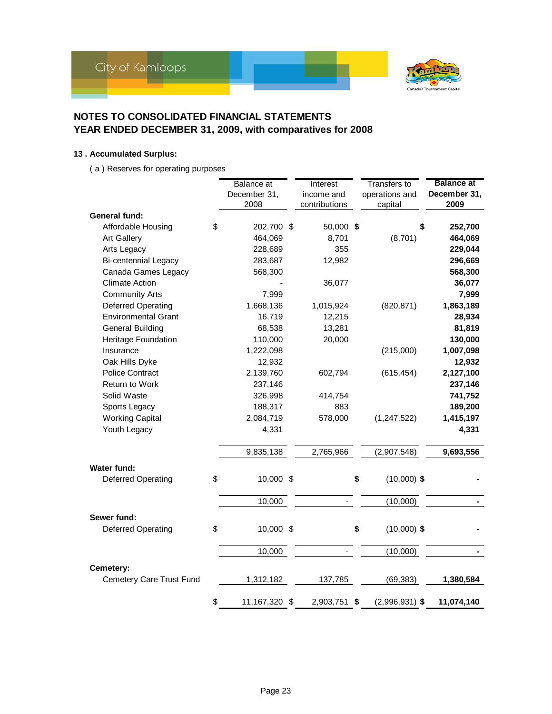

## **13 . Accumulated Surplus:**

( a ) Reserves for operating purposes

|                             | Balance at          | Interest      | <b>Transfers to</b>    | <b>Balance at</b> |
|-----------------------------|---------------------|---------------|------------------------|-------------------|
|                             | December 31,        | income and    | operations and         | December 31,      |
|                             | 2008                | contributions | capital                | 2009              |
| <b>General fund:</b>        |                     |               |                        |                   |
| Affordable Housing          | \$<br>202,700 \$    | 50,000 \$     |                        | \$<br>252,700     |
| <b>Art Gallery</b>          | 464,069             | 8,701         | (8,701)                | 464,069           |
| Arts Legacy                 | 228,689             | 355           |                        | 229,044           |
| <b>Bi-centennial Legacy</b> | 283,687             | 12,982        |                        | 296,669           |
| Canada Games Legacy         | 568,300             |               |                        | 568,300           |
| <b>Climate Action</b>       |                     | 36,077        |                        | 36,077            |
| <b>Community Arts</b>       | 7,999               |               |                        | 7,999             |
| <b>Deferred Operating</b>   | 1,668,136           | 1,015,924     | (820, 871)             | 1,863,189         |
| <b>Environmental Grant</b>  | 16,719              | 12,215        |                        | 28,934            |
| <b>General Building</b>     | 68,538              | 13,281        |                        | 81,819            |
| Heritage Foundation         | 110,000             | 20,000        |                        | 130,000           |
| Insurance                   | 1,222,098           |               | (215,000)              | 1,007,098         |
| Oak Hills Dyke              | 12,932              |               |                        | 12,932            |
| <b>Police Contract</b>      | 2,139,760           | 602,794       | (615, 454)             | 2,127,100         |
| Return to Work              | 237,146             |               |                        | 237,146           |
| Solid Waste                 | 326,998             | 414,754       |                        | 741,752           |
| Sports Legacy               | 188,317             | 883           |                        | 189,200           |
| <b>Working Capital</b>      | 2,084,719           | 578,000       | (1, 247, 522)          | 1,415,197         |
| Youth Legacy                | 4,331               |               |                        | 4,331             |
|                             | 9,835,138           | 2,765,966     | (2,907,548)            | 9,693,556         |
| <b>Water fund:</b>          |                     |               |                        |                   |
| Deferred Operating          | \$<br>10,000 \$     |               | \$<br>$(10,000)$ \$    |                   |
|                             | 10,000              |               | (10,000)               |                   |
| Sewer fund:                 |                     |               |                        |                   |
| Deferred Operating          | \$<br>10,000 \$     |               | \$<br>$(10,000)$ \$    |                   |
|                             | 10,000              |               | (10,000)               |                   |
| Cemetery:                   |                     |               |                        |                   |
| Cemetery Care Trust Fund    | 1,312,182           | 137,785       | (69, 383)              | 1,380,584         |
|                             | \$<br>11,167,320 \$ | 2,903,751     | \$<br>$(2,996,931)$ \$ | 11,074,140        |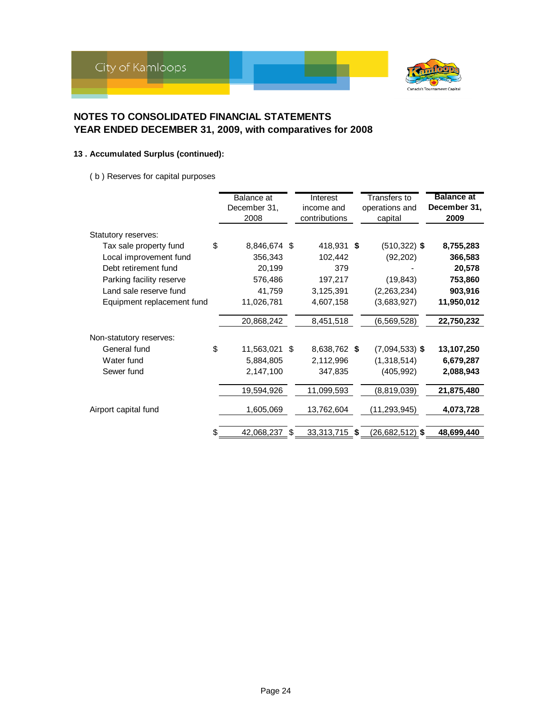## **13 . Accumulated Surplus (continued):**

( b ) Reserves for capital purposes

|                            | Balance at<br>December 31,<br>2008 |     | Interest<br>income and<br>contributions |      | Transfers to<br>operations and<br>capital | <b>Balance at</b><br>December 31,<br>2009 |  |
|----------------------------|------------------------------------|-----|-----------------------------------------|------|-------------------------------------------|-------------------------------------------|--|
| Statutory reserves:        |                                    |     |                                         |      |                                           |                                           |  |
| Tax sale property fund     | \$<br>8,846,674 \$                 |     | 418,931 \$                              |      | $(510, 322)$ \$                           | 8,755,283                                 |  |
| Local improvement fund     | 356,343                            |     | 102,442                                 |      | (92, 202)                                 | 366,583                                   |  |
| Debt retirement fund       | 20,199                             |     | 379                                     |      |                                           | 20,578                                    |  |
| Parking facility reserve   | 576,486                            |     | 197,217                                 |      | (19, 843)                                 | 753,860                                   |  |
| Land sale reserve fund     | 41,759                             |     | 3,125,391                               |      | (2,263,234)                               | 903,916                                   |  |
| Equipment replacement fund | 11,026,781                         |     | 4,607,158                               |      | (3,683,927)                               | 11,950,012                                |  |
|                            | 20,868,242                         |     | 8,451,518                               |      | (6, 569, 528)                             | 22,750,232                                |  |
| Non-statutory reserves:    |                                    |     |                                         |      |                                           |                                           |  |
| General fund               | \$<br>11,563,021                   | \$  | 8,638,762 \$                            |      | $(7,094,533)$ \$                          | 13,107,250                                |  |
| Water fund                 | 5,884,805                          |     | 2,112,996                               |      | (1,318,514)                               | 6,679,287                                 |  |
| Sewer fund                 | 2,147,100                          |     | 347,835                                 |      | (405, 992)                                | 2,088,943                                 |  |
|                            | 19,594,926                         |     | 11,099,593                              |      | (8,819,039)                               | 21,875,480                                |  |
| Airport capital fund       | 1,605,069                          |     | 13,762,604                              |      | (11,293,945)                              | 4,073,728                                 |  |
|                            | 42,068,237                         | \$. | 33,313,715                              | - \$ | (26,682,512) \$                           | 48,699,440                                |  |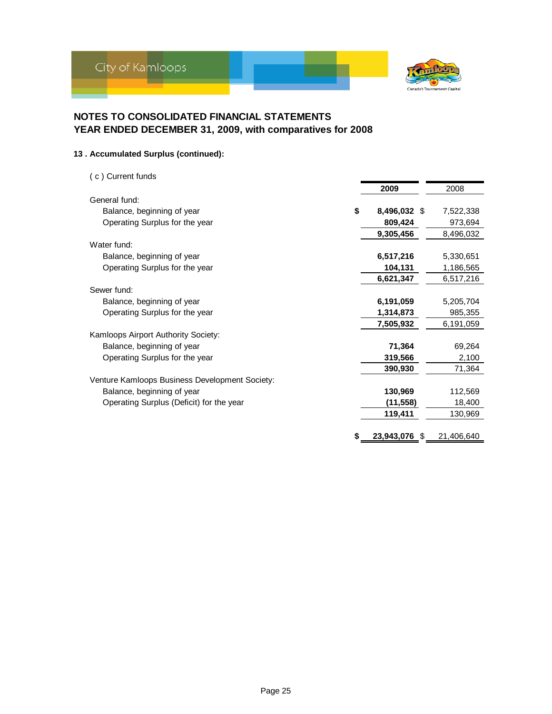



## **13 . Accumulated Surplus (continued):**

| (c) Current funds                              |                     |            |
|------------------------------------------------|---------------------|------------|
|                                                | 2009                | 2008       |
| General fund:                                  |                     |            |
| Balance, beginning of year                     | \$<br>8,496,032 \$  | 7,522,338  |
| Operating Surplus for the year                 | 809,424             | 973,694    |
|                                                | 9,305,456           | 8,496,032  |
| Water fund:                                    |                     |            |
| Balance, beginning of year                     | 6,517,216           | 5,330,651  |
| Operating Surplus for the year                 | 104,131             | 1,186,565  |
|                                                | 6,621,347           | 6,517,216  |
| Sewer fund:                                    |                     |            |
| Balance, beginning of year                     | 6,191,059           | 5,205,704  |
| Operating Surplus for the year                 | 1,314,873           | 985,355    |
|                                                | 7,505,932           | 6,191,059  |
| Kamloops Airport Authority Society:            |                     |            |
| Balance, beginning of year                     | 71,364              | 69,264     |
| Operating Surplus for the year                 | 319,566             | 2,100      |
|                                                | 390,930             | 71,364     |
| Venture Kamloops Business Development Society: |                     |            |
| Balance, beginning of year                     | 130,969             | 112,569    |
| Operating Surplus (Deficit) for the year       | (11, 558)           | 18,400     |
|                                                | 119,411             | 130,969    |
|                                                |                     |            |
|                                                | \$<br>23,943,076 \$ | 21,406,640 |
|                                                |                     |            |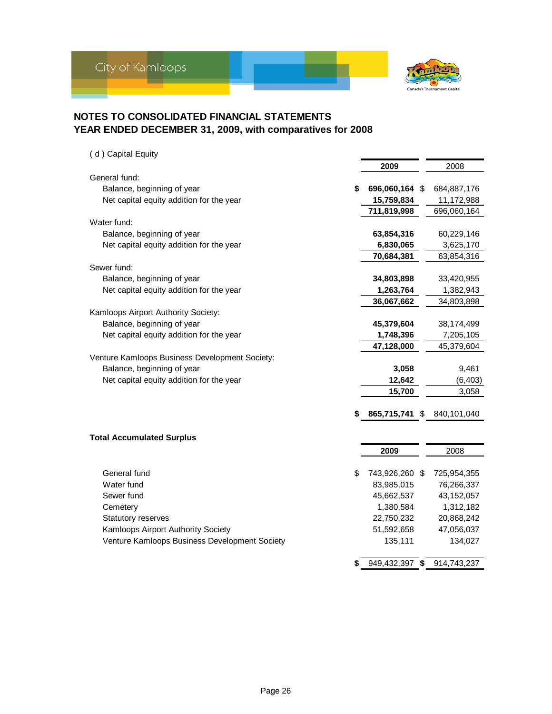

| (d) Capital Equity                             |                |             |
|------------------------------------------------|----------------|-------------|
|                                                | 2009           | 2008        |
| General fund:                                  |                |             |
| Balance, beginning of year<br>\$               | 696,060,164 \$ | 684,887,176 |
| Net capital equity addition for the year       | 15,759,834     | 11,172,988  |
|                                                | 711,819,998    | 696,060,164 |
| Water fund:                                    |                |             |
| Balance, beginning of year                     | 63,854,316     | 60,229,146  |
| Net capital equity addition for the year       | 6,830,065      | 3,625,170   |
|                                                | 70,684,381     | 63,854,316  |
| Sewer fund:                                    |                |             |
| Balance, beginning of year                     | 34,803,898     | 33,420,955  |
| Net capital equity addition for the year       | 1,263,764      | 1,382,943   |
|                                                | 36,067,662     | 34,803,898  |
| Kamloops Airport Authority Society:            |                |             |
| Balance, beginning of year                     | 45,379,604     | 38,174,499  |
| Net capital equity addition for the year       | 1,748,396      | 7,205,105   |
|                                                | 47,128,000     | 45,379,604  |
| Venture Kamloops Business Development Society: |                |             |
| Balance, beginning of year                     | 3,058          | 9,461       |
| Net capital equity addition for the year       | 12,642         | (6, 403)    |
|                                                | 15,700         | 3,058       |
|                                                |                |             |
| \$                                             | 865,715,741 \$ | 840,101,040 |
|                                                |                |             |
| <b>Total Accumulated Surplus</b>               |                |             |
|                                                | 2009           | 2008        |
| General fund<br>\$                             | 743,926,260 \$ | 725,954,355 |
| Water fund                                     | 83,985,015     | 76,266,337  |
| Sewer fund                                     | 45,662,537     | 43,152,057  |
| Cemetery                                       | 1,380,584      | 1,312,182   |
| Statutory reserves                             | 22,750,232     | 20,868,242  |
| Kamloops Airport Authority Society             | 51,592,658     | 47,056,037  |
| Venture Kamloops Business Development Society  | 135,111        | 134,027     |
|                                                |                |             |
| \$                                             | 949,432,397 \$ | 914,743,237 |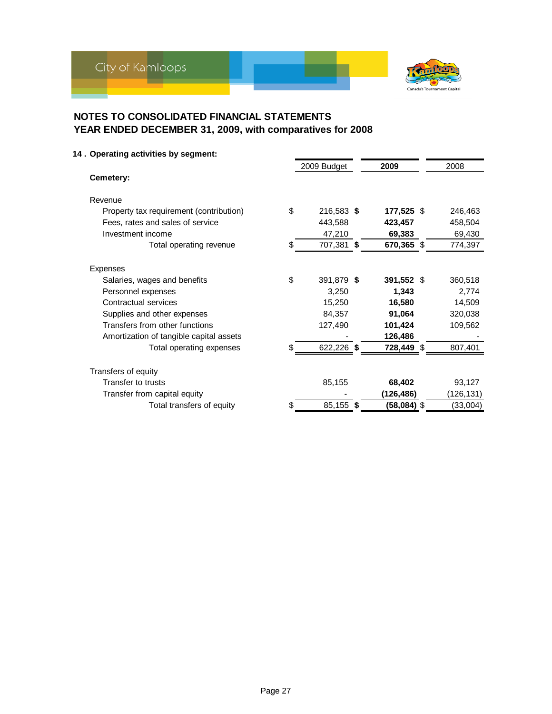

| 14. Operating activities by segment:    |                    |             |           |
|-----------------------------------------|--------------------|-------------|-----------|
|                                         | 2009 Budget        | 2009        | 2008      |
| Cemetery:                               |                    |             |           |
| Revenue                                 |                    |             |           |
| Property tax requirement (contribution) | \$<br>216,583 \$   | 177,525 \$  | 246,463   |
| Fees, rates and sales of service        | 443,588            | 423,457     | 458,504   |
| Investment income                       | 47,210             | 69,383      | 69,430    |
| Total operating revenue                 | \$<br>707,381 \$   | 670,365 \$  | 774,397   |
| <b>Expenses</b>                         |                    |             |           |
| Salaries, wages and benefits            | \$<br>391,879 \$   | 391,552 \$  | 360,518   |
| Personnel expenses                      | 3,250              | 1,343       | 2,774     |
| Contractual services                    | 15,250             | 16,580      | 14,509    |
| Supplies and other expenses             | 84,357             | 91,064      | 320,038   |
| Transfers from other functions          | 127,490            | 101,424     | 109,562   |
| Amortization of tangible capital assets |                    | 126,486     |           |
| Total operating expenses                | \$<br>622,226 \$   | 728,449 \$  | 807,401   |
| Transfers of equity                     |                    |             |           |
| Transfer to trusts                      | 85,155             | 68,402      | 93,127    |
| Transfer from capital equity            |                    | (126,486)   | (126,131) |
| Total transfers of equity               | \$<br>85,155<br>\$ | (58,084) \$ | (33,004)  |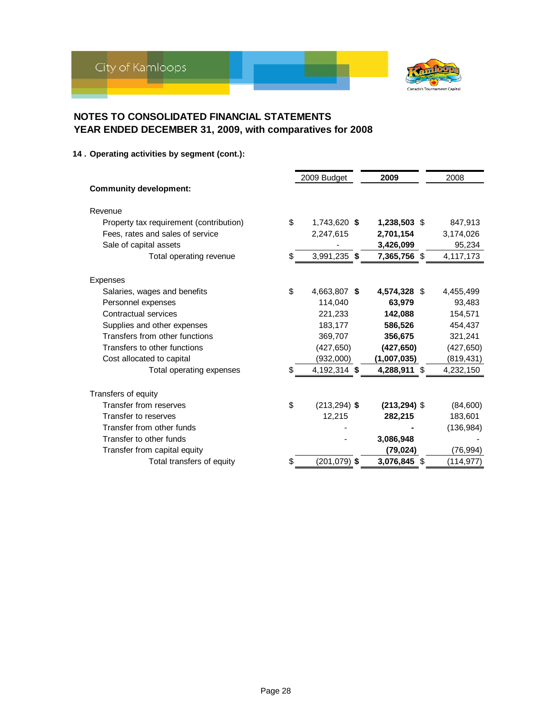

## **14 . Operating activities by segment (cont.):**

|                                         |    | 2009 Budget     | 2009            |    | 2008       |
|-----------------------------------------|----|-----------------|-----------------|----|------------|
| <b>Community development:</b>           |    |                 |                 |    |            |
| Revenue                                 |    |                 |                 |    |            |
| Property tax requirement (contribution) | \$ | 1,743,620 \$    | 1,238,503 \$    |    | 847,913    |
| Fees, rates and sales of service        |    | 2,247,615       | 2,701,154       |    | 3,174,026  |
| Sale of capital assets                  |    |                 | 3,426,099       |    | 95,234     |
| Total operating revenue                 | \$ | 3,991,235 \$    | 7,365,756 \$    |    | 4,117,173  |
| <b>Expenses</b>                         |    |                 |                 |    |            |
| Salaries, wages and benefits            | \$ | 4,663,807 \$    | 4,574,328 \$    |    | 4,455,499  |
| Personnel expenses                      |    | 114,040         | 63,979          |    | 93,483     |
| Contractual services                    |    | 221,233         | 142,088         |    | 154,571    |
| Supplies and other expenses             |    | 183,177         | 586,526         |    | 454,437    |
| Transfers from other functions          |    | 369,707         | 356,675         |    | 321,241    |
| Transfers to other functions            |    | (427, 650)      | (427, 650)      |    | (427, 650) |
| Cost allocated to capital               |    | (932,000)       | (1,007,035)     |    | (819, 431) |
| Total operating expenses                | S  | 4,192,314 \$    | 4,288,911       | -S | 4,232,150  |
| Transfers of equity                     |    |                 |                 |    |            |
| Transfer from reserves                  | \$ | $(213, 294)$ \$ | $(213, 294)$ \$ |    | (84,600)   |
| Transfer to reserves                    |    | 12,215          | 282,215         |    | 183,601    |
| Transfer from other funds               |    |                 |                 |    | (136, 984) |
| Transfer to other funds                 |    |                 | 3,086,948       |    |            |
| Transfer from capital equity            |    |                 | (79, 024)       |    | (76,994)   |
| Total transfers of equity               | \$ | $(201, 079)$ \$ | 3,076,845 \$    |    | (114,977)  |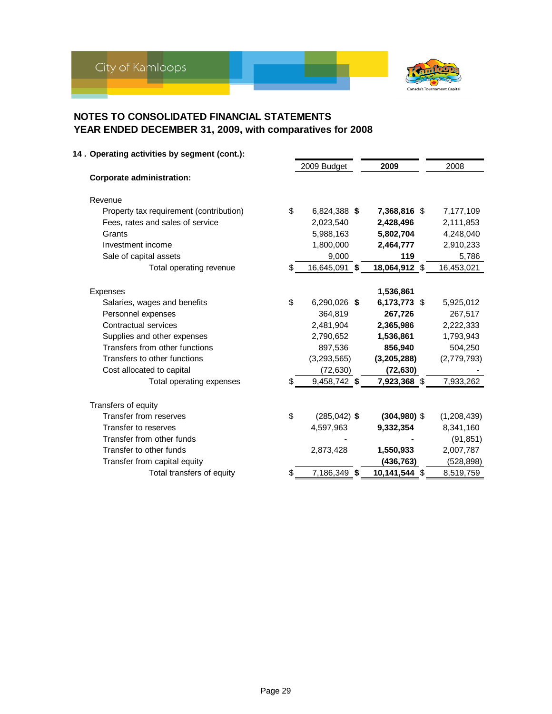

| 14. Operating activities by segment (cont.): |                        |                  |             |
|----------------------------------------------|------------------------|------------------|-------------|
|                                              | 2009 Budget            | 2009             | 2008        |
| <b>Corporate administration:</b>             |                        |                  |             |
| Revenue                                      |                        |                  |             |
| Property tax requirement (contribution)      | \$<br>6,824,388 \$     | 7,368,816 \$     | 7,177,109   |
| Fees, rates and sales of service             | 2,023,540              | 2,428,496        | 2,111,853   |
| Grants                                       | 5,988,163              | 5,802,704        | 4,248,040   |
| Investment income                            | 1,800,000              | 2,464,777        | 2,910,233   |
| Sale of capital assets                       | 9,000                  | 119              | 5,786       |
| Total operating revenue                      | \$<br>16,645,091<br>\$ | 18,064,912<br>\$ | 16,453,021  |
|                                              |                        |                  |             |
| <b>Expenses</b>                              |                        | 1,536,861        |             |
| Salaries, wages and benefits                 | \$<br>6,290,026 \$     | 6,173,773 \$     | 5,925,012   |
| Personnel expenses                           | 364,819                | 267,726          | 267,517     |
| Contractual services                         | 2,481,904              | 2,365,986        | 2,222,333   |
| Supplies and other expenses                  | 2,790,652              | 1,536,861        | 1,793,943   |
| Transfers from other functions               | 897,536                | 856,940          | 504,250     |
| Transfers to other functions                 | (3, 293, 565)          | (3,205,288)      | (2,779,793) |
| Cost allocated to capital                    | (72, 630)              | (72, 630)        |             |
| Total operating expenses                     | \$<br>9,458,742 \$     | 7,923,368 \$     | 7,933,262   |
| Transfers of equity                          |                        |                  |             |
| Transfer from reserves                       | \$<br>$(285, 042)$ \$  | $(304, 980)$ \$  | (1,208,439) |
| Transfer to reserves                         | 4,597,963              | 9,332,354        | 8,341,160   |
| Transfer from other funds                    |                        |                  | (91, 851)   |
| Transfer to other funds                      | 2,873,428              | 1,550,933        | 2,007,787   |
| Transfer from capital equity                 |                        | (436, 763)       | (528, 898)  |
| Total transfers of equity                    | \$<br>7,186,349 \$     | 10,141,544 \$    | 8,519,759   |

Page 29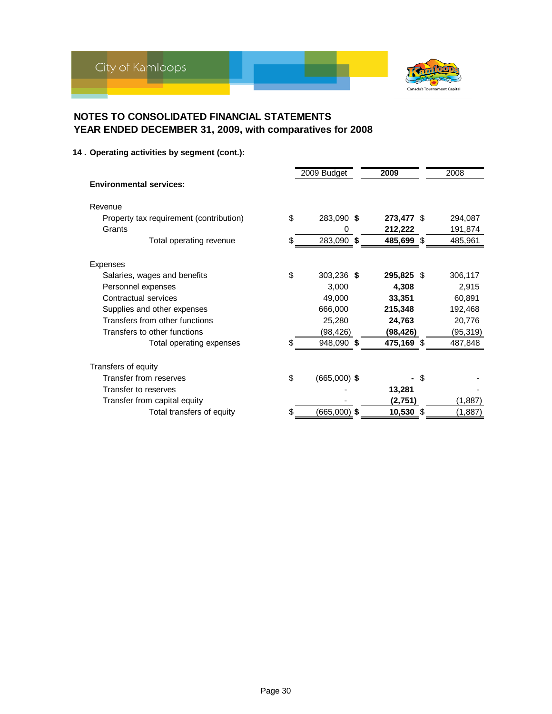

## **14 . Operating activities by segment (cont.):**

|                                         |    | 2009 Budget    | 2009       | 2008     |
|-----------------------------------------|----|----------------|------------|----------|
| <b>Environmental services:</b>          |    |                |            |          |
| Revenue                                 |    |                |            |          |
| Property tax requirement (contribution) | \$ | 283,090 \$     | 273,477 \$ | 294,087  |
| Grants                                  |    |                | 212,222    | 191,874  |
| Total operating revenue                 | \$ | 283,090 \$     | 485,699 \$ | 485,961  |
|                                         |    |                |            |          |
| Expenses                                |    |                |            |          |
| Salaries, wages and benefits            | \$ | 303,236 \$     | 295,825 \$ | 306,117  |
| Personnel expenses                      |    | 3,000          | 4,308      | 2,915    |
| Contractual services                    |    | 49,000         | 33,351     | 60,891   |
| Supplies and other expenses             |    | 666,000        | 215,348    | 192,468  |
| Transfers from other functions          |    | 25,280         | 24,763     | 20,776   |
| Transfers to other functions            |    | (98,426)       | (98, 426)  | (95,319) |
| Total operating expenses                | S  | 948,090 \$     | 475,169 \$ | 487,848  |
| Transfers of equity                     |    |                |            |          |
| Transfer from reserves                  | \$ | $(665,000)$ \$ |            | \$       |
| Transfer to reserves                    |    |                | 13,281     |          |
| Transfer from capital equity            |    |                | (2,751)    | (1,887)  |
| Total transfers of equity               | \$ | (665,000) \$   | 10,530 \$  | (1,887)  |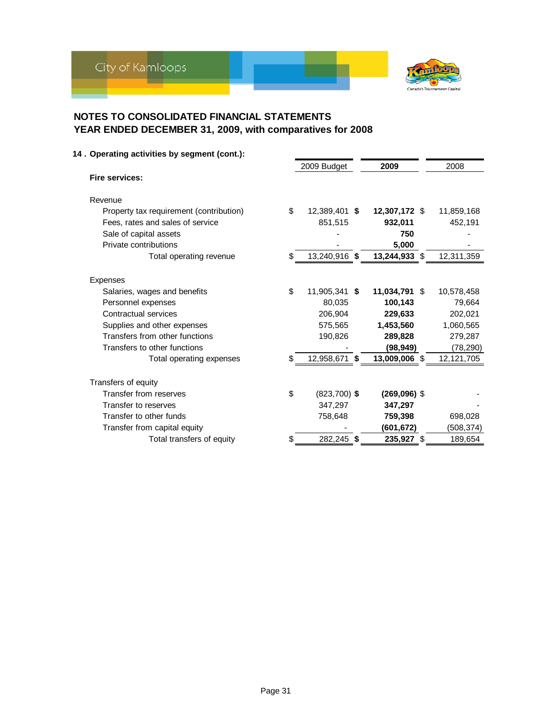

| 14. Operating activities by segment (cont.): |                      |                |            |
|----------------------------------------------|----------------------|----------------|------------|
|                                              | 2009 Budget          | 2009           | 2008       |
| <b>Fire services:</b>                        |                      |                |            |
| Revenue                                      |                      |                |            |
| Property tax requirement (contribution)      | \$<br>12,389,401 \$  | 12,307,172 \$  | 11,859,168 |
| Fees, rates and sales of service             | 851,515              | 932,011        | 452,191    |
| Sale of capital assets                       |                      | 750            |            |
| Private contributions                        |                      | 5,000          |            |
| Total operating revenue                      | \$<br>13,240,916 \$  | 13,244,933 \$  | 12,311,359 |
| <b>Expenses</b>                              |                      |                |            |
| Salaries, wages and benefits                 | \$<br>11,905,341 \$  | 11,034,791 \$  | 10,578,458 |
|                                              | 80,035               | 100,143        | 79,664     |
| Personnel expenses<br>Contractual services   |                      |                |            |
|                                              | 206,904              | 229,633        | 202,021    |
| Supplies and other expenses                  | 575,565              | 1,453,560      | 1,060,565  |
| Transfers from other functions               | 190,826              | 289,828        | 279,287    |
| Transfers to other functions                 |                      | (98, 949)      | (78, 290)  |
| Total operating expenses                     | \$<br>12,958,671 \$  | 13,009,006 \$  | 12,121,705 |
| Transfers of equity                          |                      |                |            |
| Transfer from reserves                       | \$<br>$(823,700)$ \$ | $(269,096)$ \$ |            |
| Transfer to reserves                         | 347,297              | 347,297        |            |
| Transfer to other funds                      | 758,648              | 759,398        | 698,028    |
| Transfer from capital equity                 |                      | (601,672)      | (508,374)  |
| Total transfers of equity                    | \$<br>282,245<br>\$  | 235,927 \$     | 189,654    |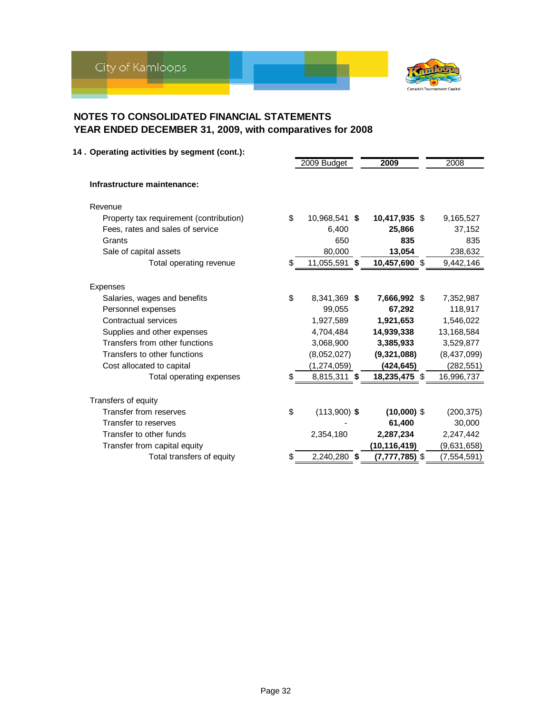

| 14. Operating activities by segment (cont.): |     |                |      |                  |               |
|----------------------------------------------|-----|----------------|------|------------------|---------------|
|                                              |     | 2009 Budget    | 2009 |                  | 2008          |
| Infrastructure maintenance:                  |     |                |      |                  |               |
| Revenue                                      |     |                |      |                  |               |
| Property tax requirement (contribution)      | \$  | 10,968,541 \$  |      | 10,417,935 \$    | 9,165,527     |
| Fees, rates and sales of service             |     | 6,400          |      | 25,866           | 37,152        |
| Grants                                       |     | 650            |      | 835              | 835           |
| Sale of capital assets                       |     | 80,000         |      | 13,054           | 238,632       |
| Total operating revenue                      | \$  | 11,055,591     | \$   | 10,457,690 \$    | 9,442,146     |
| <b>Expenses</b>                              |     |                |      |                  |               |
| Salaries, wages and benefits                 | \$  | 8,341,369 \$   |      | 7,666,992 \$     | 7,352,987     |
| Personnel expenses                           |     | 99,055         |      | 67,292           | 118,917       |
| Contractual services                         |     | 1,927,589      |      | 1,921,653        | 1,546,022     |
| Supplies and other expenses                  |     | 4,704,484      |      | 14,939,338       | 13,168,584    |
| Transfers from other functions               |     | 3,068,900      |      | 3,385,933        | 3,529,877     |
| Transfers to other functions                 |     | (8,052,027)    |      | (9,321,088)      | (8,437,099)   |
| Cost allocated to capital                    |     | (1, 274, 059)  |      | (424, 645)       | (282, 551)    |
| Total operating expenses                     | \$. | 8,815,311 \$   |      | 18,235,475 \$    | 16,996,737    |
| Transfers of equity                          |     |                |      |                  |               |
| Transfer from reserves                       | \$  | $(113,900)$ \$ |      | $(10,000)$ \$    | (200, 375)    |
| Transfer to reserves                         |     |                |      | 61,400           | 30,000        |
| Transfer to other funds                      |     | 2,354,180      |      | 2,287,234        | 2,247,442     |
| Transfer from capital equity                 |     |                |      | (10,116,419)     | (9,631,658)   |
| Total transfers of equity                    | \$  | 2,240,280 \$   |      | $(7,777,785)$ \$ | (7, 554, 591) |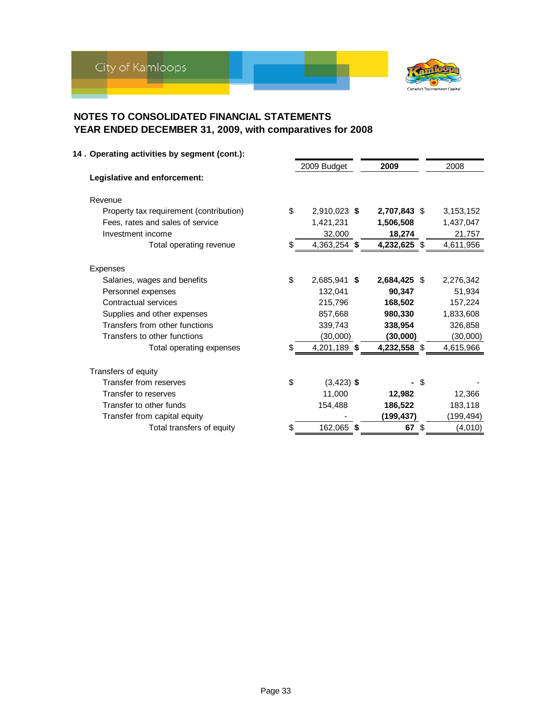

| 14. Operating activities by segment (cont.): |                    |              |    |             |
|----------------------------------------------|--------------------|--------------|----|-------------|
|                                              | 2009 Budget        | 2009         |    | 2008        |
| Legislative and enforcement:                 |                    |              |    |             |
| Revenue                                      |                    |              |    |             |
| Property tax requirement (contribution)      | \$<br>2,910,023 \$ | 2,707,843 \$ |    | 3, 153, 152 |
| Fees, rates and sales of service             | 1,421,231          | 1,506,508    |    | 1,437,047   |
| Investment income                            | 32,000             | 18,274       |    | 21,757      |
| Total operating revenue                      | \$<br>4,363,254 \$ | 4,232,625 \$ |    | 4,611,956   |
| <b>Expenses</b>                              |                    |              |    |             |
| Salaries, wages and benefits                 | \$<br>2,685,941 \$ | 2,684,425 \$ |    | 2,276,342   |
| Personnel expenses                           | 132,041            | 90,347       |    | 51,934      |
| Contractual services                         | 215,796            | 168,502      |    | 157,224     |
| Supplies and other expenses                  | 857,668            | 980,330      |    | 1,833,608   |
| Transfers from other functions               | 339,743            | 338,954      |    | 326,858     |
| Transfers to other functions                 | (30,000)           | (30,000)     |    | (30,000)    |
| Total operating expenses                     | 4,201,189 \$       | 4,232,558 \$ |    | 4,615,966   |
| Transfers of equity                          |                    |              |    |             |
| Transfer from reserves                       | \$<br>$(3,423)$ \$ |              | S  |             |
| Transfer to reserves                         | 11,000             | 12,982       |    | 12,366      |
| Transfer to other funds                      | 154,488            | 186,522      |    | 183,118     |
| Transfer from capital equity                 |                    | (199,437)    |    | (199,494)   |
| Total transfers of equity                    | \$<br>162,065 \$   | 67           | \$ | (4,010)     |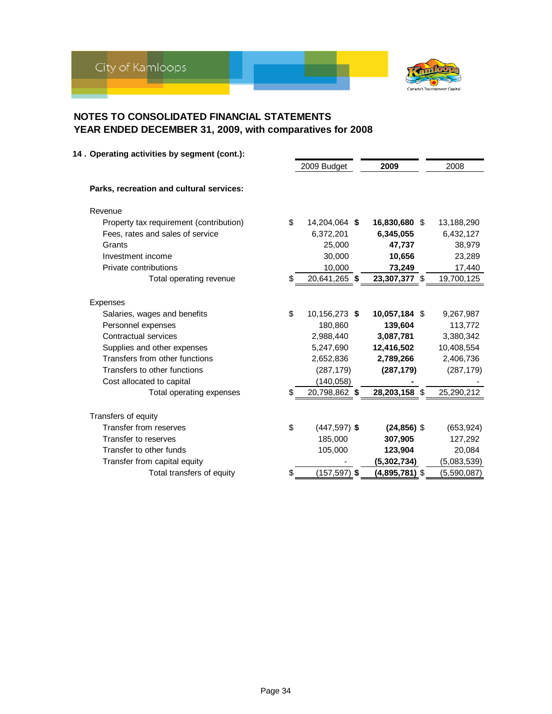

| 14 . Operating activities by segment (cont.): |                       |                  |             |
|-----------------------------------------------|-----------------------|------------------|-------------|
|                                               | 2009 Budget           | 2009             | 2008        |
| Parks, recreation and cultural services:      |                       |                  |             |
| Revenue                                       |                       |                  |             |
| Property tax requirement (contribution)       | \$<br>14,204,064 \$   | 16,830,680 \$    | 13,188,290  |
| Fees, rates and sales of service              | 6,372,201             | 6,345,055        | 6,432,127   |
| Grants                                        | 25,000                | 47,737           | 38,979      |
| Investment income                             | 30,000                | 10,656           | 23,289      |
| Private contributions                         | 10,000                | 73,249           | 17,440      |
| Total operating revenue                       | \$<br>20,641,265 \$   | 23,307,377 \$    | 19,700,125  |
| <b>Expenses</b>                               |                       |                  |             |
| Salaries, wages and benefits                  | \$<br>10,156,273 \$   | 10,057,184 \$    | 9,267,987   |
| Personnel expenses                            | 180,860               | 139,604          | 113,772     |
| <b>Contractual services</b>                   | 2,988,440             | 3,087,781        | 3,380,342   |
| Supplies and other expenses                   | 5,247,690             | 12,416,502       | 10,408,554  |
| Transfers from other functions                | 2,652,836             | 2,789,266        | 2,406,736   |
| Transfers to other functions                  | (287, 179)            | (287, 179)       | (287, 179)  |
| Cost allocated to capital                     | (140, 058)            |                  |             |
| Total operating expenses                      | \$<br>20,798,862 \$   | 28,203,158 \$    | 25,290,212  |
| Transfers of equity                           |                       |                  |             |
| Transfer from reserves                        | \$<br>$(447, 597)$ \$ | $(24, 856)$ \$   | (653, 924)  |
| Transfer to reserves                          | 185,000               | 307,905          | 127,292     |
| Transfer to other funds                       | 105,000               | 123,904          | 20,084      |
| Transfer from capital equity                  |                       | (5,302,734)      | (5,083,539) |
| Total transfers of equity                     | \$<br>(157,597) \$    | $(4,895,781)$ \$ | (5,590,087) |
|                                               |                       |                  |             |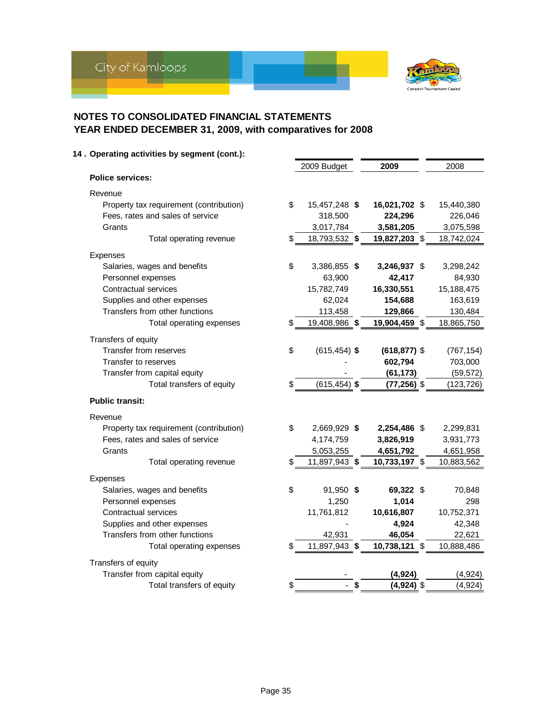

| $\ddot{\ }$ . Operating activities by segment (com.). |                        |                 |            |
|-------------------------------------------------------|------------------------|-----------------|------------|
|                                                       | 2009 Budget            | 2009            | 2008       |
| <b>Police services:</b>                               |                        |                 |            |
| Revenue                                               |                        |                 |            |
| Property tax requirement (contribution)               | \$<br>15,457,248 \$    | 16,021,702 \$   | 15,440,380 |
| Fees, rates and sales of service                      | 318,500                | 224,296         | 226,046    |
| Grants                                                | 3,017,784              | 3,581,205       | 3,075,598  |
| Total operating revenue                               | \$<br>18,793,532 \$    | 19,827,203 \$   | 18,742,024 |
| Expenses                                              |                        |                 |            |
| Salaries, wages and benefits                          | \$<br>3,386,855 \$     | 3,246,937 \$    | 3,298,242  |
| Personnel expenses                                    | 63,900                 | 42,417          | 84,930     |
| Contractual services                                  | 15,782,749             | 16,330,551      | 15,188,475 |
| Supplies and other expenses                           | 62,024                 | 154,688         | 163,619    |
| Transfers from other functions                        | 113,458                | 129,866         | 130,484    |
| Total operating expenses                              | \$<br>19,408,986<br>\$ | 19,904,459 \$   | 18,865,750 |
| Transfers of equity                                   |                        |                 |            |
| Transfer from reserves                                | \$<br>$(615, 454)$ \$  | $(618, 877)$ \$ | (767, 154) |
| Transfer to reserves                                  |                        | 602,794         | 703,000    |
| Transfer from capital equity                          |                        | (61, 173)       | (59, 572)  |
| Total transfers of equity                             | \$<br>$(615, 454)$ \$  | $(77, 256)$ \$  | (123, 726) |
| <b>Public transit:</b>                                |                        |                 |            |
| Revenue                                               |                        |                 |            |
| Property tax requirement (contribution)               | \$<br>2,669,929 \$     | 2,254,486 \$    | 2,299,831  |
| Fees, rates and sales of service                      | 4,174,759              | 3,826,919       | 3,931,773  |
| Grants                                                | 5,053,255              | 4,651,792       | 4,651,958  |
| Total operating revenue                               | \$<br>11,897,943 \$    | 10,733,197 \$   | 10,883,562 |
| <b>Expenses</b>                                       |                        |                 |            |
| Salaries, wages and benefits                          | \$<br>91,950 \$        | 69,322 \$       | 70,848     |
| Personnel expenses                                    | 1,250                  | 1,014           | 298        |
| Contractual services                                  | 11,761,812             | 10,616,807      | 10,752,371 |
| Supplies and other expenses                           |                        | 4,924           | 42,348     |
| Transfers from other functions                        | 42,931                 | 46,054          | 22,621     |
| Total operating expenses                              | \$<br>11,897,943 \$    | 10,738,121 \$   | 10,888,486 |
| Transfers of equity                                   |                        |                 |            |
| Transfer from capital equity                          |                        | (4, 924)        | (4, 924)   |
| Total transfers of equity                             | \$<br>S                | $(4,924)$ \$    | (4, 924)   |

**14 . Operating activities by segment (cont.):**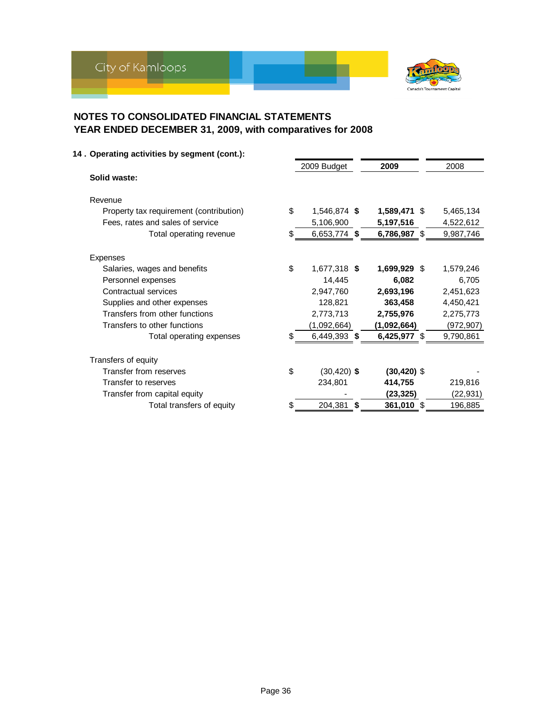

| 14. Operating activities by segment (cont.): |     |                |    |                |            |
|----------------------------------------------|-----|----------------|----|----------------|------------|
|                                              |     | 2009 Budget    |    | 2009           | 2008       |
| Solid waste:                                 |     |                |    |                |            |
| Revenue                                      |     |                |    |                |            |
| Property tax requirement (contribution)      | \$  | 1,546,874 \$   |    | 1,589,471 \$   | 5,465,134  |
| Fees, rates and sales of service             |     | 5,106,900      |    | 5,197,516      | 4,522,612  |
| Total operating revenue                      | \$  | 6,653,774 \$   |    | 6,786,987 \$   | 9,987,746  |
| <b>Expenses</b>                              |     |                |    |                |            |
| Salaries, wages and benefits                 | \$  | 1,677,318 \$   |    | 1,699,929 \$   | 1,579,246  |
| Personnel expenses                           |     | 14,445         |    | 6,082          | 6.705      |
| Contractual services                         |     | 2,947,760      |    | 2,693,196      | 2,451,623  |
| Supplies and other expenses                  |     | 128,821        |    | 363,458        | 4,450,421  |
| Transfers from other functions               |     | 2,773,713      |    | 2,755,976      | 2,275,773  |
| Transfers to other functions                 |     | (1,092,664)    |    | (1,092,664)    | (972, 907) |
| Total operating expenses                     | \$. | 6,449,393 \$   |    | 6,425,977 \$   | 9,790,861  |
| Transfers of equity                          |     |                |    |                |            |
| Transfer from reserves                       | \$  | $(30, 420)$ \$ |    | $(30, 420)$ \$ |            |
| Transfer to reserves                         |     | 234,801        |    | 414,755        | 219,816    |
| Transfer from capital equity                 |     |                |    | (23, 325)      | (22,931)   |
| Total transfers of equity                    | \$  | 204,381        | S. | 361,010 \$     | 196,885    |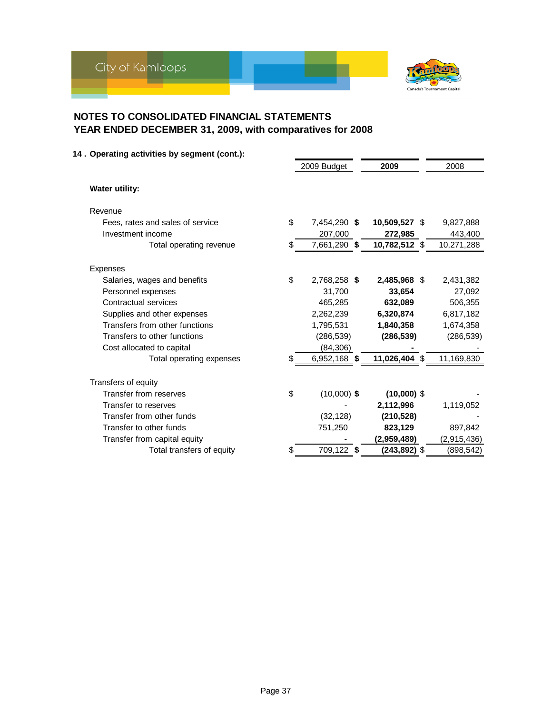

| 14 . Operating activities by segment (cont.): |                      |               |             |
|-----------------------------------------------|----------------------|---------------|-------------|
|                                               | 2009 Budget          | 2009          | 2008        |
| <b>Water utility:</b>                         |                      |               |             |
| Revenue                                       |                      |               |             |
| Fees, rates and sales of service              | \$<br>7,454,290 \$   | 10,509,527 \$ | 9,827,888   |
| Investment income                             | 207,000              | 272,985       | 443,400     |
| Total operating revenue                       | \$<br>7,661,290 \$   | 10,782,512 \$ | 10,271,288  |
| <b>Expenses</b>                               |                      |               |             |
| Salaries, wages and benefits                  | \$<br>2,768,258 \$   | 2,485,968 \$  | 2,431,382   |
| Personnel expenses                            | 31,700               | 33,654        | 27,092      |
| Contractual services                          | 465,285              | 632,089       | 506,355     |
| Supplies and other expenses                   | 2,262,239            | 6,320,874     | 6,817,182   |
| Transfers from other functions                | 1,795,531            | 1,840,358     | 1,674,358   |
| Transfers to other functions                  | (286, 539)           | (286, 539)    | (286, 539)  |
| Cost allocated to capital                     | (84, 306)            |               |             |
| Total operating expenses                      | \$<br>6,952,168 \$   | 11,026,404 \$ | 11,169,830  |
| Transfers of equity                           |                      |               |             |
| Transfer from reserves                        | \$<br>$(10,000)$ \$  | $(10,000)$ \$ |             |
| Transfer to reserves                          |                      | 2,112,996     | 1,119,052   |
| Transfer from other funds                     | (32, 128)            | (210, 528)    |             |
| Transfer to other funds                       | 751,250              | 823,129       | 897,842     |
| Transfer from capital equity                  |                      | (2,959,489)   | (2,915,436) |
| Total transfers of equity                     | \$<br>709,122<br>-\$ | (243,892) \$  | (898,542)   |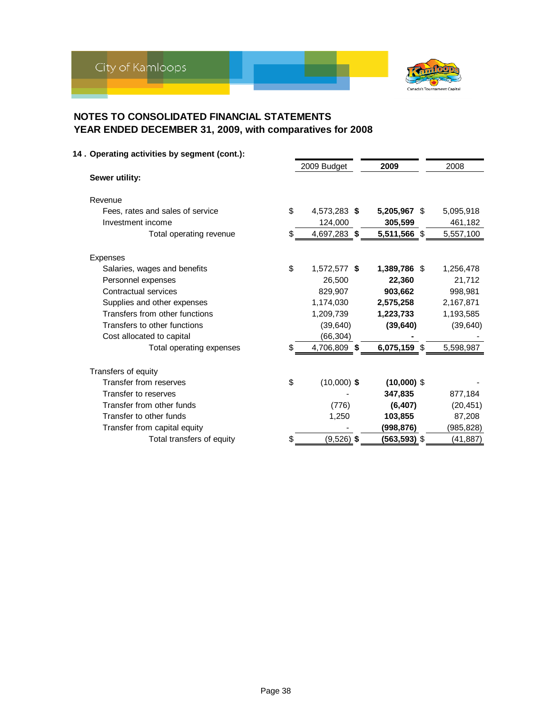

| 14. Operating activities by segment (cont.): |                     |                 |           |
|----------------------------------------------|---------------------|-----------------|-----------|
|                                              | 2009 Budget         | 2009            | 2008      |
| Sewer utility:                               |                     |                 |           |
| Revenue                                      |                     |                 |           |
| Fees, rates and sales of service             | \$<br>4,573,283 \$  | 5,205,967 \$    | 5,095,918 |
| Investment income                            | 124,000             | 305,599         | 461,182   |
| Total operating revenue                      | \$<br>4,697,283 \$  | 5,511,566 \$    | 5,557,100 |
| <b>Expenses</b>                              |                     |                 |           |
| Salaries, wages and benefits                 | \$<br>1,572,577 \$  | 1,389,786 \$    | 1,256,478 |
| Personnel expenses                           | 26,500              | 22,360          | 21,712    |
| Contractual services                         | 829,907             | 903,662         | 998,981   |
| Supplies and other expenses                  | 1,174,030           | 2,575,258       | 2,167,871 |
| Transfers from other functions               | 1,209,739           | 1,223,733       | 1,193,585 |
| Transfers to other functions                 | (39, 640)           | (39, 640)       | (39, 640) |
| Cost allocated to capital                    | (66, 304)           |                 |           |
| Total operating expenses                     | \$<br>4,706,809 \$  | 6,075,159 \$    | 5,598,987 |
| Transfers of equity                          |                     |                 |           |
| Transfer from reserves                       | \$<br>$(10,000)$ \$ | $(10,000)$ \$   |           |
| Transfer to reserves                         |                     | 347,835         | 877,184   |
| Transfer from other funds                    | (776)               | (6, 407)        | (20, 451) |
| Transfer to other funds                      | 1,250               | 103,855         | 87,208    |
| Transfer from capital equity                 |                     | (998,876)       | (985,828) |
| Total transfers of equity                    | \$<br>$(9,526)$ \$  | $(563, 593)$ \$ | (41, 887) |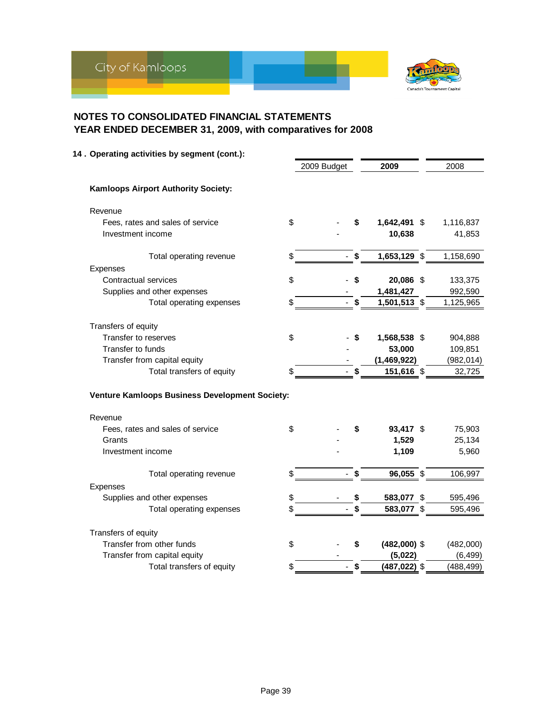

|                 | 14. Operating activities by segment (cont.):   |                    |                 |            |
|-----------------|------------------------------------------------|--------------------|-----------------|------------|
|                 |                                                | 2009 Budget        | 2009            | 2008       |
|                 | Kamloops Airport Authority Society:            |                    |                 |            |
| Revenue         |                                                |                    |                 |            |
|                 | Fees, rates and sales of service               | \$<br>\$           | 1,642,491 \$    | 1,116,837  |
|                 | Investment income                              |                    | 10,638          | 41,853     |
|                 | Total operating revenue                        | \$<br>\$           | 1,653,129 \$    | 1,158,690  |
| Expenses        |                                                |                    |                 |            |
|                 | Contractual services                           | \$<br>\$           | 20,086 \$       | 133,375    |
|                 | Supplies and other expenses                    |                    | 1,481,427       | 992,590    |
|                 | Total operating expenses                       | \$<br>\$           | 1,501,513 \$    | 1,125,965  |
|                 | Transfers of equity                            |                    |                 |            |
|                 | Transfer to reserves                           | \$<br>\$           | 1,568,538 \$    | 904,888    |
|                 | Transfer to funds                              |                    | 53,000          | 109,851    |
|                 | Transfer from capital equity                   |                    | (1,469,922)     | (982, 014) |
|                 | Total transfers of equity                      | \$<br>\$<br>$\sim$ | 151,616 \$      | 32,725     |
|                 | Venture Kamloops Business Development Society: |                    |                 |            |
| Revenue         |                                                |                    |                 |            |
|                 | Fees, rates and sales of service               | \$<br>\$           | 93,417 \$       | 75,903     |
|                 | Grants                                         |                    | 1,529           | 25,134     |
|                 | Investment income                              |                    | 1,109           | 5,960      |
|                 | Total operating revenue                        | \$<br>\$           | 96,055 \$       | 106,997    |
| <b>Expenses</b> |                                                |                    |                 |            |
|                 | Supplies and other expenses                    | \$<br>\$           | 583,077 \$      | 595,496    |
|                 | Total operating expenses                       | \$<br>\$           | 583,077 \$      | 595,496    |
|                 | Transfers of equity                            |                    |                 |            |
|                 | Transfer from other funds                      | \$<br>\$           | $(482,000)$ \$  | (482,000)  |
|                 | Transfer from capital equity                   |                    | (5,022)         | (6, 499)   |
|                 | Total transfers of equity                      | \$<br>\$           | $(487, 022)$ \$ | (488, 499) |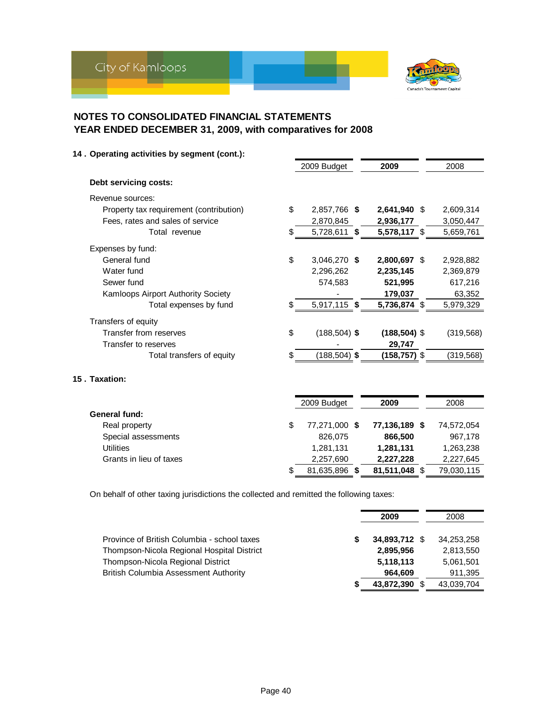

| 14. Operating activities by segment (cont.): |                       |                 |                |
|----------------------------------------------|-----------------------|-----------------|----------------|
|                                              | 2009 Budget           | 2009            | 2008           |
| Debt servicing costs:                        |                       |                 |                |
| Revenue sources:                             |                       |                 |                |
| Property tax requirement (contribution)      | \$<br>2,857,766 \$    | 2,641,940 \$    | 2,609,314      |
| Fees, rates and sales of service             | 2,870,845             | 2,936,177       | 3,050,447      |
| Total revenue                                | \$<br>5,728,611<br>-S | 5,578,117 \$    | 5,659,761      |
| Expenses by fund:                            |                       |                 |                |
| General fund                                 | \$<br>3,046,270 \$    | 2,800,697 \$    | 2,928,882      |
| Water fund                                   | 2,296,262             | 2,235,145       | 2,369,879      |
| Sewer fund                                   | 574,583               | 521,995         | 617.216        |
| Kamloops Airport Authority Society           |                       | 179,037         | 63,352         |
| Total expenses by fund                       | \$<br>5,917,115 \$    | 5,736,874 \$    | 5,979,329      |
| Transfers of equity                          |                       |                 |                |
| Transfer from reserves                       | \$<br>$(188, 504)$ \$ | $(188, 504)$ \$ | (319, 568)     |
| Transfer to reserves                         |                       | 29,747          |                |
| Total transfers of equity                    | \$<br>$(188, 504)$ \$ | $(158, 757)$ \$ | (319,568)      |
| 15. Taxation:                                |                       |                 |                |
|                                              | 2009 Budget           | 2009            | 2008           |
| <b>General fund:</b>                         |                       |                 |                |
| Real property                                | \$<br>77,271,000 \$   | 77,136,189 \$   | 74,572,054     |
| Spocial accordants                           | 926.075               | <b>QGG ENN</b>  | <b>067 179</b> |

|            | 77,136,189 \$ | 74.572.054    |
|------------|---------------|---------------|
| 826,075    | 866,500       | 967.178       |
| 1.281.131  | 1,281,131     | 1,263,238     |
| 2,257,690  | 2.227.228     | 2.227.645     |
| 81.635.896 | 81.511.048 \$ | 79,030,115    |
|            |               | 77.271.000 \$ |

On behalf of other taxing jurisdictions the collected and remitted the following taxes:

|                                             |   | 2009          | 2008       |
|---------------------------------------------|---|---------------|------------|
| Province of British Columbia - school taxes | S | 34,893,712 \$ | 34.253.258 |
| Thompson-Nicola Regional Hospital District  |   | 2,895,956     | 2,813,550  |
| Thompson-Nicola Regional District           |   | 5,118,113     | 5,061,501  |
| British Columbia Assessment Authority       |   | 964,609       | 911,395    |
|                                             |   | 43,872,390 \$ | 43,039,704 |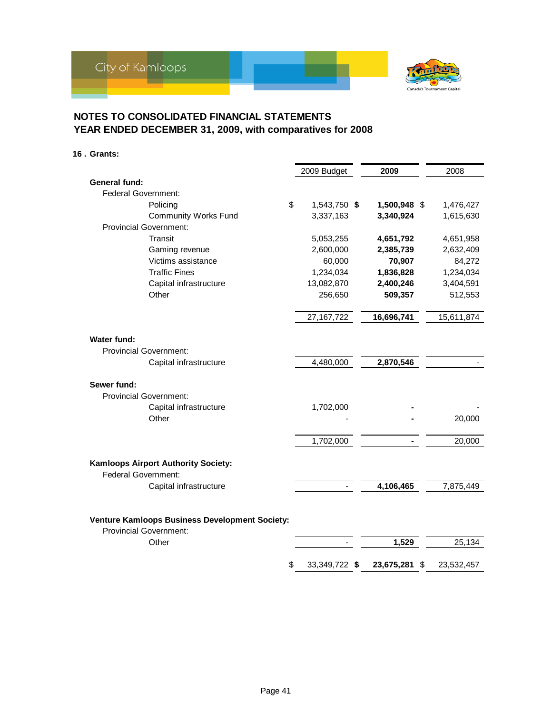

#### **16 . Grants:**

|                                                | 2009 Budget         |  | 2009          |  | 2008       |  |
|------------------------------------------------|---------------------|--|---------------|--|------------|--|
| <b>General fund:</b>                           |                     |  |               |  |            |  |
| <b>Federal Government:</b>                     |                     |  |               |  |            |  |
| Policing                                       | \$<br>1,543,750 \$  |  | 1,500,948 \$  |  | 1,476,427  |  |
| <b>Community Works Fund</b>                    | 3,337,163           |  | 3,340,924     |  | 1,615,630  |  |
| <b>Provincial Government:</b>                  |                     |  |               |  |            |  |
| Transit                                        | 5,053,255           |  | 4,651,792     |  | 4,651,958  |  |
| Gaming revenue                                 | 2,600,000           |  | 2,385,739     |  | 2,632,409  |  |
| Victims assistance                             | 60,000              |  | 70,907        |  | 84,272     |  |
| <b>Traffic Fines</b>                           | 1,234,034           |  | 1,836,828     |  | 1,234,034  |  |
| Capital infrastructure                         | 13,082,870          |  | 2,400,246     |  | 3,404,591  |  |
| Other                                          | 256,650             |  | 509,357       |  | 512,553    |  |
|                                                |                     |  |               |  |            |  |
|                                                | 27, 167, 722        |  | 16,696,741    |  | 15,611,874 |  |
|                                                |                     |  |               |  |            |  |
| <b>Water fund:</b>                             |                     |  |               |  |            |  |
| <b>Provincial Government:</b>                  |                     |  |               |  |            |  |
| Capital infrastructure                         | 4,480,000           |  | 2,870,546     |  |            |  |
|                                                |                     |  |               |  |            |  |
| Sewer fund:                                    |                     |  |               |  |            |  |
| <b>Provincial Government:</b>                  |                     |  |               |  |            |  |
| Capital infrastructure                         | 1,702,000           |  |               |  |            |  |
| Other                                          |                     |  |               |  | 20,000     |  |
|                                                |                     |  |               |  |            |  |
|                                                | 1,702,000           |  |               |  | 20,000     |  |
|                                                |                     |  |               |  |            |  |
| Kamloops Airport Authority Society:            |                     |  |               |  |            |  |
| <b>Federal Government:</b>                     |                     |  |               |  |            |  |
| Capital infrastructure                         |                     |  | 4,106,465     |  | 7,875,449  |  |
|                                                |                     |  |               |  |            |  |
|                                                |                     |  |               |  |            |  |
| Venture Kamloops Business Development Society: |                     |  |               |  |            |  |
| <b>Provincial Government:</b>                  |                     |  |               |  |            |  |
| Other                                          |                     |  | 1,529         |  | 25,134     |  |
|                                                | \$<br>33,349,722 \$ |  | 23,675,281 \$ |  | 23,532,457 |  |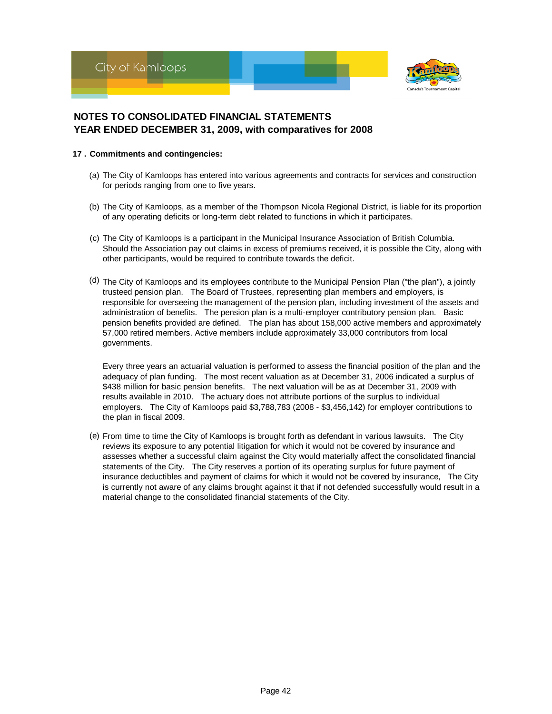

- **17 . Commitments and contingencies:**
	- (a) The City of Kamloops has entered into various agreements and contracts for services and construction for periods ranging from one to five years.
	- (b) The City of Kamloops, as a member of the Thompson Nicola Regional District, is liable for its proportion of any operating deficits or long-term debt related to functions in which it participates.
	- (c) The City of Kamloops is a participant in the Municipal Insurance Association of British Columbia. Should the Association pay out claims in excess of premiums received, it is possible the City, along with other participants, would be required to contribute towards the deficit.
	- (d) The City of Kamloops and its employees contribute to the Municipal Pension Plan ("the plan"), a jointly trusteed pension plan. The Board of Trustees, representing plan members and employers, is responsible for overseeing the management of the pension plan, including investment of the assets and administration of benefits. The pension plan is a multi-employer contributory pension plan. Basic pension benefits provided are defined. The plan has about 158,000 active members and approximately 57,000 retired members. Active members include approximately 33,000 contributors from local governments.

Every three years an actuarial valuation is performed to assess the financial position of the plan and the adequacy of plan funding. The most recent valuation as at December 31, 2006 indicated a surplus of \$438 million for basic pension benefits. The next valuation will be as at December 31, 2009 with results available in 2010. The actuary does not attribute portions of the surplus to individual employers. The City of Kamloops paid \$3,788,783 (2008 - \$3,456,142) for employer contributions to the plan in fiscal 2009.

(e) From time to time the City of Kamloops is brought forth as defendant in various lawsuits. The City reviews its exposure to any potential litigation for which it would not be covered by insurance and assesses whether a successful claim against the City would materially affect the consolidated financial statements of the City. The City reserves a portion of its operating surplus for future payment of insurance deductibles and payment of claims for which it would not be covered by insurance, The City is currently not aware of any claims brought against it that if not defended successfully would result in a material change to the consolidated financial statements of the City.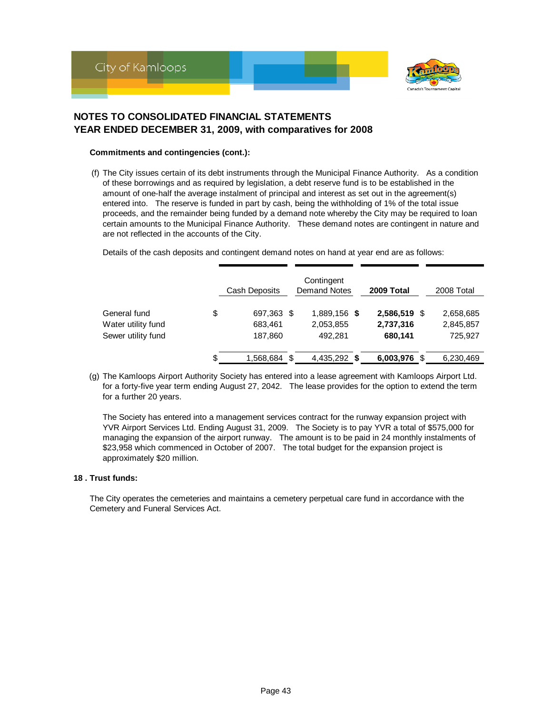

#### **Commitments and contingencies (cont.):**

(f) The City issues certain of its debt instruments through the Municipal Finance Authority. As a condition of these borrowings and as required by legislation, a debt reserve fund is to be established in the amount of one-half the average instalment of principal and interest as set out in the agreement(s) entered into. The reserve is funded in part by cash, being the withholding of 1% of the total issue proceeds, and the remainder being funded by a demand note whereby the City may be required to loan certain amounts to the Municipal Finance Authority. These demand notes are contingent in nature and are not reflected in the accounts of the City.

Details of the cash deposits and contingent demand notes on hand at year end are as follows:

|                    | Cash Deposits      | Contingent<br><b>Demand Notes</b> | 2009 Total   |      | 2008 Total |
|--------------------|--------------------|-----------------------------------|--------------|------|------------|
| General fund       | \$<br>697,363 \$   | 1,889,156 \$                      | 2,586,519    | - \$ | 2,658,685  |
| Water utility fund | 683,461            | 2,053,855                         | 2,737,316    |      | 2,845,857  |
| Sewer utility fund | 187,860            | 492.281                           | 680,141      |      | 725.927    |
|                    | \$<br>1,568,684 \$ | 4,435,292 \$                      | 6,003,976 \$ |      | 6,230,469  |

(g) The Kamloops Airport Authority Society has entered into a lease agreement with Kamloops Airport Ltd. for a forty-five year term ending August 27, 2042. The lease provides for the option to extend the term for a further 20 years.

The Society has entered into a management services contract for the runway expansion project with YVR Airport Services Ltd. Ending August 31, 2009. The Society is to pay YVR a total of \$575,000 for managing the expansion of the airport runway. The amount is to be paid in 24 monthly instalments of \$23,958 which commenced in October of 2007. The total budget for the expansion project is approximately \$20 million.

#### **18 . Trust funds:**

The City operates the cemeteries and maintains a cemetery perpetual care fund in accordance with the Cemetery and Funeral Services Act.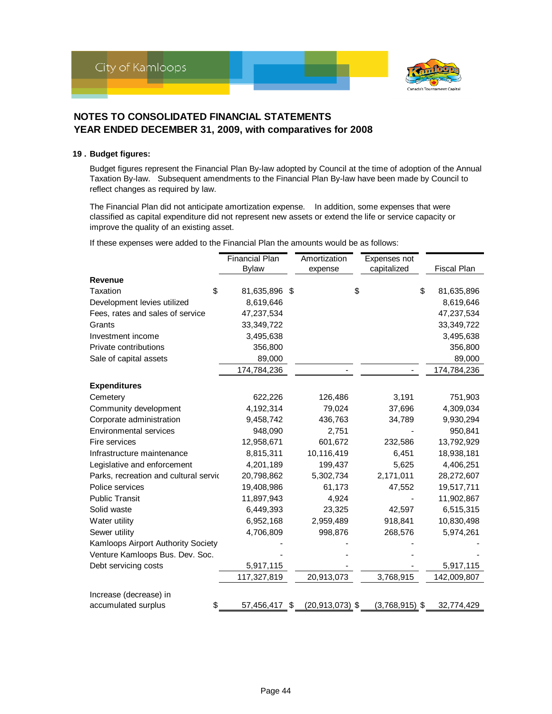

#### **19 . Budget figures:**

Budget figures represent the Financial Plan By-law adopted by Council at the time of adoption of the Annual Taxation By-law. Subsequent amendments to the Financial Plan By-law have been made by Council to reflect changes as required by law.

The Financial Plan did not anticipate amortization expense. In addition, some expenses that were classified as capital expenditure did not represent new assets or extend the life or service capacity or improve the quality of an existing asset.

If these expenses were added to the Financial Plan the amounts would be as follows:

|                                       | <b>Financial Plan</b> | Amortization              | Expenses not     |                    |
|---------------------------------------|-----------------------|---------------------------|------------------|--------------------|
|                                       | <b>Bylaw</b>          | expense                   | capitalized      | <b>Fiscal Plan</b> |
| <b>Revenue</b>                        |                       |                           |                  |                    |
| Taxation                              | \$<br>81,635,896 \$   |                           | \$               | \$<br>81,635,896   |
| Development levies utilized           | 8,619,646             |                           |                  | 8,619,646          |
| Fees, rates and sales of service      | 47,237,534            |                           |                  | 47,237,534         |
| Grants                                | 33,349,722            |                           |                  | 33,349,722         |
| Investment income                     | 3,495,638             |                           |                  | 3,495,638          |
| Private contributions                 | 356,800               |                           |                  | 356,800            |
| Sale of capital assets                | 89,000                |                           |                  | 89,000             |
|                                       | 174,784,236           |                           |                  | 174,784,236        |
| <b>Expenditures</b>                   |                       |                           |                  |                    |
| Cemetery                              | 622,226               | 126,486                   | 3,191            | 751,903            |
| Community development                 | 4,192,314             | 79,024                    | 37,696           | 4,309,034          |
| Corporate administration              | 9,458,742             | 436,763                   | 34,789           | 9,930,294          |
| <b>Environmental services</b>         | 948,090               | 2,751                     |                  | 950,841            |
| Fire services                         | 12,958,671            | 601,672                   | 232,586          | 13,792,929         |
| Infrastructure maintenance            | 8,815,311             | 10,116,419                | 6,451            | 18,938,181         |
| Legislative and enforcement           | 4,201,189             | 199,437                   | 5,625            | 4,406,251          |
| Parks, recreation and cultural servic | 20,798,862            | 5,302,734                 | 2,171,011        | 28,272,607         |
| Police services                       | 19,408,986            | 61,173                    | 47,552           | 19,517,711         |
| <b>Public Transit</b>                 | 11,897,943            | 4,924                     |                  | 11,902,867         |
| Solid waste                           | 6,449,393             | 23,325                    | 42,597           | 6,515,315          |
| Water utility                         | 6,952,168             | 2,959,489                 | 918,841          | 10,830,498         |
| Sewer utility                         | 4,706,809             | 998,876                   | 268,576          | 5,974,261          |
| Kamloops Airport Authority Society    |                       |                           |                  |                    |
| Venture Kamloops Bus. Dev. Soc.       |                       |                           |                  |                    |
| Debt servicing costs                  | 5,917,115             |                           |                  | 5,917,115          |
|                                       | 117,327,819           | 20,913,073                | 3,768,915        | 142,009,807        |
| Increase (decrease) in                |                       |                           |                  |                    |
| accumulated surplus                   | \$<br>57,456,417      | \$<br>$(20, 913, 073)$ \$ | $(3,768,915)$ \$ | 32,774,429         |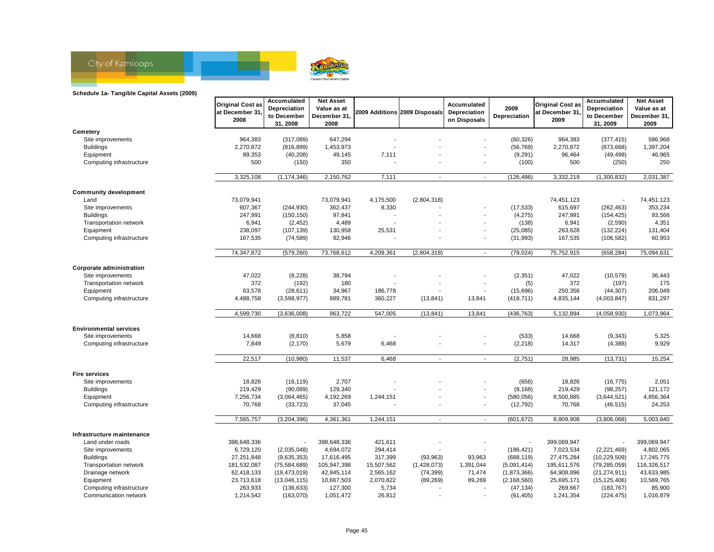

|                                 | <b>Original Cost as</b> | Accumulated                             | <b>Net Asset</b>                    |            |                               | Accumulated                  | 2009          | <b>Original Cost as</b> | Accumulated                             | <b>Net Asset</b>                    |
|---------------------------------|-------------------------|-----------------------------------------|-------------------------------------|------------|-------------------------------|------------------------------|---------------|-------------------------|-----------------------------------------|-------------------------------------|
|                                 | at December 31,<br>2008 | Depreciation<br>to December<br>31, 2008 | Value as at<br>December 31.<br>2008 |            | 2009 Additions 2009 Disposals | Depreciation<br>on Disposals | Depreciation  | at December 31<br>2009  | Depreciation<br>to December<br>31, 2009 | Value as at<br>December 31,<br>2009 |
| Cemetery                        |                         |                                         |                                     |            |                               |                              |               |                         |                                         |                                     |
| Site improvements               | 964,383                 | (317,089)                               | 647,294                             |            |                               |                              | (60, 326)     | 964,383                 | (377, 415)                              | 586,968                             |
| <b>Buildings</b>                | 2,270,872               | (816, 899)                              | 1,453,973                           |            |                               |                              | (56, 769)     | 2,270,872               | (873, 668)                              | 1,397,204                           |
| Equipment                       | 89,353                  | (40, 208)                               | 49,145                              | 7,111      |                               |                              | (9, 291)      | 96,464                  | (49, 499)                               | 46,965                              |
| Computing infrastructure        | 500                     | (150)                                   | 350                                 |            |                               |                              | (100)         | 500                     | (250)                                   | 250                                 |
|                                 | 3,325,108               | (1, 174, 346)                           | 2,150,762                           | 7,111      |                               | $\sim$                       | (126, 486)    | 3,332,219               | (1,300,832)                             | 2,031,387                           |
| <b>Community development</b>    |                         |                                         |                                     |            |                               |                              |               |                         |                                         |                                     |
| Land                            | 73,079,941              |                                         | 73,079,941                          | 4,175,500  | (2,804,318)                   |                              |               | 74,451,123              |                                         | 74,451,123                          |
| Site improvements               | 607,367                 | (244, 930)                              | 362,437                             | 8,330      |                               |                              | (17, 533)     | 615,697                 | (262, 463)                              | 353,234                             |
| <b>Buildings</b>                | 247,991                 | (150, 150)                              | 97,841                              |            |                               |                              | (4, 275)      | 247,991                 | (154, 425)                              | 93,566                              |
| Transportation network          | 6,941                   | (2, 452)                                | 4,489                               |            |                               | ٠                            | (138)         | 6,941                   | (2,590)                                 | 4,351                               |
| Equipment                       | 238,097                 | (107, 139)                              | 130,958                             | 25,531     |                               |                              | (25,085)      | 263,628                 | (132, 224)                              | 131,404                             |
| Computing infrastructure        | 167,535                 | (74, 589)                               | 92,946                              |            |                               |                              | (31, 993)     | 167,535                 | (106, 582)                              | 60,953                              |
|                                 | 74,347,872              | (579, 260)                              | 73,768,612                          | 4,209,361  | (2,804,318)                   | $\sim$                       | (79, 024)     | 75,752,915              | (658, 284)                              | 75,094,631                          |
| <b>Corporate administration</b> |                         |                                         |                                     |            |                               |                              |               |                         |                                         |                                     |
| Site improvements               | 47,022                  | (8, 228)                                | 38,794                              |            |                               |                              | (2, 351)      | 47,022                  | (10, 579)                               | 36,443                              |
| Transportation network          | 372                     | (192)                                   | 180                                 |            |                               |                              | (5)           | 372                     | (197)                                   | 175                                 |
| Equipment                       | 63,578                  | (28, 611)                               | 34,967                              | 186,778    |                               |                              | (15,696)      | 250,356                 | (44, 307)                               | 206,049                             |
| Computing infrastructure        | 4,488,758               | (3,598,977)                             | 889,781                             | 360,227    | (13, 841)                     | 13,841                       | (418, 711)    | 4,835,144               | (4,003,847)                             | 831,297                             |
|                                 | 4,599,730               | (3,636,008)                             | 963,722                             | 547,005    | (13, 841)                     | 13,841                       | (436, 763)    | 5,132,894               | (4,058,930)                             | 1,073,964                           |
|                                 |                         |                                         |                                     |            |                               |                              |               |                         |                                         |                                     |
| <b>Environmental services</b>   |                         |                                         |                                     |            |                               |                              |               |                         |                                         |                                     |
| Site improvements               | 14,668                  | (8, 810)                                | 5,858                               |            |                               |                              | (533)         | 14,668                  | (9, 343)                                | 5,325                               |
| Computing infrastructure        | 7,849                   | (2, 170)                                | 5,679                               | 6,468      |                               |                              | (2, 218)      | 14,317                  | (4,388)                                 | 9,929                               |
|                                 | 22,517                  | (10, 980)                               | 11,537                              | 6,468      | $\sim$                        | $\sim$                       | (2,751)       | 28,985                  | (13, 731)                               | 15,254                              |
| <b>Fire services</b>            |                         |                                         |                                     |            |                               |                              |               |                         |                                         |                                     |
| Site improvements               | 18,826                  | (16, 119)                               | 2,707                               |            |                               |                              | (656)         | 18,826                  | (16, 775)                               | 2,051                               |
| <b>Buildings</b>                | 219,429                 | (90,089)                                | 129,340                             |            |                               | ÷,                           | (8, 168)      | 219,429                 | (98, 257)                               | 121,172                             |
| Equipment                       | 7,256,734               | (3,064,465)                             | 4,192,269                           | 1,244,151  |                               | $\overline{\phantom{a}}$     | (580, 056)    | 8,500,885               | (3,644,521)                             | 4,856,364                           |
| Computing infrastructure        | 70,768                  | (33, 723)                               | 37,045                              |            |                               | ÷                            | (12, 792)     | 70,768                  | (46, 515)                               | 24,253                              |
|                                 | 7,565,757               | (3,204,396)                             | 4,361,361                           | 1,244,151  | $\overline{\phantom{a}}$      | $\overline{\phantom{a}}$     | (601, 672)    | 8,809,908               | (3,806,068)                             | 5,003,840                           |
| Infrastructure maintenance      |                         |                                         |                                     |            |                               |                              |               |                         |                                         |                                     |
| Land under roads                | 398,648,336             |                                         | 398,648,336                         | 421,611    |                               |                              |               | 399,069,947             |                                         | 399,069,947                         |
| Site improvements               | 6,729,120               | (2,035,048)                             | 4,694,072                           | 294,414    |                               |                              | (186, 421)    | 7,023,534               | (2, 221, 469)                           | 4,802,065                           |
| <b>Buildings</b>                | 27,251,848              | (9,635,353)                             | 17,616,495                          | 317,399    | (93, 963)                     | 93,963                       | (688, 119)    | 27,475,284              | (10, 229, 509)                          | 17,245,775                          |
| Transportation network          | 181,532,087             | (75, 584, 689)                          | 105,947,398                         | 15,507,562 | (1,428,073)                   | 1,391,044                    | (5,091,414)   | 195,611,576             | (79, 285, 059)                          | 116,326,517                         |
| Drainage network                | 62,418,133              | (19, 473, 019)                          | 42,945,114                          | 2,565,162  | (74, 399)                     | 71,474                       | (1,873,366)   | 64,908,896              | (21, 274, 911)                          | 43,633,985                          |
| Equipment                       | 23,713,618              | (13,046,115)                            | 10,667,503                          | 2,070,822  | (89, 269)                     | 89,269                       | (2, 168, 560) | 25,695,171              | (15, 125, 406)                          | 10,569,765                          |
| Computing infrastructure        | 263,933                 | (136, 633)                              | 127,300                             | 5,734      |                               |                              | (47, 134)     | 269,667                 | (183, 767)                              | 85,900                              |
| Communication network           | 1,214,542               | (163,070)                               | 1,051,472                           | 26,812     |                               |                              | (61, 405)     | 1,241,354               | (224, 475)                              | 1,016,879                           |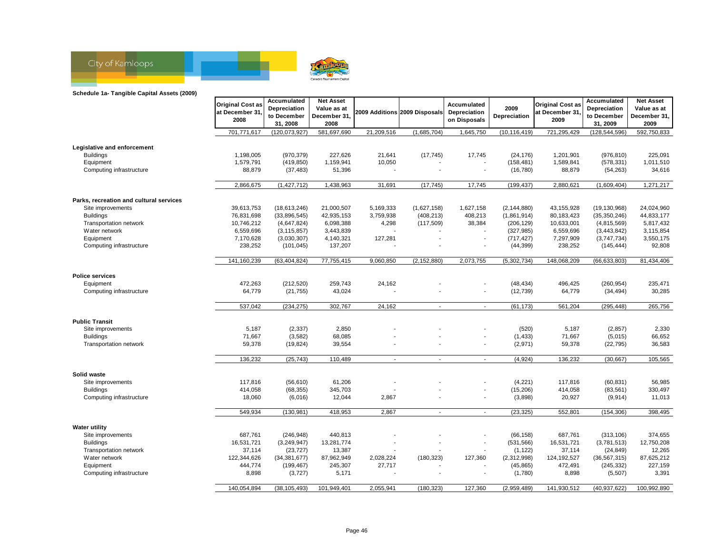

|                                                              | <b>Original Cost as</b><br>at December 31,<br>2008 | Accumulated<br>Depreciation<br>to December<br>31, 2008 | <b>Net Asset</b><br>Value as at<br>December 31,<br>2008 |            | 2009 Additions 2009 Disposals | Accumulated<br>Depreciation<br>on Disposals | 2009<br>Depreciation | <b>Original Cost as</b><br>at December 31<br>2009 | Accumulated<br>Depreciation<br>to December<br>31, 2009 | <b>Net Asset</b><br>Value as at<br>December 31,<br>2009 |
|--------------------------------------------------------------|----------------------------------------------------|--------------------------------------------------------|---------------------------------------------------------|------------|-------------------------------|---------------------------------------------|----------------------|---------------------------------------------------|--------------------------------------------------------|---------------------------------------------------------|
|                                                              | 701,771,617                                        | (120, 073, 927)                                        | 581,697,690                                             | 21,209,516 | (1,685,704)                   | 1,645,750                                   | (10, 116, 419)       | 721,295,429                                       | (128, 544, 596)                                        | 592,750,833                                             |
| Legislative and enforcement                                  |                                                    |                                                        |                                                         |            |                               |                                             |                      |                                                   |                                                        |                                                         |
| <b>Buildings</b>                                             | 1.198.005                                          | (970, 379)                                             | 227.626                                                 | 21,641     | (17, 745)                     | 17,745                                      | (24, 176)            | 1.201.901                                         | (976, 810)                                             | 225.091                                                 |
| Equipment                                                    | 1,579,791                                          | (419, 850)                                             | 1,159,941                                               | 10,050     |                               |                                             | (158, 481)           | 1,589,841                                         | (578, 331)                                             | 1,011,510                                               |
| Computing infrastructure                                     | 88,879                                             | (37, 483)                                              | 51,396                                                  |            |                               |                                             | (16, 780)            | 88,879                                            | (54, 263)                                              | 34,616                                                  |
|                                                              | 2,866,675                                          | (1, 427, 712)                                          | 1,438,963                                               | 31,691     | (17, 745)                     | 17,745                                      | (199, 437)           | 2,880,621                                         | (1,609,404)                                            | 1,271,217                                               |
| Parks, recreation and cultural services<br>Site improvements | 39,613,753                                         | (18,613,246)                                           | 21,000,507                                              | 5,169,333  | (1,627,158)                   | 1,627,158                                   | (2, 144, 880)        | 43,155,928                                        | (19, 130, 968)                                         | 24,024,960                                              |
| <b>Buildings</b>                                             | 76,831,698                                         | (33,896,545)                                           | 42,935,153                                              | 3,759,938  | (408, 213)                    | 408,213                                     | (1,861,914)          | 80,183,423                                        | (35, 350, 246)                                         | 44,833,177                                              |
| Transportation network                                       | 10,746,212                                         | (4,647,824)                                            | 6,098,388                                               | 4,298      | (117, 509)                    | 38,384                                      | (206, 129)           | 10,633,001                                        | (4,815,569)                                            | 5,817,432                                               |
| Water network                                                | 6,559,696                                          | (3, 115, 857)                                          | 3,443,839                                               |            |                               |                                             | (327, 985)           | 6,559,696                                         | (3,443,842)                                            | 3,115,854                                               |
| Equipment                                                    | 7,170,628                                          | (3,030,307)                                            | 4,140,321                                               | 127,281    |                               | $\overline{a}$                              | (717, 427)           | 7,297,909                                         | (3,747,734)                                            | 3,550,175                                               |
| Computing infrastructure                                     | 238,252                                            | (101, 045)                                             | 137,207                                                 |            |                               |                                             | (44, 399)            | 238,252                                           | (145, 444)                                             | 92,808                                                  |
|                                                              | 141,160,239                                        | (63, 404, 824)                                         | 77,755,415                                              | 9,060,850  | (2, 152, 880)                 | 2,073,755                                   | (5,302,734)          | 148,068,209                                       | (66, 633, 803)                                         | 81,434,406                                              |
| <b>Police services</b>                                       |                                                    |                                                        |                                                         |            |                               |                                             |                      |                                                   |                                                        |                                                         |
| Equipment                                                    | 472,263                                            | (212, 520)                                             | 259,743                                                 | 24,162     |                               | ÷,                                          | (48, 434)            | 496,425                                           | (260, 954)                                             | 235,471                                                 |
| Computing infrastructure                                     | 64,779                                             | (21, 755)                                              | 43,024                                                  |            |                               | $\overline{\phantom{a}}$                    | (12, 739)            | 64,779                                            | (34, 494)                                              | 30,285                                                  |
|                                                              | 537,042                                            | (234, 275)                                             | 302,767                                                 | 24,162     | $\sim$                        | $\sim$                                      | (61, 173)            | 561,204                                           | (295, 448)                                             | 265,756                                                 |
| <b>Public Transit</b><br>Site improvements                   | 5,187                                              | (2, 337)                                               | 2,850                                                   |            |                               |                                             | (520)                | 5,187                                             | (2, 857)                                               | 2,330                                                   |
| <b>Buildings</b>                                             | 71,667                                             | (3, 582)                                               | 68,085                                                  |            |                               | $\overline{\phantom{a}}$                    | (1, 433)             | 71,667                                            | (5,015)                                                | 66,652                                                  |
| <b>Transportation network</b>                                | 59,378                                             | (19, 824)                                              | 39,554                                                  |            |                               | $\sim$                                      | (2,971)              | 59,378                                            | (22, 795)                                              | 36,583                                                  |
|                                                              |                                                    |                                                        |                                                         |            |                               |                                             |                      |                                                   |                                                        |                                                         |
|                                                              | 136,232                                            | (25, 743)                                              | 110,489                                                 | $\sim$     | $\sim$                        | $\sim$                                      | (4,924)              | 136,232                                           | (30, 667)                                              | 105,565                                                 |
| Solid waste                                                  |                                                    |                                                        |                                                         |            |                               |                                             |                      |                                                   |                                                        |                                                         |
| Site improvements                                            | 117,816                                            | (56, 610)                                              | 61,206                                                  |            |                               |                                             | (4,221)              | 117,816                                           | (60, 831)                                              | 56,985                                                  |
| <b>Buildings</b>                                             | 414,058                                            | (68, 355)                                              | 345,703                                                 |            |                               | $\overline{\phantom{a}}$                    | (15, 206)            | 414,058                                           | (83, 561)                                              | 330,497                                                 |
| Computing infrastructure                                     | 18,060                                             | (6,016)                                                | 12,044                                                  | 2,867      |                               | $\overline{\phantom{a}}$                    | (3,898)              | 20,927                                            | (9, 914)                                               | 11,013                                                  |
|                                                              | 549,934                                            | (130, 981)                                             | 418,953                                                 | 2,867      | $\sim$                        | $\sim$                                      | (23, 325)            | 552,801                                           | (154, 306)                                             | 398,495                                                 |
| <b>Water utility</b>                                         | 687,761                                            |                                                        | 440,813                                                 |            |                               |                                             |                      | 687,761                                           |                                                        | 374,655                                                 |
| Site improvements                                            |                                                    | (246, 948)                                             |                                                         |            |                               | $\sim$                                      | (66, 158)            |                                                   | (313, 106)                                             |                                                         |
| <b>Buildings</b>                                             | 16,531,721<br>37,114                               | (3,249,947)                                            | 13,281,774                                              |            |                               | ÷,                                          | (531, 566)           | 16,531,721<br>37,114                              | (3,781,513)                                            | 12,750,208                                              |
| <b>Transportation network</b>                                |                                                    | (23, 727)                                              | 13,387                                                  |            |                               |                                             | (1, 122)             |                                                   | (24, 849)                                              | 12,265                                                  |
| Water network                                                | 122,344,626                                        | (34, 381, 677)                                         | 87,962,949                                              | 2,028,224  | (180, 323)                    | 127,360                                     | (2,312,998)          | 124,192,527                                       | (36, 567, 315)                                         | 87,625,212                                              |
| Equipment<br>Computing infrastructure                        | 444,774<br>8,898                                   | (199, 467)<br>(3, 727)                                 | 245,307<br>5,171                                        | 27,717     |                               |                                             | (45, 865)<br>(1,780) | 472,491<br>8,898                                  | (245, 332)<br>(5, 507)                                 | 227,159<br>3,391                                        |
|                                                              | 140,054,894                                        | (38, 105, 493)                                         | 101,949,401                                             | 2,055,941  | (180, 323)                    | 127,360                                     | (2,959,489)          | 141,930,512                                       | (40, 937, 622)                                         | 100,992,890                                             |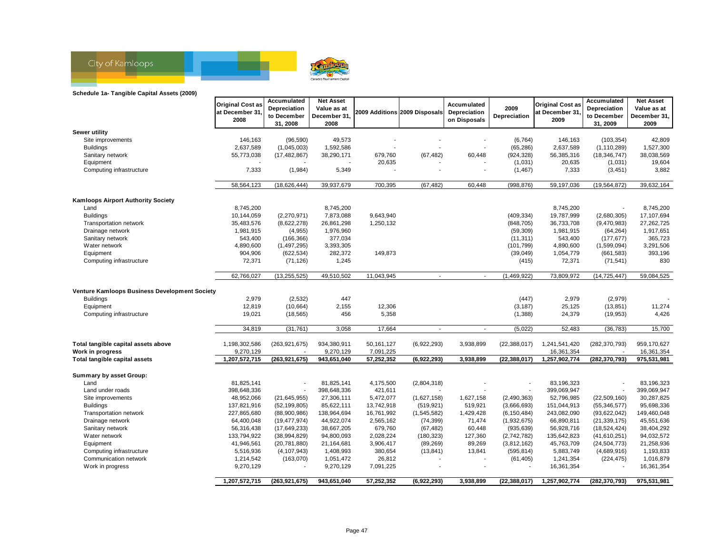

|                                                      | <b>Original Cost as</b><br>at December 31. | Accumulated<br>Depreciation | <b>Net Asset</b><br>Value as at |            | 2009 Additions 2009 Disposals | Accumulated<br>Depreciation | 2009           | <b>Original Cost as</b><br>at December 31 | Accumulated<br>Depreciation | <b>Net Asset</b><br>Value as at |
|------------------------------------------------------|--------------------------------------------|-----------------------------|---------------------------------|------------|-------------------------------|-----------------------------|----------------|-------------------------------------------|-----------------------------|---------------------------------|
|                                                      | 2008                                       | to December<br>31, 2008     | December 31,<br>2008            |            |                               | on Disposals                | Depreciation   | 2009                                      | to December<br>31, 2009     | December 31,<br>2009            |
| Sewer utility                                        |                                            |                             |                                 |            |                               |                             |                |                                           |                             |                                 |
| Site improvements                                    | 146.163                                    | (96, 590)                   | 49,573                          |            |                               |                             | (6, 764)       | 146,163                                   | (103, 354)                  | 42,809                          |
| <b>Buildings</b>                                     | 2,637,589                                  | (1,045,003)                 | 1,592,586                       |            |                               | ٠                           | (65, 286)      | 2,637,589                                 | (1, 110, 289)               | 1,527,300                       |
| Sanitary network                                     | 55,773,038                                 | (17, 482, 867)              | 38,290,171                      | 679,760    | (67, 482)                     | 60,448                      | (924, 328)     | 56,385,316                                | (18, 346, 747)              | 38,038,569                      |
| Equipment                                            |                                            |                             |                                 | 20,635     |                               |                             | (1,031)        | 20,635                                    | (1,031)                     | 19,604                          |
| Computing infrastructure                             | 7,333                                      | (1,984)                     | 5,349                           |            |                               | $\overline{\phantom{a}}$    | (1, 467)       | 7,333                                     | (3, 451)                    | 3,882                           |
|                                                      | 58,564,123                                 | (18, 626, 444)              | 39,937,679                      | 700,395    | (67, 482)                     | 60,448                      | (998, 876)     | 59,197,036                                | (19, 564, 872)              | 39,632,164                      |
| <b>Kamloops Airport Authority Society</b>            |                                            |                             |                                 |            |                               |                             |                |                                           |                             |                                 |
| Land                                                 | 8,745,200                                  |                             | 8,745,200                       |            |                               |                             |                | 8,745,200                                 |                             | 8,745,200                       |
| <b>Buildings</b>                                     | 10,144,059                                 | (2,270,971)                 | 7,873,088                       | 9,643,940  |                               |                             | (409, 334)     | 19,787,999                                | (2,680,305)                 | 17, 107, 694                    |
| Transportation network                               | 35,483,576                                 | (8,622,278)                 | 26,861,298                      | 1,250,132  |                               |                             | (848, 705)     | 36,733,708                                | (9,470,983)                 | 27,262,725                      |
| Drainage network                                     | 1,981,915                                  | (4, 955)                    | 1,976,960                       |            |                               |                             | (59, 309)      | 1.981.915                                 | (64, 264)                   | 1,917,651                       |
| Sanitary network                                     | 543,400                                    | (166, 366)                  | 377,034                         |            |                               |                             | (11, 311)      | 543,400                                   | (177, 677)                  | 365,723                         |
| Water network                                        | 4,890,600                                  | (1,497,295)                 | 3,393,305                       |            |                               |                             | (101, 799)     | 4,890,600                                 | (1,599,094)                 | 3,291,506                       |
| Equipment                                            | 904,906                                    | (622, 534)                  | 282,372                         | 149,873    |                               |                             | (39, 049)      | 1,054,779                                 | (661, 583)                  | 393,196                         |
| Computing infrastructure                             | 72,371                                     | (71, 126)                   | 1,245                           |            |                               |                             | (415)          | 72,371                                    | (71, 541)                   | 830                             |
|                                                      | 62,766,027                                 | (13, 255, 525)              | 49,510,502                      | 11,043,945 | $\sim$                        | $\blacksquare$              | (1,469,922)    | 73,809,972                                | (14, 725, 447)              | 59,084,525                      |
| <b>Venture Kamloops Business Development Society</b> |                                            |                             |                                 |            |                               |                             |                |                                           |                             |                                 |
| <b>Buildings</b>                                     | 2,979                                      | (2,532)                     | 447                             |            |                               |                             | (447)          | 2,979                                     | (2,979)                     |                                 |
| Equipment                                            | 12,819                                     | (10, 664)                   | 2,155                           | 12,306     |                               |                             | (3, 187)       | 25,125                                    | (13, 851)                   | 11,274                          |
| Computing infrastructure                             | 19,021                                     | (18, 565)                   | 456                             | 5,358      |                               |                             | (1, 388)       | 24,379                                    | (19, 953)                   | 4,426                           |
|                                                      |                                            |                             |                                 |            |                               |                             |                |                                           |                             |                                 |
|                                                      | 34,819                                     | (31, 761)                   | 3,058                           | 17,664     | $\blacksquare$                | $\mathcal{L}_{\mathcal{A}}$ | (5,022)        | 52,483                                    | (36, 783)                   | 15,700                          |
| Total tangible capital assets above                  | 1,198,302,586                              | (263, 921, 675)             | 934,380,911                     | 50,161,127 | (6,922,293)                   | 3,938,899                   | (22, 388, 017) | 1,241,541,420                             | (282, 370, 793)             | 959,170,627                     |
| Work in progress                                     | 9,270,129                                  |                             | 9,270,129                       | 7,091,225  |                               |                             |                | 16,361,354                                |                             | 16,361,354                      |
| Total tangible capital assets                        | 1,207,572,715                              | (263, 921, 675)             | 943,651,040                     | 57,252,352 | (6,922,293)                   | 3,938,899                   | (22, 388, 017) | 1,257,902,774                             | (282,370,793)               | 975,531,981                     |
| Summary by asset Group:                              |                                            |                             |                                 |            |                               |                             |                |                                           |                             |                                 |
| Land                                                 | 81,825,141                                 |                             | 81,825,141                      | 4,175,500  | (2,804,318)                   |                             |                | 83,196,323                                |                             | 83,196,323                      |
| Land under roads                                     | 398,648,336                                |                             | 398,648,336                     | 421,611    |                               |                             |                | 399,069,947                               |                             | 399,069,947                     |
| Site improvements                                    | 48,952,066                                 | (21, 645, 955)              | 27,306,111                      | 5,472,077  | (1,627,158)                   | 1,627,158                   | (2,490,363)    | 52,796,985                                | (22, 509, 160)              | 30,287,825                      |
| <b>Buildings</b>                                     | 137,821,916                                | (52, 199, 805)              | 85,622,111                      | 13,742,918 | (519, 921)                    | 519,921                     | (3,666,693)    | 151,044,913                               | (55, 346, 577)              | 95,698,336                      |
| Transportation network                               | 227,865,680                                | (88,900,986)                | 138,964,694                     | 16,761,992 | (1, 545, 582)                 | 1,429,428                   | (6, 150, 484)  | 243,082,090                               | (93, 622, 042)              | 149,460,048                     |
| Drainage network                                     | 64,400,048                                 | (19, 477, 974)              | 44,922,074                      | 2,565,162  | (74, 399)                     | 71,474                      | (1,932,675)    | 66,890,811                                | (21, 339, 175)              | 45,551,636                      |
| Sanitary network                                     | 56,316,438                                 | (17,649,233)                | 38,667,205                      | 679,760    | (67, 482)                     | 60,448                      | (935, 639)     | 56,928,716                                | (18, 524, 424)              | 38,404,292                      |
| Water network                                        | 133,794,922                                | (38,994,829)                | 94,800,093                      | 2,028,224  | (180, 323)                    | 127,360                     | (2,742,782)    | 135,642,823                               | (41,610,251)                | 94,032,572                      |
| Equipment                                            | 41,946,561                                 | (20, 781, 880)              | 21,164,681                      | 3,906,417  | (89, 269)                     | 89,269                      | (3,812,162)    | 45,763,709                                | (24, 504, 773)              | 21,258,936                      |
| Computing infrastructure                             | 5,516,936                                  | (4, 107, 943)               | 1,408,993                       | 380,654    | (13, 841)                     | 13,841                      | (595, 814)     | 5,883,749                                 | (4,689,916)                 | 1,193,833                       |
| Communication network                                | 1,214,542                                  | (163,070)                   | 1,051,472                       | 26,812     |                               |                             | (61, 405)      | 1,241,354                                 | (224, 475)                  | 1,016,879                       |
| Work in progress                                     | 9,270,129                                  |                             | 9,270,129                       | 7,091,225  |                               | $\overline{a}$              |                | 16,361,354                                |                             | 16,361,354                      |
|                                                      | 1,207,572,715                              | (263, 921, 675)             | 943,651,040                     | 57,252,352 | (6,922,293)                   | 3,938,899                   | (22, 388, 017) | 1,257,902,774                             | (282,370,793)               | 975,531,981                     |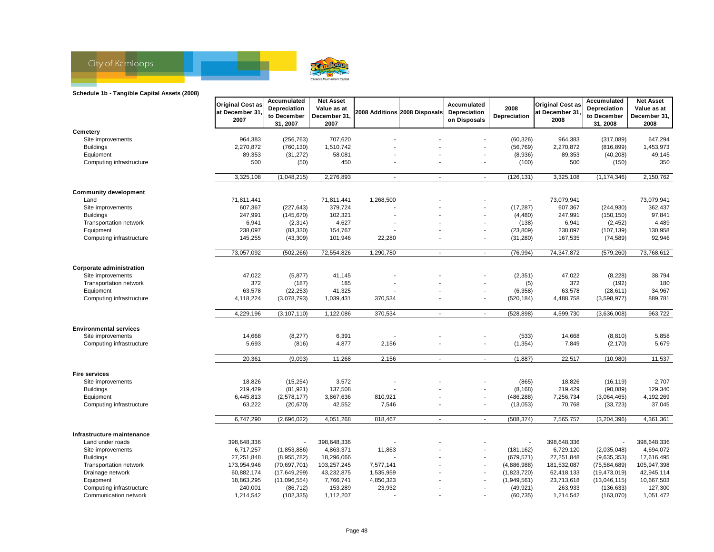

|                                 | <b>Original Cost as</b> | Accumulated                 | <b>Net Asset</b>            |           | <b>Original Cost as</b><br>Accumulated | Accumulated              | <b>Net Asset</b> |                |                             |                             |
|---------------------------------|-------------------------|-----------------------------|-----------------------------|-----------|----------------------------------------|--------------------------|------------------|----------------|-----------------------------|-----------------------------|
|                                 | at December 31,         | Depreciation<br>to December | Value as at<br>December 31. |           | 2008 Additions 2008 Disposals          | Depreciation             | 2008             | at December 31 | Depreciation<br>to December | Value as at<br>December 31, |
|                                 | 2007                    | 31, 2007                    | 2007                        |           |                                        | on Disposals             | Depreciation     | 2008           | 31, 2008                    | 2008                        |
| Cemetery                        |                         |                             |                             |           |                                        |                          |                  |                |                             |                             |
| Site improvements               | 964,383                 | (256, 763)                  | 707,620                     |           |                                        |                          | (60, 326)        | 964,383        | (317,089)                   | 647,294                     |
| <b>Buildings</b>                | 2,270,872               | (760, 130)                  | 1,510,742                   |           |                                        |                          | (56, 769)        | 2,270,872      | (816, 899)                  | 1,453,973                   |
| Equipment                       | 89,353                  | (31, 272)                   | 58,081                      |           |                                        |                          | (8,936)          | 89,353         | (40, 208)                   | 49,145                      |
| Computing infrastructure        | 500                     | (50)                        | 450                         |           |                                        |                          | (100)            | 500            | (150)                       | 350                         |
|                                 | 3,325,108               | (1,048,215)                 | 2,276,893                   | $\sim$    |                                        | $\sim$                   | (126, 131)       | 3,325,108      | (1, 174, 346)               | 2,150,762                   |
| <b>Community development</b>    |                         |                             |                             |           |                                        |                          |                  |                |                             |                             |
| Land                            | 71,811,441              |                             | 71,811,441                  | 1,268,500 |                                        |                          |                  | 73,079,941     |                             | 73,079,941                  |
| Site improvements               | 607,367                 | (227, 643)                  | 379,724                     |           |                                        |                          | (17, 287)        | 607,367        | (244, 930)                  | 362,437                     |
| <b>Buildings</b>                | 247,991                 | (145, 670)                  | 102,321                     |           |                                        |                          | (4, 480)         | 247,991        | (150, 150)                  | 97,841                      |
| Transportation network          | 6,941                   | (2, 314)                    | 4,627                       |           |                                        | ä,                       | (138)            | 6,941          | (2, 452)                    | 4,489                       |
| Equipment                       | 238,097                 | (83, 330)                   | 154,767                     |           |                                        |                          | (23, 809)        | 238,097        | (107, 139)                  | 130,958                     |
| Computing infrastructure        | 145,255                 | (43, 309)                   | 101,946                     | 22,280    |                                        |                          | (31, 280)        | 167,535        | (74, 589)                   | 92,946                      |
|                                 | 73,057,092              | (502, 266)                  | 72,554,826                  | 1,290,780 | $\overline{\phantom{a}}$               | $\sim$                   | (76, 994)        | 74,347,872     | (579, 260)                  | 73,768,612                  |
|                                 |                         |                             |                             |           |                                        |                          |                  |                |                             |                             |
| <b>Corporate administration</b> |                         |                             |                             |           |                                        |                          |                  |                |                             |                             |
| Site improvements               | 47,022                  | (5, 877)                    | 41,145                      |           |                                        |                          | (2, 351)         | 47,022         | (8, 228)                    | 38,794                      |
| Transportation network          | 372                     | (187)                       | 185                         |           |                                        |                          | (5)              | 372            | (192)                       | 180                         |
| Equipment                       | 63,578                  | (22, 253)                   | 41,325                      |           |                                        | ٠                        | (6, 358)         | 63,578         | (28, 611)                   | 34,967                      |
| Computing infrastructure        | 4,118,224               | (3,078,793)                 | 1,039,431                   | 370,534   |                                        | $\overline{a}$           | (520, 184)       | 4,488,758      | (3,598,977)                 | 889,781                     |
|                                 | 4,229,196               | (3, 107, 110)               | 1,122,086                   | 370,534   | $\sim$                                 | $\blacksquare$           | (528, 898)       | 4,599,730      | (3,636,008)                 | 963,722                     |
|                                 |                         |                             |                             |           |                                        |                          |                  |                |                             |                             |
| <b>Environmental services</b>   |                         |                             |                             |           |                                        |                          |                  |                |                             |                             |
| Site improvements               | 14,668                  | (8,277)                     | 6,391                       |           |                                        | $\overline{a}$           | (533)            | 14,668         | (8, 810)                    | 5,858                       |
| Computing infrastructure        | 5,693                   | (816)                       | 4,877                       | 2,156     |                                        |                          | (1, 354)         | 7,849          | (2, 170)                    | 5,679                       |
|                                 | 20,361                  | (9,093)                     | 11,268                      | 2,156     | $\sim$                                 | $\sim$                   | (1,887)          | 22,517         | (10, 980)                   | 11,537                      |
| <b>Fire services</b>            |                         |                             |                             |           |                                        |                          |                  |                |                             |                             |
| Site improvements               | 18,826                  | (15, 254)                   | 3,572                       |           |                                        |                          | (865)            | 18,826         | (16, 119)                   | 2,707                       |
| <b>Buildings</b>                | 219,429                 | (81, 921)                   | 137,508                     |           |                                        | ÷,                       | (8, 168)         | 219,429        | (90, 089)                   | 129,340                     |
| Equipment                       | 6,445,813               | (2,578,177)                 | 3,867,636                   | 810,921   |                                        | $\overline{\phantom{a}}$ | (486, 288)       | 7,256,734      | (3,064,465)                 | 4,192,269                   |
| Computing infrastructure        | 63,222                  | (20, 670)                   | 42,552                      | 7,546     |                                        | ÷                        | (13,053)         | 70,768         | (33, 723)                   | 37,045                      |
|                                 | 6,747,290               | (2,696,022)                 | 4,051,268                   | 818,467   | $\overline{\phantom{a}}$               | $\overline{\phantom{a}}$ | (508, 374)       | 7,565,757      | (3, 204, 396)               | 4,361,361                   |
|                                 |                         |                             |                             |           |                                        |                          |                  |                |                             |                             |
| Infrastructure maintenance      |                         |                             |                             |           |                                        |                          |                  |                |                             |                             |
| Land under roads                | 398,648,336             |                             | 398,648,336                 |           |                                        |                          |                  | 398,648,336    |                             | 398,648,336                 |
| Site improvements               | 6,717,257               | (1,853,886)                 | 4,863,371                   | 11,863    |                                        |                          | (181, 162)       | 6,729,120      | (2,035,048)                 | 4,694,072                   |
| <b>Buildings</b>                | 27,251,848              | (8,955,782)                 | 18,296,066                  |           |                                        | $\overline{\phantom{a}}$ | (679, 571)       | 27,251,848     | (9,635,353)                 | 17,616,495                  |
| Transportation network          | 173,954,946             | (70, 697, 701)              | 103,257,245                 | 7,577,141 |                                        |                          | (4,886,988)      | 181,532,087    | (75, 584, 689)              | 105,947,398                 |
| Drainage network                | 60,882,174              | (17, 649, 299)              | 43,232,875                  | 1,535,959 |                                        |                          | (1,823,720)      | 62,418,133     | (19, 473, 019)              | 42,945,114                  |
| Equipment                       | 18,863,295              | (11,096,554)                | 7,766,741                   | 4,850,323 |                                        |                          | (1,949,561)      | 23,713,618     | (13,046,115)                | 10,667,503                  |
| Computing infrastructure        | 240,001                 | (86, 712)                   | 153,289                     | 23,932    |                                        |                          | (49, 921)        | 263,933        | (136, 633)                  | 127,300                     |
| Communication network           | 1,214,542               | (102, 335)                  | 1,112,207                   |           |                                        |                          | (60, 735)        | 1,214,542      | (163,070)                   | 1,051,472                   |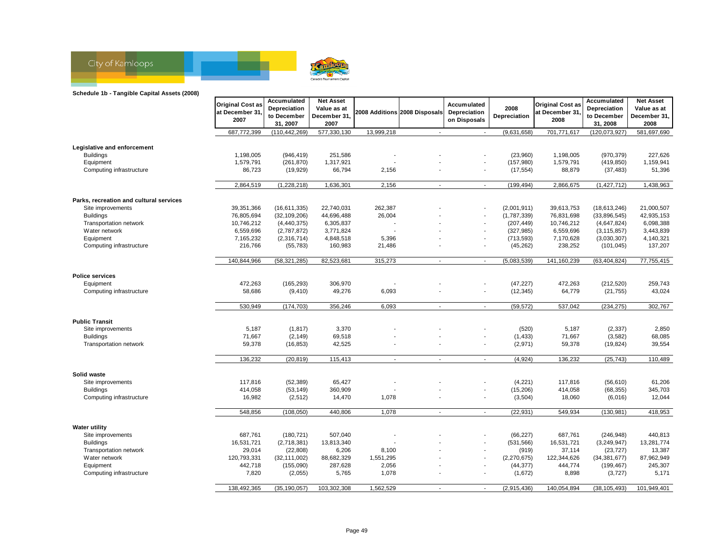

|                                         | <b>Original Cost as</b><br>at December 31,<br>2007 | Accumulated<br>Depreciation<br>to December<br>31, 2007 | <b>Net Asset</b><br>Value as at<br>December 31,<br>2007 |            | 2008 Additions 2008 Disposals | Accumulated<br>Depreciation<br>on Disposals | 2008<br>Depreciation | <b>Original Cost as</b><br>at December 31<br>2008 | Accumulated<br>Depreciation<br>to December<br>31, 2008 | <b>Net Asset</b><br>Value as at<br>December 31,<br>2008 |
|-----------------------------------------|----------------------------------------------------|--------------------------------------------------------|---------------------------------------------------------|------------|-------------------------------|---------------------------------------------|----------------------|---------------------------------------------------|--------------------------------------------------------|---------------------------------------------------------|
|                                         | 687,772,399                                        | (110, 442, 269)                                        | 577,330,130                                             | 13,999,218 | $\sim$                        | $\sim$                                      | (9,631,658)          | 701,771,617                                       | (120, 073, 927)                                        | 581,697,690                                             |
|                                         |                                                    |                                                        |                                                         |            |                               |                                             |                      |                                                   |                                                        |                                                         |
| Legislative and enforcement             |                                                    |                                                        |                                                         |            |                               |                                             |                      |                                                   |                                                        |                                                         |
| <b>Buildings</b>                        | 1,198,005                                          | (946, 419)                                             | 251,586                                                 |            |                               |                                             | (23,960)             | 1,198,005                                         | (970, 379)                                             | 227,626                                                 |
| Equipment                               | 1,579,791                                          | (261, 870)                                             | 1,317,921                                               |            |                               |                                             | (157, 980)           | 1,579,791                                         | (419, 850)                                             | 1,159,941                                               |
| Computing infrastructure                | 86,723                                             | (19, 929)                                              | 66,794                                                  | 2,156      |                               |                                             | (17, 554)            | 88,879                                            | (37, 483)                                              | 51,396                                                  |
|                                         |                                                    |                                                        |                                                         |            |                               |                                             |                      |                                                   |                                                        |                                                         |
|                                         | 2,864,519                                          | (1,228,218)                                            | 1,636,301                                               | 2,156      | $\blacksquare$                | $\sim$                                      | (199, 494)           | 2,866,675                                         | (1, 427, 712)                                          | 1,438,963                                               |
|                                         |                                                    |                                                        |                                                         |            |                               |                                             |                      |                                                   |                                                        |                                                         |
| Parks, recreation and cultural services |                                                    |                                                        |                                                         |            |                               |                                             |                      |                                                   |                                                        |                                                         |
| Site improvements                       | 39,351,366                                         | (16,611,335)                                           | 22,740,031                                              | 262,387    |                               |                                             | (2,001,911)          | 39,613,753                                        | (18, 613, 246)                                         | 21,000,507                                              |
| <b>Buildings</b>                        | 76,805,694                                         | (32, 109, 206)                                         | 44,696,488                                              | 26,004     |                               |                                             | (1,787,339)          | 76,831,698                                        | (33,896,545)                                           | 42,935,153                                              |
| Transportation network                  | 10,746,212                                         | (4, 440, 375)                                          | 6,305,837                                               |            |                               |                                             | (207, 449)           | 10,746,212                                        | (4,647,824)                                            | 6,098,388                                               |
| Water network                           | 6,559,696                                          | (2,787,872)                                            | 3,771,824                                               |            |                               |                                             | (327, 985)           | 6,559,696                                         | (3, 115, 857)                                          | 3,443,839                                               |
| Equipment                               | 7,165,232                                          | (2,316,714)                                            | 4,848,518                                               | 5,396      |                               |                                             | (713, 593)           | 7,170,628                                         | (3,030,307)                                            | 4,140,321                                               |
| Computing infrastructure                | 216,766                                            | (55, 783)                                              | 160,983                                                 | 21,486     |                               |                                             | (45, 262)            | 238,252                                           | (101, 045)                                             | 137,207                                                 |
|                                         |                                                    |                                                        |                                                         |            |                               |                                             |                      |                                                   |                                                        |                                                         |
|                                         | 140,844,966                                        | (58, 321, 285)                                         | 82,523,681                                              | 315,273    | $\blacksquare$                | $\sim$                                      | (5,083,539)          | 141,160,239                                       | (63, 404, 824)                                         | 77,755,415                                              |
|                                         |                                                    |                                                        |                                                         |            |                               |                                             |                      |                                                   |                                                        |                                                         |
| <b>Police services</b>                  |                                                    |                                                        |                                                         |            |                               |                                             |                      |                                                   |                                                        |                                                         |
| Equipment                               | 472,263                                            | (165, 293)                                             | 306,970                                                 |            |                               |                                             | (47, 227)            | 472,263                                           | (212, 520)                                             | 259,743                                                 |
| Computing infrastructure                | 58,686                                             | (9, 410)                                               | 49,276                                                  | 6,093      |                               |                                             | (12, 345)            | 64,779                                            | (21, 755)                                              | 43,024                                                  |
|                                         |                                                    |                                                        |                                                         |            |                               |                                             |                      |                                                   |                                                        |                                                         |
|                                         | 530,949                                            | (174, 703)                                             | 356,246                                                 | 6,093      | $\sim$                        | $\sim$                                      | (59, 572)            | 537,042                                           | (234, 275)                                             | 302,767                                                 |
|                                         |                                                    |                                                        |                                                         |            |                               |                                             |                      |                                                   |                                                        |                                                         |
| <b>Public Transit</b>                   |                                                    |                                                        |                                                         |            |                               |                                             |                      |                                                   |                                                        |                                                         |
| Site improvements                       | 5,187                                              | (1, 817)                                               | 3,370                                                   |            |                               |                                             | (520)                | 5,187                                             | (2, 337)                                               | 2,850                                                   |
| <b>Buildings</b>                        | 71,667                                             | (2, 149)                                               | 69,518                                                  |            |                               |                                             | (1, 433)             | 71,667                                            | (3, 582)                                               | 68,085                                                  |
| Transportation network                  | 59,378                                             | (16, 853)                                              | 42,525                                                  |            |                               |                                             | (2,971)              | 59,378                                            | (19, 824)                                              | 39,554                                                  |
|                                         |                                                    |                                                        |                                                         |            |                               |                                             |                      |                                                   |                                                        |                                                         |
|                                         | 136,232                                            | (20, 819)                                              | 115,413                                                 | $\sim$     | $\sim$                        | $\sim$                                      | (4,924)              | 136,232                                           | (25, 743)                                              | 110,489                                                 |
|                                         |                                                    |                                                        |                                                         |            |                               |                                             |                      |                                                   |                                                        |                                                         |
| Solid waste                             |                                                    |                                                        |                                                         |            |                               |                                             |                      |                                                   |                                                        |                                                         |
| Site improvements                       | 117,816                                            | (52, 389)                                              | 65,427                                                  |            |                               |                                             | (4,221)              | 117,816                                           | (56, 610)                                              | 61,206                                                  |
| <b>Buildings</b>                        | 414,058                                            | (53, 149)                                              | 360,909                                                 |            |                               | $\blacksquare$                              | (15, 206)            | 414,058                                           | (68, 355)                                              | 345,703                                                 |
| Computing infrastructure                | 16,982                                             | (2,512)                                                | 14,470                                                  | 1,078      |                               |                                             | (3,504)              | 18,060                                            | (6,016)                                                | 12,044                                                  |
|                                         |                                                    |                                                        |                                                         |            |                               |                                             |                      |                                                   |                                                        |                                                         |
|                                         | 548,856                                            | (108, 050)                                             | 440,806                                                 | 1,078      | $\sim$                        | $\sim$                                      | (22, 931)            | 549,934                                           | (130, 981)                                             | 418,953                                                 |
|                                         |                                                    |                                                        |                                                         |            |                               |                                             |                      |                                                   |                                                        |                                                         |
| <b>Water utility</b>                    |                                                    |                                                        |                                                         |            |                               |                                             |                      |                                                   |                                                        |                                                         |
| Site improvements                       | 687,761                                            | (180, 721)                                             | 507,040                                                 |            |                               |                                             | (66, 227)            | 687,761                                           | (246, 948)                                             | 440,813                                                 |
| <b>Buildings</b>                        | 16,531,721                                         | (2,718,381)                                            | 13,813,340                                              |            |                               |                                             | (531, 566)           | 16,531,721                                        | (3,249,947)                                            | 13,281,774                                              |
| <b>Transportation network</b>           | 29,014                                             | (22, 808)                                              | 6,206                                                   | 8,100      |                               |                                             | (919)                | 37,114                                            | (23, 727)                                              | 13,387                                                  |
| Water network                           | 120,793,331                                        | (32, 111, 002)                                         | 88,682,329                                              | 1,551,295  |                               |                                             | (2, 270, 675)        | 122,344,626                                       | (34, 381, 677)                                         | 87,962,949                                              |
| Equipment                               | 442,718                                            | (155,090)                                              | 287,628                                                 | 2,056      |                               |                                             | (44, 377)            | 444,774                                           | (199, 467)                                             | 245,307                                                 |
| Computing infrastructure                | 7,820                                              | (2,055)                                                | 5,765                                                   | 1,078      |                               |                                             | (1,672)              | 8,898                                             | (3, 727)                                               | 5,171                                                   |
|                                         | 138,492,365                                        | (35, 190, 057)                                         | 103,302,308                                             | 1,562,529  | $\blacksquare$                | $\sim$                                      | (2,915,436)          | 140,054,894                                       | (38, 105, 493)                                         | 101,949,401                                             |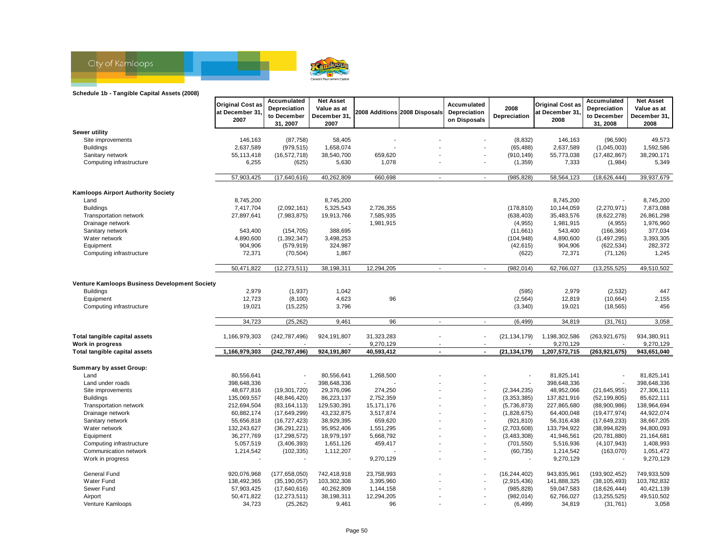

|                                               | <b>Original Cost as</b>  | Accumulated<br><b>Depreciation</b> | <b>Net Asset</b><br>Value as at |                               |                | Accumulated                  | 2008                      | <b>Original Cost as</b>  | Accumulated<br><b>Depreciation</b> | <b>Net Asset</b><br>Value as at |
|-----------------------------------------------|--------------------------|------------------------------------|---------------------------------|-------------------------------|----------------|------------------------------|---------------------------|--------------------------|------------------------------------|---------------------------------|
|                                               | at December 31,<br>2007  | to December<br>31.2007             | December 31.<br>2007            | 2008 Additions 2008 Disposals |                | Depreciation<br>on Disposals | Depreciation              | at December 31<br>2008   | to December<br>31, 2008            | December 31,<br>2008            |
| Sewer utility                                 |                          |                                    |                                 |                               |                |                              |                           |                          |                                    |                                 |
| Site improvements                             | 146,163                  | (87, 758)                          | 58,405                          |                               |                |                              | (8, 832)                  | 146,163                  | (96, 590)                          | 49,573                          |
| <b>Buildings</b>                              | 2,637,589                | (979, 515)                         | 1,658,074                       |                               |                |                              | (65, 488)                 | 2,637,589                | (1,045,003)                        | 1,592,586                       |
| Sanitary network                              | 55, 113, 418             | (16, 572, 718)                     | 38,540,700                      | 659,620                       |                |                              | (910, 149)                | 55,773,038               | (17, 482, 867)                     | 38,290,171                      |
| Computing infrastructure                      | 6,255                    | (625)                              | 5,630                           | 1,078                         |                |                              | (1, 359)                  | 7,333                    | (1,984)                            | 5,349                           |
|                                               | 57,903,425               | (17,640,616)                       | 40,262,809                      | 660,698                       | $\sim$         | $\sim$                       | (985, 828)                | 58,564,123               | (18, 626, 444)                     | 39,937,679                      |
| <b>Kamloops Airport Authority Society</b>     |                          |                                    |                                 |                               |                |                              |                           |                          |                                    |                                 |
| Land                                          | 8,745,200                |                                    | 8,745,200                       |                               |                |                              |                           | 8,745,200                |                                    | 8,745,200                       |
| <b>Buildings</b>                              | 7,417,704                | (2,092,161)                        | 5,325,543                       | 2,726,355                     |                |                              | (178, 810)                | 10,144,059               | (2,270,971)                        | 7,873,088                       |
| Transportation network                        | 27,897,641               | (7,983,875)                        | 19,913,766                      | 7,585,935                     |                |                              | (638, 403)                | 35,483,576               | (8,622,278)                        | 26,861,298                      |
| Drainage network                              |                          |                                    |                                 | 1,981,915                     |                |                              | (4, 955)                  | 1,981,915                | (4, 955)                           | 1,976,960                       |
| Sanitary network                              | 543,400                  | (154, 705)                         | 388,695                         |                               |                |                              | (11,661)                  | 543,400                  | (166, 366)                         | 377,034                         |
| Water network                                 | 4,890,600                | (1,392,347)                        | 3,498,253                       |                               |                |                              | (104, 948)                | 4,890,600                | (1, 497, 295)                      | 3,393,305                       |
| Equipment                                     | 904,906                  | (579, 919)                         | 324,987                         |                               |                |                              | (42, 615)                 | 904,906                  | (622, 534)                         | 282,372                         |
| Computing infrastructure                      | 72,371                   | (70, 504)                          | 1,867                           |                               |                |                              | (622)                     | 72,371                   | (71, 126)                          | 1,245                           |
|                                               | 50,471,822               | (12, 273, 511)                     | 38,198,311                      | 12,294,205                    | $\sim$         | $\mathcal{L}_{\mathcal{A}}$  | (982, 014)                | 62,766,027               | (13, 255, 525)                     | 49,510,502                      |
| Venture Kamloops Business Development Society |                          |                                    |                                 |                               |                |                              |                           |                          |                                    |                                 |
| <b>Buildings</b>                              | 2,979                    | (1,937)                            | 1,042                           |                               |                |                              | (595)                     | 2,979                    | (2, 532)                           | 447                             |
| Equipment                                     | 12,723                   | (8, 100)                           | 4,623                           | 96                            |                |                              | (2, 564)                  | 12,819                   | (10, 664)                          | 2,155                           |
| Computing infrastructure                      | 19,021                   | (15, 225)                          | 3,796                           |                               |                |                              | (3,340)                   | 19,021                   | (18, 565)                          | 456                             |
|                                               | 34,723                   | (25, 262)                          | 9,461                           | 96                            | $\blacksquare$ | $\sim$                       | (6, 499)                  | 34,819                   | (31, 761)                          | 3,058                           |
| Total tangible capital assets                 | 1,166,979,303            | (242, 787, 496)                    | 924, 191, 807                   | 31,323,283                    |                |                              | (21, 134, 179)            | 1,198,302,586            | (263, 921, 675)                    | 934,380,911                     |
| Work in progress                              |                          |                                    |                                 | 9,270,129                     |                |                              |                           | 9,270,129                |                                    | 9,270,129                       |
| Total tangible capital assets                 | 1,166,979,303            | (242, 787, 496)                    | 924,191,807                     | 40,593,412                    | $\sim$         | $\sim$                       | (21, 134, 179)            | 1,207,572,715            | (263, 921, 675)                    | 943,651,040                     |
| Summary by asset Group:                       |                          |                                    |                                 |                               |                |                              |                           |                          |                                    |                                 |
| Land                                          | 80,556,641               |                                    | 80,556,641                      | 1,268,500                     |                |                              |                           | 81,825,141               |                                    | 81,825,141                      |
| Land under roads                              | 398,648,336              |                                    | 398,648,336                     |                               |                |                              |                           | 398,648,336              |                                    | 398,648,336                     |
| Site improvements                             | 48,677,816               | (19, 301, 720)                     | 29,376,096                      | 274,250                       |                |                              | (2, 344, 235)             | 48,952,066               | (21, 645, 955)                     | 27,306,111                      |
| <b>Buildings</b>                              | 135,069,557              | (48, 846, 420)                     | 86,223,137                      | 2,752,359                     |                | $\sim$                       | (3,353,385)               | 137,821,916              | (52, 199, 805)                     | 85,622,111                      |
| Transportation network                        | 212,694,504              | (83, 164, 113)                     | 129,530,391                     | 15,171,176                    |                |                              | (5,736,873)               | 227,865,680              | (88,900,986)                       | 138,964,694                     |
| Drainage network<br>Sanitary network          | 60,882,174<br>55,656,818 | (17,649,299)<br>(16, 727, 423)     | 43,232,875<br>38,929,395        | 3,517,874<br>659,620          |                |                              | (1,828,675)<br>(921, 810) | 64,400,048<br>56,316,438 | (19, 477, 974)<br>(17, 649, 233)   | 44,922,074<br>38,667,205        |
| Water network                                 | 132,243,627              | (36, 291, 221)                     | 95,952,406                      | 1,551,295                     |                |                              | (2,703,608)               | 133,794,922              | (38,994,829)                       | 94,800,093                      |
| Equipment                                     | 36,277,769               | (17, 298, 572)                     | 18,979,197                      | 5,668,792                     |                |                              | (3,483,308)               | 41,946,561               | (20, 781, 880)                     | 21,164,681                      |
| Computing infrastructure                      | 5,057,519                | (3,406,393)                        | 1,651,126                       | 459,417                       |                |                              | (701, 550)                | 5,516,936                | (4, 107, 943)                      | 1,408,993                       |
| Communication network                         | 1,214,542                | (102, 335)                         | 1,112,207                       |                               |                |                              | (60, 735)                 | 1,214,542                | (163,070)                          | 1,051,472                       |
| Work in progress                              |                          |                                    |                                 | 9,270,129                     |                |                              |                           | 9,270,129                |                                    | 9,270,129                       |
| General Fund                                  | 920,076,968              | (177, 658, 050)                    | 742,418,918                     | 23,758,993                    |                |                              | (16, 244, 402)            | 943,835,961              | (193, 902, 452)                    | 749,933,509                     |
| Water Fund                                    | 138,492,365              | (35, 190, 057)                     | 103,302,308                     | 3,395,960                     |                |                              | (2,915,436)               | 141,888,325              | (38, 105, 493)                     | 103,782,832                     |
| Sewer Fund                                    | 57,903,425               | (17,640,616)                       | 40,262,809                      | 1,144,158                     |                |                              | (985, 828)                | 59,047,583               | (18, 626, 444)                     | 40,421,139                      |
| Airport                                       | 50,471,822               | (12, 273, 511)                     | 38,198,311                      | 12,294,205                    |                |                              | (982, 014)                | 62,766,027               | (13, 255, 525)                     | 49,510,502                      |
| Venture Kamloops                              | 34,723                   | (25, 262)                          | 9,461                           | 96                            |                |                              | (6, 499)                  | 34,819                   | (31, 761)                          | 3,058                           |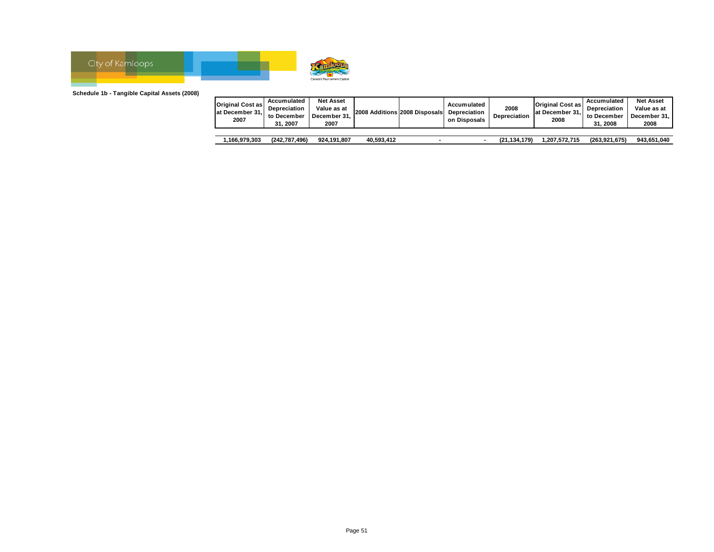

| <b>Original Cost as</b><br>at December 31.<br>2007 | Accumulated<br><b>Depreciation</b><br>to December<br>31.2007 | <b>Net Asset</b><br>Value as at<br>December 31.<br>2007 |            | 2008 Additions 2008 Disposals | Accumulated<br>Depreciation<br>on Disposals | 2008<br><b>Depreciation</b> | <b>Original Cost as</b><br>at December 31.<br>2008 | Accumulated<br><b>Depreciation</b><br>to December<br>31.2008 | <b>Net Asset</b><br>Value as at<br>December 31.<br>2008 |
|----------------------------------------------------|--------------------------------------------------------------|---------------------------------------------------------|------------|-------------------------------|---------------------------------------------|-----------------------------|----------------------------------------------------|--------------------------------------------------------------|---------------------------------------------------------|
|                                                    |                                                              |                                                         |            |                               |                                             |                             |                                                    |                                                              |                                                         |
| 1.166.979.303                                      | (242.787.496)                                                | 924.191.807                                             | 40.593.412 |                               |                                             | (21, 134, 179)              | 1,207,572,715                                      | (263, 921, 675)                                              | 943.651.040                                             |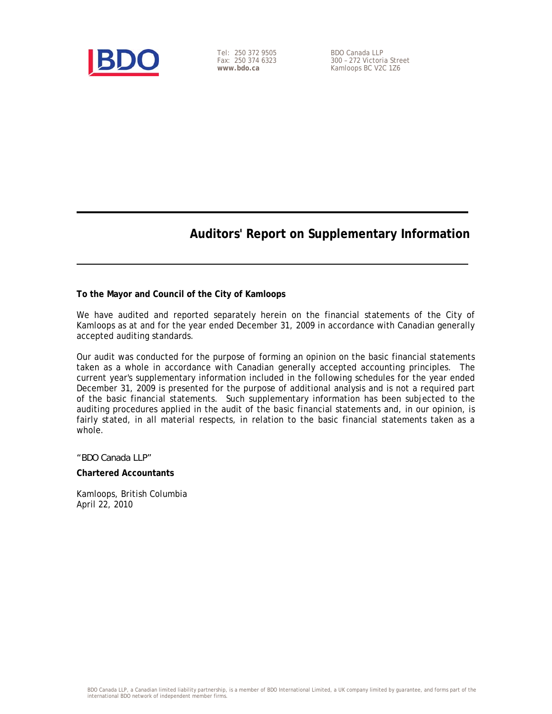

Tel: 250 372 9505 Fax: 250 374 6323 **www.bdo.ca** 

BDO Canada LLP 300 – 272 Victoria Street Kamloops BC V2C 1Z6

**Auditors' Report on Supplementary Information** 

### **To the Mayor and Council of the City of Kamloops**

We have audited and reported separately herein on the financial statements of the City of Kamloops as at and for the year ended December 31, 2009 in accordance with Canadian generally accepted auditing standards.

Our audit was conducted for the purpose of forming an opinion on the basic financial statements taken as a whole in accordance with Canadian generally accepted accounting principles. The current year's supplementary information included in the following schedules for the year ended December 31, 2009 is presented for the purpose of additional analysis and is not a required part of the basic financial statements. Such supplementary information has been subjected to the auditing procedures applied in the audit of the basic financial statements and, in our opinion, is fairly stated, in all material respects, in relation to the basic financial statements taken as a whole.

*"BDO Canada LLP"* 

**Chartered Accountants** 

Kamloops, British Columbia April 22, 2010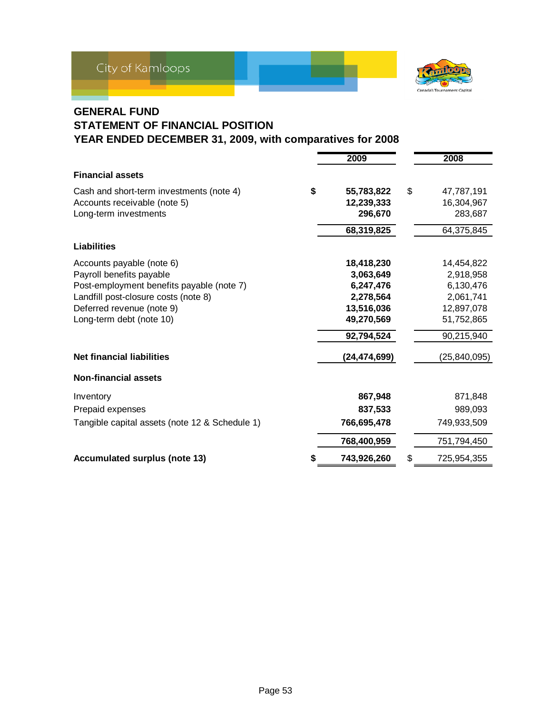

## **GENERAL FUND STATEMENT OF FINANCIAL POSITION YEAR ENDED DECEMBER 31, 2009, with comparatives for 2008**

|                                                | 2009             | 2008              |
|------------------------------------------------|------------------|-------------------|
| <b>Financial assets</b>                        |                  |                   |
| Cash and short-term investments (note 4)       | \$<br>55,783,822 | \$<br>47,787,191  |
| Accounts receivable (note 5)                   | 12,239,333       | 16,304,967        |
| Long-term investments                          | 296,670          | 283,687           |
|                                                | 68,319,825       | 64,375,845        |
| <b>Liabilities</b>                             |                  |                   |
| Accounts payable (note 6)                      | 18,418,230       | 14,454,822        |
| Payroll benefits payable                       | 3,063,649        | 2,918,958         |
| Post-employment benefits payable (note 7)      | 6,247,476        | 6,130,476         |
| Landfill post-closure costs (note 8)           | 2,278,564        | 2,061,741         |
| Deferred revenue (note 9)                      | 13,516,036       | 12,897,078        |
| Long-term debt (note 10)                       | 49,270,569       | 51,752,865        |
|                                                | 92,794,524       | 90,215,940        |
| <b>Net financial liabilities</b>               | (24, 474, 699)   | (25, 840, 095)    |
| <b>Non-financial assets</b>                    |                  |                   |
| Inventory                                      | 867,948          | 871,848           |
| Prepaid expenses                               | 837,533          | 989,093           |
| Tangible capital assets (note 12 & Schedule 1) | 766,695,478      | 749,933,509       |
|                                                | 768,400,959      | 751,794,450       |
| <b>Accumulated surplus (note 13)</b>           | 743,926,260      | \$<br>725,954,355 |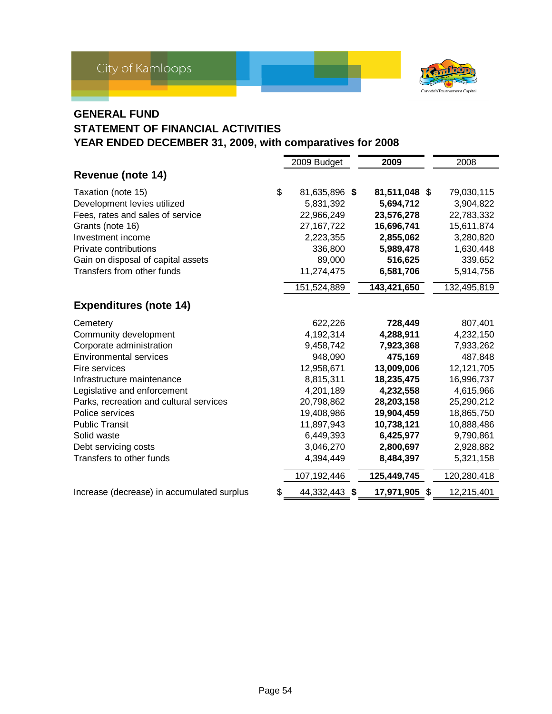

## **GENERAL FUND**

## **STATEMENT OF FINANCIAL ACTIVITIES YEAR ENDED DECEMBER 31, 2009, with comparatives for 2008**

|                                            | 2009 Budget         | 2009          | 2008        |
|--------------------------------------------|---------------------|---------------|-------------|
| Revenue (note 14)                          |                     |               |             |
| Taxation (note 15)                         | \$<br>81,635,896 \$ | 81,511,048 \$ | 79,030,115  |
| Development levies utilized                | 5,831,392           | 5,694,712     | 3,904,822   |
| Fees, rates and sales of service           | 22,966,249          | 23,576,278    | 22,783,332  |
| Grants (note 16)                           | 27, 167, 722        | 16,696,741    | 15,611,874  |
| Investment income                          | 2,223,355           | 2,855,062     | 3,280,820   |
| Private contributions                      | 336,800             | 5,989,478     | 1,630,448   |
| Gain on disposal of capital assets         | 89,000              | 516,625       | 339,652     |
| Transfers from other funds                 | 11,274,475          | 6,581,706     | 5,914,756   |
|                                            | 151,524,889         | 143,421,650   | 132,495,819 |
| <b>Expenditures (note 14)</b>              |                     |               |             |
| Cemetery                                   | 622,226             | 728,449       | 807,401     |
| Community development                      | 4,192,314           | 4,288,911     | 4,232,150   |
| Corporate administration                   | 9,458,742           | 7,923,368     | 7,933,262   |
| <b>Environmental services</b>              | 948,090             | 475,169       | 487,848     |
| Fire services                              | 12,958,671          | 13,009,006    | 12,121,705  |
| Infrastructure maintenance                 | 8,815,311           | 18,235,475    | 16,996,737  |
| Legislative and enforcement                | 4,201,189           | 4,232,558     | 4,615,966   |
| Parks, recreation and cultural services    | 20,798,862          | 28,203,158    | 25,290,212  |
| Police services                            | 19,408,986          | 19,904,459    | 18,865,750  |
| <b>Public Transit</b>                      | 11,897,943          | 10,738,121    | 10,888,486  |
| Solid waste                                | 6,449,393           | 6,425,977     | 9,790,861   |
| Debt servicing costs                       | 3,046,270           | 2,800,697     | 2,928,882   |
| Transfers to other funds                   | 4,394,449           | 8,484,397     | 5,321,158   |
|                                            | 107,192,446         | 125,449,745   | 120,280,418 |
| Increase (decrease) in accumulated surplus | \$<br>44,332,443 \$ | 17,971,905 \$ | 12,215,401  |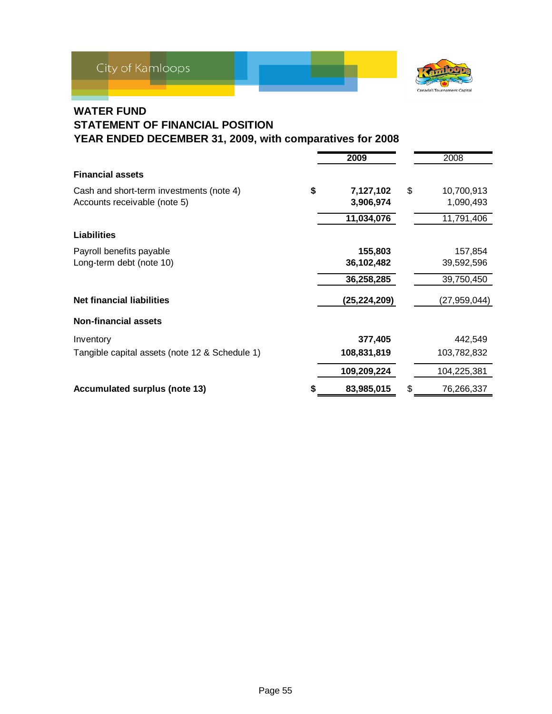

## **WATER FUND STATEMENT OF FINANCIAL POSITION YEAR ENDED DECEMBER 31, 2009, with comparatives for 2008**

|                                                | 2009            | 2008             |
|------------------------------------------------|-----------------|------------------|
| <b>Financial assets</b>                        |                 |                  |
| Cash and short-term investments (note 4)       | \$<br>7,127,102 | \$<br>10,700,913 |
| Accounts receivable (note 5)                   | 3,906,974       | 1,090,493        |
|                                                | 11,034,076      | 11,791,406       |
| <b>Liabilities</b>                             |                 |                  |
| Payroll benefits payable                       | 155,803         | 157,854          |
| Long-term debt (note 10)                       | 36,102,482      | 39,592,596       |
|                                                | 36,258,285      | 39,750,450       |
| <b>Net financial liabilities</b>               | (25, 224, 209)  | (27,959,044)     |
| <b>Non-financial assets</b>                    |                 |                  |
| Inventory                                      | 377,405         | 442,549          |
| Tangible capital assets (note 12 & Schedule 1) | 108,831,819     | 103,782,832      |
|                                                | 109,209,224     | 104,225,381      |
| <b>Accumulated surplus (note 13)</b>           | 83,985,015      | \$<br>76,266,337 |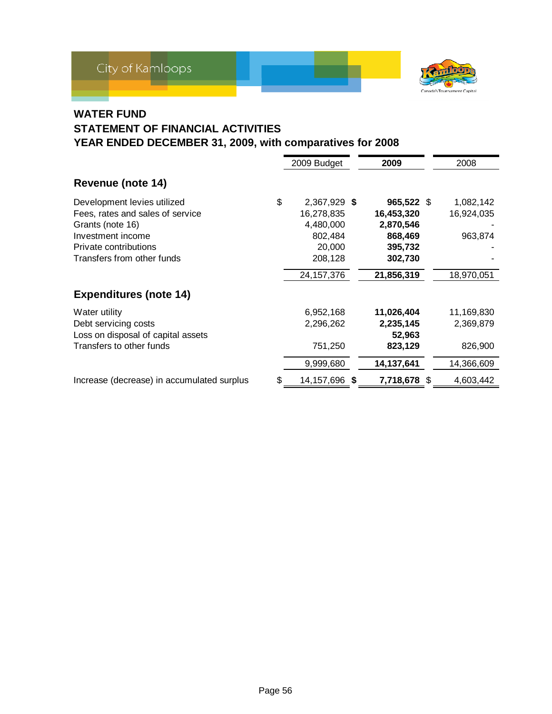

## **WATER FUND**

## **STATEMENT OF FINANCIAL ACTIVITIES YEAR ENDED DECEMBER 31, 2009, with comparatives for 2008**

|                                            | 2009 Budget         |  | 2009         |  | 2008       |
|--------------------------------------------|---------------------|--|--------------|--|------------|
| Revenue (note 14)                          |                     |  |              |  |            |
| Development levies utilized                | \$<br>2,367,929 \$  |  | 965,522 \$   |  | 1,082,142  |
| Fees, rates and sales of service           | 16,278,835          |  | 16,453,320   |  | 16,924,035 |
| Grants (note 16)                           | 4,480,000           |  | 2,870,546    |  |            |
| Investment income                          | 802,484             |  | 868,469      |  | 963,874    |
| Private contributions                      | 20,000              |  | 395,732      |  |            |
| Transfers from other funds                 | 208,128             |  | 302,730      |  |            |
|                                            | 24, 157, 376        |  | 21,856,319   |  | 18,970,051 |
| <b>Expenditures (note 14)</b>              |                     |  |              |  |            |
| Water utility                              | 6,952,168           |  | 11,026,404   |  | 11,169,830 |
| Debt servicing costs                       | 2,296,262           |  | 2,235,145    |  | 2,369,879  |
| Loss on disposal of capital assets         |                     |  | 52,963       |  |            |
| Transfers to other funds                   | 751,250             |  | 823,129      |  | 826,900    |
|                                            | 9,999,680           |  | 14,137,641   |  | 14,366,609 |
| Increase (decrease) in accumulated surplus | \$<br>14,157,696 \$ |  | 7,718,678 \$ |  | 4,603,442  |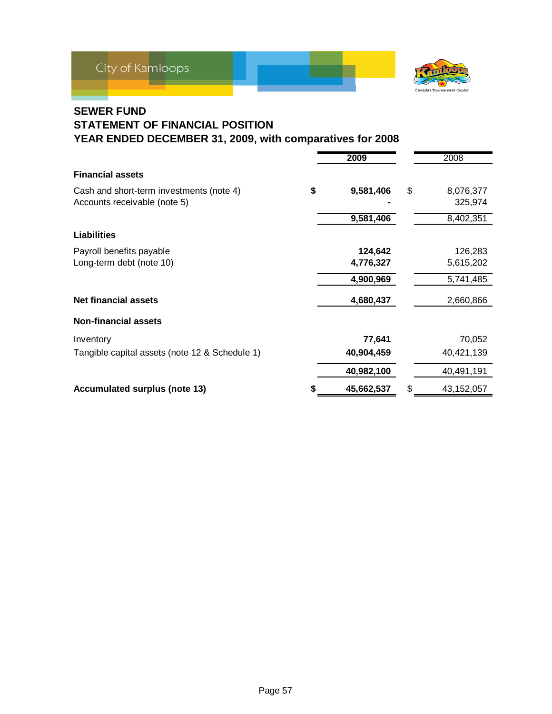

## **SEWER FUND**

## **STATEMENT OF FINANCIAL POSITION YEAR ENDED DECEMBER 31, 2009, with comparatives for 2008**

|                                                                          | 2009            | 2008                       |
|--------------------------------------------------------------------------|-----------------|----------------------------|
| <b>Financial assets</b>                                                  |                 |                            |
| Cash and short-term investments (note 4)<br>Accounts receivable (note 5) | \$<br>9,581,406 | \$<br>8,076,377<br>325,974 |
|                                                                          | 9,581,406       | 8,402,351                  |
| <b>Liabilities</b>                                                       |                 |                            |
| Payroll benefits payable                                                 | 124,642         | 126,283                    |
| Long-term debt (note 10)                                                 | 4,776,327       | 5,615,202                  |
|                                                                          | 4,900,969       | 5,741,485                  |
| <b>Net financial assets</b>                                              | 4,680,437       | 2,660,866                  |
| <b>Non-financial assets</b>                                              |                 |                            |
| Inventory                                                                | 77,641          | 70,052                     |
| Tangible capital assets (note 12 & Schedule 1)                           | 40,904,459      | 40,421,139                 |
|                                                                          | 40,982,100      | 40,491,191                 |
| <b>Accumulated surplus (note 13)</b>                                     | 45,662,537      | \$<br>43,152,057           |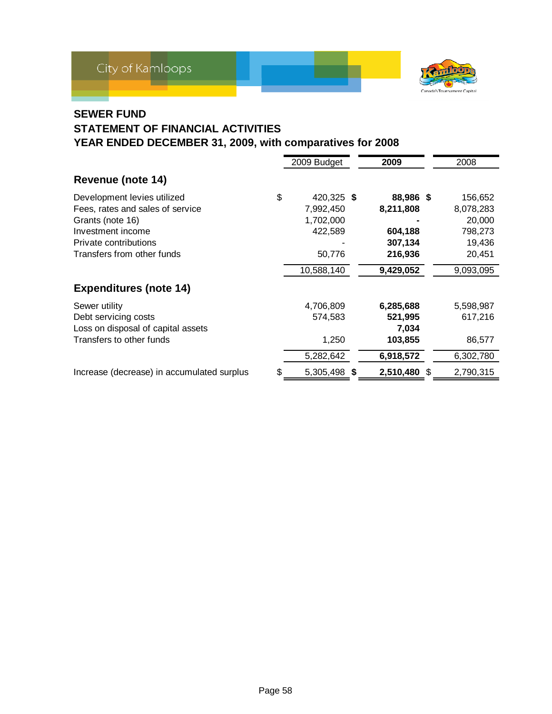

## **SEWER FUND**

## **STATEMENT OF FINANCIAL ACTIVITIES YEAR ENDED DECEMBER 31, 2009, with comparatives for 2008**

| 2009 Budget                                       |                                  | 2009                                       |                                   | 2008                                                                       |
|---------------------------------------------------|----------------------------------|--------------------------------------------|-----------------------------------|----------------------------------------------------------------------------|
|                                                   |                                  |                                            |                                   |                                                                            |
| \$<br>7,992,450<br>1,702,000<br>422,589<br>50,776 |                                  | 8,211,808<br>604,188<br>307,134<br>216,936 |                                   | 156,652<br>8,078,283<br>20,000<br>798,273<br>19,436<br>20,451<br>9,093,095 |
|                                                   |                                  |                                            |                                   |                                                                            |
| 4,706,809<br>574,583                              |                                  | 6,285,688<br>521,995<br>7,034              |                                   | 5,598,987<br>617,216                                                       |
|                                                   |                                  |                                            |                                   | 86,577                                                                     |
| \$                                                |                                  |                                            |                                   | 6,302,780<br>2,790,315                                                     |
|                                                   | 10,588,140<br>1,250<br>5,282,642 | 420,325 \$<br>5,305,498 \$                 | 9,429,052<br>103,855<br>6,918,572 | 88,986 \$<br>2,510,480 \$                                                  |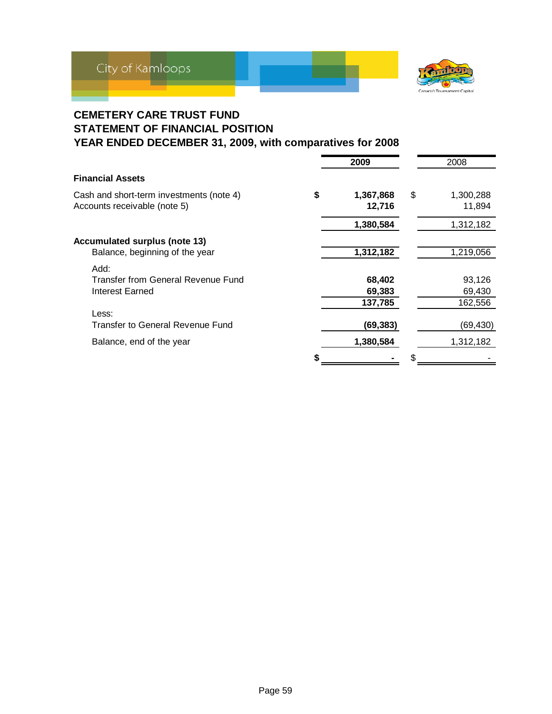

## **CEMETERY CARE TRUST FUND STATEMENT OF FINANCIAL POSITION YEAR ENDED DECEMBER 31, 2009, with comparatives for 2008**

|                                                                          | 2009                        | 2008                        |
|--------------------------------------------------------------------------|-----------------------------|-----------------------------|
| <b>Financial Assets</b>                                                  |                             |                             |
| Cash and short-term investments (note 4)<br>Accounts receivable (note 5) | \$<br>1,367,868<br>12,716   | \$<br>1,300,288<br>11,894   |
|                                                                          | 1,380,584                   | 1,312,182                   |
| <b>Accumulated surplus (note 13)</b><br>Balance, beginning of the year   | 1,312,182                   | 1,219,056                   |
| Add:<br>Transfer from General Revenue Fund<br>Interest Earned            | 68,402<br>69,383<br>137,785 | 93,126<br>69,430<br>162,556 |
| Less:<br>Transfer to General Revenue Fund                                | (69, 383)                   | (69, 430)                   |
| Balance, end of the year                                                 | 1,380,584                   | 1,312,182                   |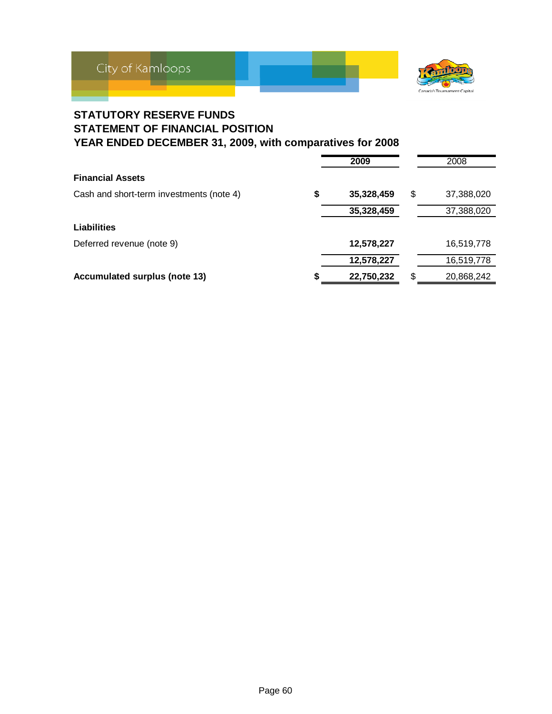

## **STATUTORY RESERVE FUNDS STATEMENT OF FINANCIAL POSITION YEAR ENDED DECEMBER 31, 2009, with comparatives for 2008**

|                                          |   | 2009       | 2008             |
|------------------------------------------|---|------------|------------------|
| <b>Financial Assets</b>                  |   |            |                  |
| Cash and short-term investments (note 4) | S | 35,328,459 | \$<br>37,388,020 |
|                                          |   | 35,328,459 | 37,388,020       |
| <b>Liabilities</b>                       |   |            |                  |
| Deferred revenue (note 9)                |   | 12,578,227 | 16,519,778       |
|                                          |   | 12,578,227 | 16,519,778       |
| <b>Accumulated surplus (note 13)</b>     |   | 22,750,232 | \$<br>20,868,242 |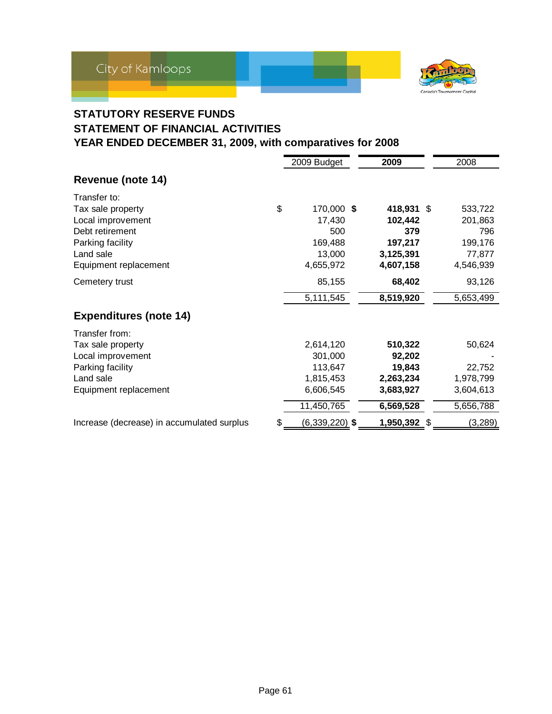

## **STATUTORY RESERVE FUNDS STATEMENT OF FINANCIAL ACTIVITIES YEAR ENDED DECEMBER 31, 2009, with comparatives for 2008**

|                                            | 2009 Budget            | 2009         | 2008      |
|--------------------------------------------|------------------------|--------------|-----------|
| Revenue (note 14)                          |                        |              |           |
| Transfer to:                               |                        |              |           |
| Tax sale property                          | \$<br>170,000 \$       | 418,931 \$   | 533,722   |
| Local improvement                          | 17,430                 | 102,442      | 201,863   |
| Debt retirement                            | 500                    | 379          | 796       |
| Parking facility                           | 169,488                | 197,217      | 199,176   |
| Land sale                                  | 13,000                 | 3,125,391    | 77,877    |
| Equipment replacement                      | 4,655,972              | 4,607,158    | 4,546,939 |
| Cemetery trust                             | 85,155                 | 68,402       | 93,126    |
|                                            | 5,111,545              | 8,519,920    | 5,653,499 |
| <b>Expenditures (note 14)</b>              |                        |              |           |
| Transfer from:                             |                        |              |           |
| Tax sale property                          | 2,614,120              | 510,322      | 50,624    |
| Local improvement                          | 301,000                | 92,202       |           |
| Parking facility                           | 113,647                | 19,843       | 22,752    |
| Land sale                                  | 1,815,453              | 2,263,234    | 1,978,799 |
| Equipment replacement                      | 6,606,545              | 3,683,927    | 3,604,613 |
|                                            | 11,450,765             | 6,569,528    | 5,656,788 |
| Increase (decrease) in accumulated surplus | \$<br>$(6,339,220)$ \$ | 1,950,392 \$ | (3,289)   |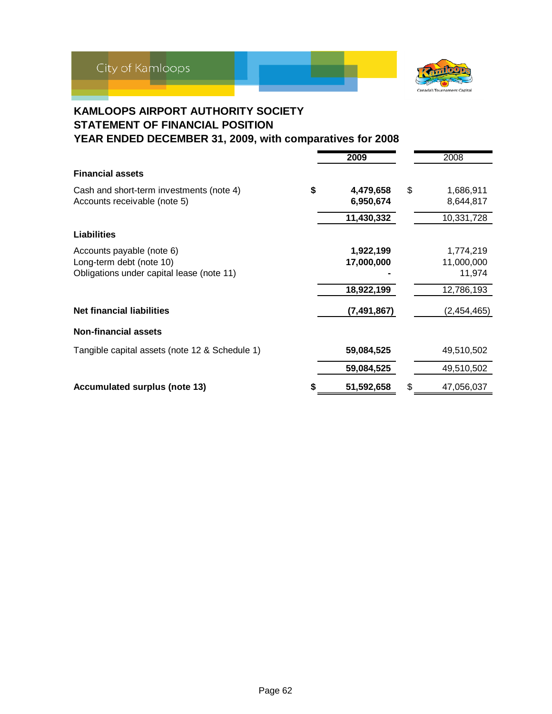



## **KAMLOOPS AIRPORT AUTHORITY SOCIETY STATEMENT OF FINANCIAL POSITION YEAR ENDED DECEMBER 31, 2009, with comparatives for 2008**

|                                                | 2009            | 2008             |
|------------------------------------------------|-----------------|------------------|
| <b>Financial assets</b>                        |                 |                  |
| Cash and short-term investments (note 4)       | \$<br>4,479,658 | \$<br>1,686,911  |
| Accounts receivable (note 5)                   | 6,950,674       | 8,644,817        |
|                                                | 11,430,332      | 10,331,728       |
| <b>Liabilities</b>                             |                 |                  |
| Accounts payable (note 6)                      | 1,922,199       | 1,774,219        |
| Long-term debt (note 10)                       | 17,000,000      | 11,000,000       |
| Obligations under capital lease (note 11)      |                 | 11,974           |
|                                                | 18,922,199      | 12,786,193       |
| <b>Net financial liabilities</b>               | (7,491,867)     | (2,454,465)      |
| <b>Non-financial assets</b>                    |                 |                  |
| Tangible capital assets (note 12 & Schedule 1) | 59,084,525      | 49,510,502       |
|                                                | 59,084,525      | 49,510,502       |
| <b>Accumulated surplus (note 13)</b>           | 51,592,658      | \$<br>47,056,037 |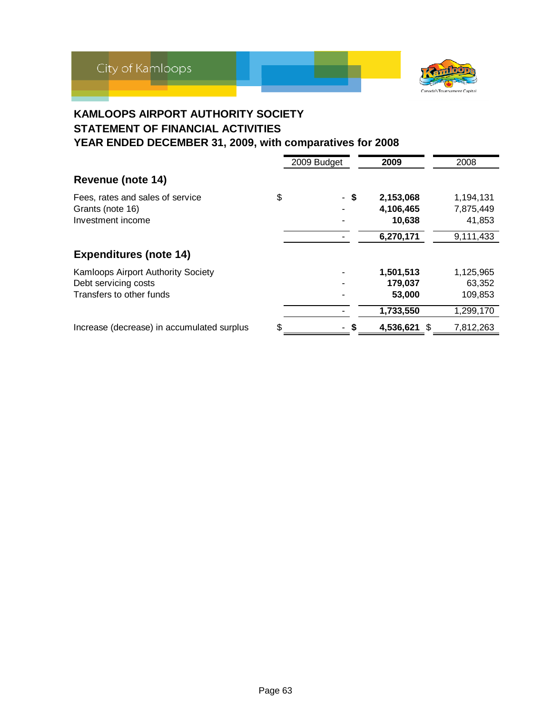



## **KAMLOOPS AIRPORT AUTHORITY SOCIETY STATEMENT OF FINANCIAL ACTIVITIES YEAR ENDED DECEMBER 31, 2009, with comparatives for 2008**

|                                            | 2009 Budget | 2009             | 2008      |  |
|--------------------------------------------|-------------|------------------|-----------|--|
| Revenue (note 14)                          |             |                  |           |  |
| Fees, rates and sales of service           | \$<br>- \$  | 2,153,068        | 1,194,131 |  |
| Grants (note 16)                           |             | 4,106,465        | 7,875,449 |  |
| Investment income                          |             | 10,638           | 41,853    |  |
|                                            |             | 6,270,171        | 9,111,433 |  |
| <b>Expenditures (note 14)</b>              |             |                  |           |  |
| <b>Kamloops Airport Authority Society</b>  |             | 1,501,513        | 1,125,965 |  |
| Debt servicing costs                       |             | 179,037          | 63,352    |  |
| Transfers to other funds                   |             | 53,000           | 109,853   |  |
|                                            |             | 1,733,550        | 1,299,170 |  |
| Increase (decrease) in accumulated surplus | \$          | 4,536,621<br>\$. | 7,812,263 |  |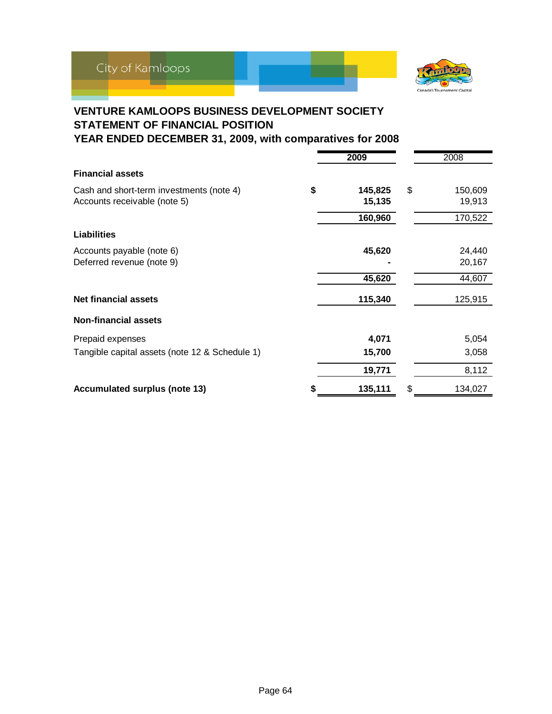

## **VENTURE KAMLOOPS BUSINESS DEVELOPMENT SOCIETY STATEMENT OF FINANCIAL POSITION YEAR ENDED DECEMBER 31, 2009, with comparatives for 2008**

|                                                                          | 2009 |                   | 2008                    |  |
|--------------------------------------------------------------------------|------|-------------------|-------------------------|--|
| <b>Financial assets</b>                                                  |      |                   |                         |  |
| Cash and short-term investments (note 4)<br>Accounts receivable (note 5) | \$   | 145,825<br>15,135 | \$<br>150,609<br>19,913 |  |
|                                                                          |      | 160,960           | 170,522                 |  |
| <b>Liabilities</b>                                                       |      |                   |                         |  |
| Accounts payable (note 6)<br>Deferred revenue (note 9)                   |      | 45,620            | 24,440<br>20,167        |  |
|                                                                          |      | 45,620            | 44,607                  |  |
| <b>Net financial assets</b>                                              |      | 115,340           | 125,915                 |  |
| <b>Non-financial assets</b>                                              |      |                   |                         |  |
| Prepaid expenses                                                         |      | 4,071             | 5,054                   |  |
| Tangible capital assets (note 12 & Schedule 1)                           |      | 15,700            | 3,058                   |  |
|                                                                          |      | 19,771            | 8,112                   |  |
| <b>Accumulated surplus (note 13)</b>                                     |      | 135,111           | \$<br>134,027           |  |